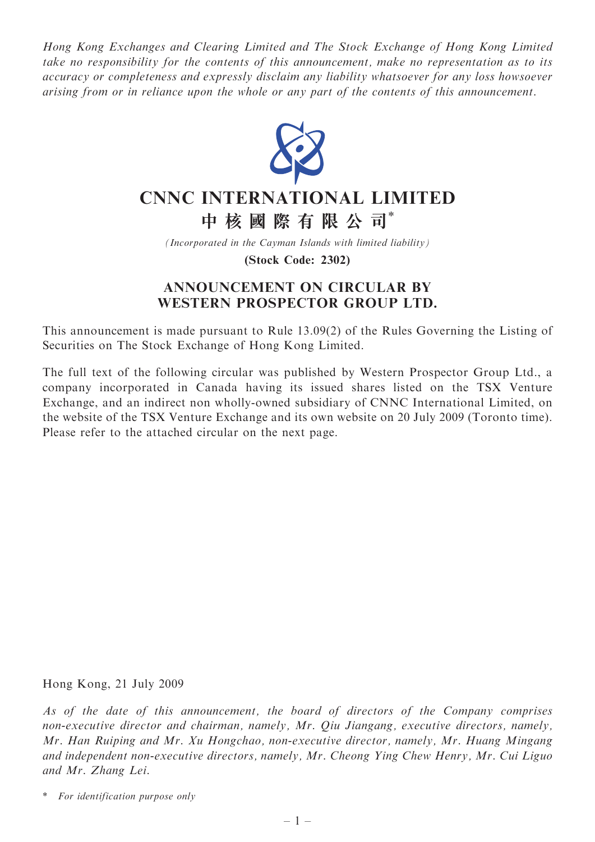Hong Kong Exchanges and Clearing Limited and The Stock Exchange of Hong Kong Limited take no responsibility for the contents of this announcement, make no representation as to its accuracy or completeness and expressly disclaim any liability whatsoever for any loss howsoever arising from or in reliance upon the whole or any part of the contents of this announcement.



# CNNC INTERNATIONAL LIMITED

中 核 國 際 有 限 公 司\*

(Incorporated in the Cayman Islands with limited liability)

(Stock Code: 2302)

# ANNOUNCEMENT ON CIRCULAR BY WESTERN PROSPECTOR GROUP LTD.

This announcement is made pursuant to Rule 13.09(2) of the Rules Governing the Listing of Securities on The Stock Exchange of Hong Kong Limited.

The full text of the following circular was published by Western Prospector Group Ltd., a company incorporated in Canada having its issued shares listed on the TSX Venture Exchange, and an indirect non wholly-owned subsidiary of CNNC International Limited, on the website of the TSX Venture Exchange and its own website on 20 July 2009 (Toronto time). Please refer to the attached circular on the next page.

Hong Kong, 21 July 2009

As of the date of this announcement, the board of directors of the Company comprises non-executive director and chairman, namely, Mr. Qiu Jiangang, executive directors, namely, Mr. Han Ruiping and Mr. Xu Hongchao, non-executive director, namely, Mr. Huang Mingang and independent non-executive directors, namely, Mr. Cheong Ying Chew Henry, Mr. Cui Liguo and Mr. Zhang Lei.

\* For identification purpose only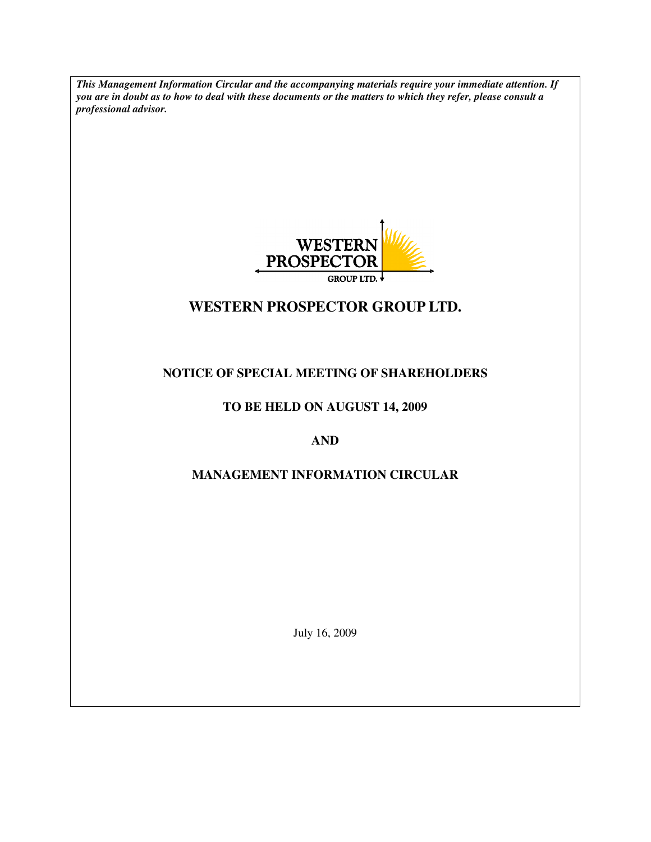*This Management Information Circular and the accompanying materials require your immediate attention. If you are in doubt as to how to deal with these documents or the matters to which they refer, please consult a professional advisor.* 



# **WESTERN PROSPECTOR GROUP LTD.**

# **NOTICE OF SPECIAL MEETING OF SHAREHOLDERS**

# **TO BE HELD ON AUGUST 14, 2009**

# **AND**

# **MANAGEMENT INFORMATION CIRCULAR**

July 16, 2009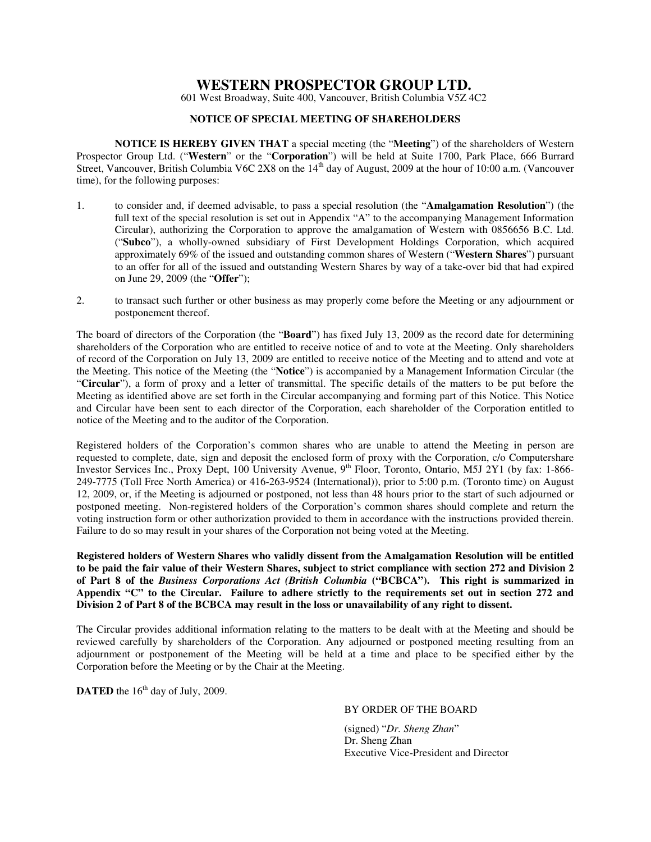# **WESTERN PROSPECTOR GROUP LTD.**

601 West Broadway, Suite 400, Vancouver, British Columbia V5Z 4C2

#### **NOTICE OF SPECIAL MEETING OF SHAREHOLDERS**

**NOTICE IS HEREBY GIVEN THAT** a special meeting (the "**Meeting**") of the shareholders of Western Prospector Group Ltd. ("**Western**" or the "**Corporation**") will be held at Suite 1700, Park Place, 666 Burrard Street, Vancouver, British Columbia V6C 2X8 on the 14<sup>th</sup> day of August, 2009 at the hour of 10:00 a.m. (Vancouver time), for the following purposes:

- 1. to consider and, if deemed advisable, to pass a special resolution (the "**Amalgamation Resolution**") (the full text of the special resolution is set out in Appendix "A" to the accompanying Management Information Circular), authorizing the Corporation to approve the amalgamation of Western with 0856656 B.C. Ltd. ("**Subco**"), a wholly-owned subsidiary of First Development Holdings Corporation, which acquired approximately 69% of the issued and outstanding common shares of Western ("**Western Shares**") pursuant to an offer for all of the issued and outstanding Western Shares by way of a take-over bid that had expired on June 29, 2009 (the "**Offer**");
- 2. to transact such further or other business as may properly come before the Meeting or any adjournment or postponement thereof.

The board of directors of the Corporation (the "**Board**") has fixed July 13, 2009 as the record date for determining shareholders of the Corporation who are entitled to receive notice of and to vote at the Meeting. Only shareholders of record of the Corporation on July 13, 2009 are entitled to receive notice of the Meeting and to attend and vote at the Meeting. This notice of the Meeting (the "**Notice**") is accompanied by a Management Information Circular (the "**Circular**"), a form of proxy and a letter of transmittal. The specific details of the matters to be put before the Meeting as identified above are set forth in the Circular accompanying and forming part of this Notice. This Notice and Circular have been sent to each director of the Corporation, each shareholder of the Corporation entitled to notice of the Meeting and to the auditor of the Corporation.

Registered holders of the Corporation's common shares who are unable to attend the Meeting in person are requested to complete, date, sign and deposit the enclosed form of proxy with the Corporation, c/o Computershare Investor Services Inc., Proxy Dept, 100 University Avenue, 9<sup>th</sup> Floor, Toronto, Ontario, M5J 2Y1 (by fax: 1-866-249-7775 (Toll Free North America) or 416-263-9524 (International)), prior to 5:00 p.m. (Toronto time) on August 12, 2009, or, if the Meeting is adjourned or postponed, not less than 48 hours prior to the start of such adjourned or postponed meeting. Non-registered holders of the Corporation's common shares should complete and return the voting instruction form or other authorization provided to them in accordance with the instructions provided therein. Failure to do so may result in your shares of the Corporation not being voted at the Meeting.

**Registered holders of Western Shares who validly dissent from the Amalgamation Resolution will be entitled to be paid the fair value of their Western Shares, subject to strict compliance with section 272 and Division 2 of Part 8 of the** *Business Corporations Act (British Columbia* **("BCBCA"). This right is summarized in Appendix "C" to the Circular. Failure to adhere strictly to the requirements set out in section 272 and Division 2 of Part 8 of the BCBCA may result in the loss or unavailability of any right to dissent.** 

The Circular provides additional information relating to the matters to be dealt with at the Meeting and should be reviewed carefully by shareholders of the Corporation. Any adjourned or postponed meeting resulting from an adjournment or postponement of the Meeting will be held at a time and place to be specified either by the Corporation before the Meeting or by the Chair at the Meeting.

**DATED** the  $16<sup>th</sup>$  day of July, 2009.

#### BY ORDER OF THE BOARD

(signed) "*Dr. Sheng Zhan*" Dr. Sheng Zhan Executive Vice-President and Director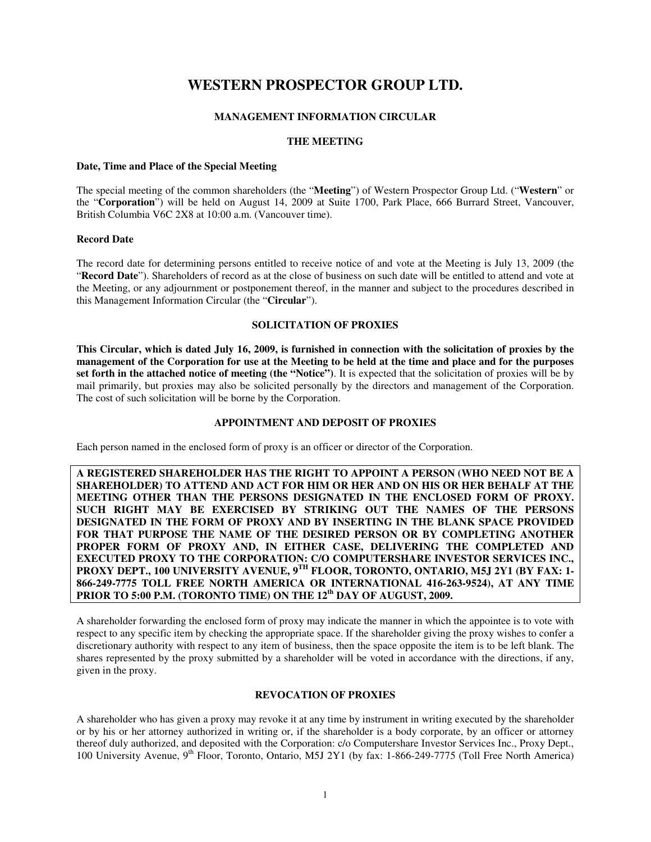# **WESTERN PROSPECTOR GROUP LTD.**

# **MANAGEMENT INFORMATION CIRCULAR**

#### **THE MEETING**

#### **Date, Time and Place of the Special Meeting**

The special meeting of the common shareholders (the "**Meeting**") of Western Prospector Group Ltd. ("**Western**" or the "**Corporation**") will be held on August 14, 2009 at Suite 1700, Park Place, 666 Burrard Street, Vancouver, British Columbia V6C 2X8 at 10:00 a.m. (Vancouver time).

#### **Record Date**

The record date for determining persons entitled to receive notice of and vote at the Meeting is July 13, 2009 (the "**Record Date**"). Shareholders of record as at the close of business on such date will be entitled to attend and vote at the Meeting, or any adjournment or postponement thereof, in the manner and subject to the procedures described in this Management Information Circular (the "**Circular**").

#### **SOLICITATION OF PROXIES**

**This Circular, which is dated July 16, 2009, is furnished in connection with the solicitation of proxies by the management of the Corporation for use at the Meeting to be held at the time and place and for the purposes set forth in the attached notice of meeting (the "Notice")**. It is expected that the solicitation of proxies will be by mail primarily, but proxies may also be solicited personally by the directors and management of the Corporation. The cost of such solicitation will be borne by the Corporation.

#### **APPOINTMENT AND DEPOSIT OF PROXIES**

Each person named in the enclosed form of proxy is an officer or director of the Corporation.

**A REGISTERED SHAREHOLDER HAS THE RIGHT TO APPOINT A PERSON (WHO NEED NOT BE A SHAREHOLDER) TO ATTEND AND ACT FOR HIM OR HER AND ON HIS OR HER BEHALF AT THE MEETING OTHER THAN THE PERSONS DESIGNATED IN THE ENCLOSED FORM OF PROXY. SUCH RIGHT MAY BE EXERCISED BY STRIKING OUT THE NAMES OF THE PERSONS DESIGNATED IN THE FORM OF PROXY AND BY INSERTING IN THE BLANK SPACE PROVIDED FOR THAT PURPOSE THE NAME OF THE DESIRED PERSON OR BY COMPLETING ANOTHER PROPER FORM OF PROXY AND, IN EITHER CASE, DELIVERING THE COMPLETED AND EXECUTED PROXY TO THE CORPORATION: C/O COMPUTERSHARE INVESTOR SERVICES INC., PROXY DEPT., 100 UNIVERSITY AVENUE, 9<sup>TH</sup> FLOOR, TORONTO, ONTARIO, M5J 2Y1 (BY FAX: 1-866-249-7775 TOLL FREE NORTH AMERICA OR INTERNATIONAL 416-263-9524), AT ANY TIME**  PRIOR TO 5:00 P.M. (TORONTO TIME) ON THE 12<sup>th</sup> DAY OF AUGUST, 2009.

A shareholder forwarding the enclosed form of proxy may indicate the manner in which the appointee is to vote with respect to any specific item by checking the appropriate space. If the shareholder giving the proxy wishes to confer a discretionary authority with respect to any item of business, then the space opposite the item is to be left blank. The shares represented by the proxy submitted by a shareholder will be voted in accordance with the directions, if any, given in the proxy.

#### **REVOCATION OF PROXIES**

A shareholder who has given a proxy may revoke it at any time by instrument in writing executed by the shareholder or by his or her attorney authorized in writing or, if the shareholder is a body corporate, by an officer or attorney thereof duly authorized, and deposited with the Corporation: c/o Computershare Investor Services Inc., Proxy Dept., 100 University Avenue,  $9<sup>th</sup>$  Floor, Toronto, Ontario, M5J 2Y1 (by fax: 1-866-249-7775 (Toll Free North America)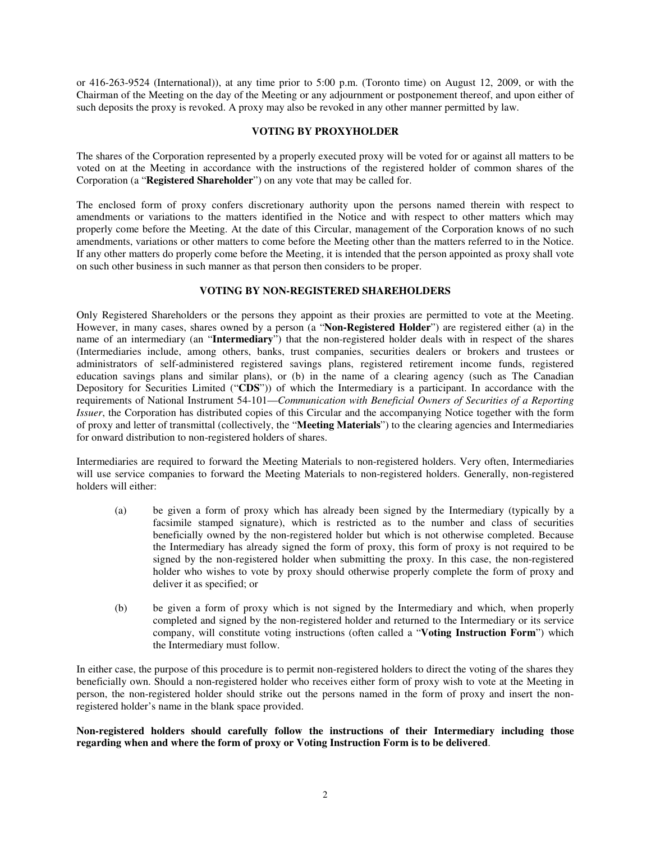or 416-263-9524 (International)), at any time prior to 5:00 p.m. (Toronto time) on August 12, 2009, or with the Chairman of the Meeting on the day of the Meeting or any adjournment or postponement thereof, and upon either of such deposits the proxy is revoked. A proxy may also be revoked in any other manner permitted by law.

#### **VOTING BY PROXYHOLDER**

The shares of the Corporation represented by a properly executed proxy will be voted for or against all matters to be voted on at the Meeting in accordance with the instructions of the registered holder of common shares of the Corporation (a "**Registered Shareholder**") on any vote that may be called for.

The enclosed form of proxy confers discretionary authority upon the persons named therein with respect to amendments or variations to the matters identified in the Notice and with respect to other matters which may properly come before the Meeting. At the date of this Circular, management of the Corporation knows of no such amendments, variations or other matters to come before the Meeting other than the matters referred to in the Notice. If any other matters do properly come before the Meeting, it is intended that the person appointed as proxy shall vote on such other business in such manner as that person then considers to be proper.

#### **VOTING BY NON-REGISTERED SHAREHOLDERS**

Only Registered Shareholders or the persons they appoint as their proxies are permitted to vote at the Meeting. However, in many cases, shares owned by a person (a "**Non-Registered Holder**") are registered either (a) in the name of an intermediary (an "**Intermediary**") that the non-registered holder deals with in respect of the shares (Intermediaries include, among others, banks, trust companies, securities dealers or brokers and trustees or administrators of self-administered registered savings plans, registered retirement income funds, registered education savings plans and similar plans), or (b) in the name of a clearing agency (such as The Canadian Depository for Securities Limited ("**CDS**")) of which the Intermediary is a participant. In accordance with the requirements of National Instrument 54-101—*Communication with Beneficial Owners of Securities of a Reporting Issuer*, the Corporation has distributed copies of this Circular and the accompanying Notice together with the form of proxy and letter of transmittal (collectively, the "**Meeting Materials**") to the clearing agencies and Intermediaries for onward distribution to non-registered holders of shares.

Intermediaries are required to forward the Meeting Materials to non-registered holders. Very often, Intermediaries will use service companies to forward the Meeting Materials to non-registered holders. Generally, non-registered holders will either:

- (a) be given a form of proxy which has already been signed by the Intermediary (typically by a facsimile stamped signature), which is restricted as to the number and class of securities beneficially owned by the non-registered holder but which is not otherwise completed. Because the Intermediary has already signed the form of proxy, this form of proxy is not required to be signed by the non-registered holder when submitting the proxy. In this case, the non-registered holder who wishes to vote by proxy should otherwise properly complete the form of proxy and deliver it as specified; or
- (b) be given a form of proxy which is not signed by the Intermediary and which, when properly completed and signed by the non-registered holder and returned to the Intermediary or its service company, will constitute voting instructions (often called a "**Voting Instruction Form**") which the Intermediary must follow.

In either case, the purpose of this procedure is to permit non-registered holders to direct the voting of the shares they beneficially own. Should a non-registered holder who receives either form of proxy wish to vote at the Meeting in person, the non-registered holder should strike out the persons named in the form of proxy and insert the nonregistered holder's name in the blank space provided.

**Non-registered holders should carefully follow the instructions of their Intermediary including those regarding when and where the form of proxy or Voting Instruction Form is to be delivered**.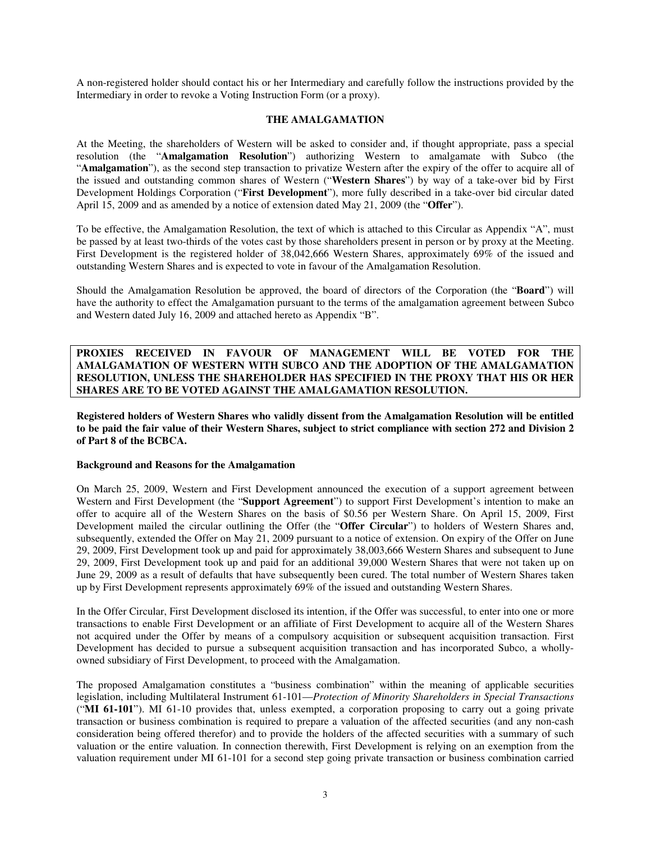A non-registered holder should contact his or her Intermediary and carefully follow the instructions provided by the Intermediary in order to revoke a Voting Instruction Form (or a proxy).

#### **THE AMALGAMATION**

At the Meeting, the shareholders of Western will be asked to consider and, if thought appropriate, pass a special resolution (the "**Amalgamation Resolution**") authorizing Western to amalgamate with Subco (the "**Amalgamation**"), as the second step transaction to privatize Western after the expiry of the offer to acquire all of the issued and outstanding common shares of Western ("**Western Shares**") by way of a take-over bid by First Development Holdings Corporation ("**First Development**"), more fully described in a take-over bid circular dated April 15, 2009 and as amended by a notice of extension dated May 21, 2009 (the "**Offer**").

To be effective, the Amalgamation Resolution, the text of which is attached to this Circular as Appendix "A", must be passed by at least two-thirds of the votes cast by those shareholders present in person or by proxy at the Meeting. First Development is the registered holder of 38,042,666 Western Shares, approximately 69% of the issued and outstanding Western Shares and is expected to vote in favour of the Amalgamation Resolution.

Should the Amalgamation Resolution be approved, the board of directors of the Corporation (the "**Board**") will have the authority to effect the Amalgamation pursuant to the terms of the amalgamation agreement between Subco and Western dated July 16, 2009 and attached hereto as Appendix "B".

**PROXIES RECEIVED IN FAVOUR OF MANAGEMENT WILL BE VOTED FOR THE AMALGAMATION OF WESTERN WITH SUBCO AND THE ADOPTION OF THE AMALGAMATION RESOLUTION, UNLESS THE SHAREHOLDER HAS SPECIFIED IN THE PROXY THAT HIS OR HER SHARES ARE TO BE VOTED AGAINST THE AMALGAMATION RESOLUTION.** 

**Registered holders of Western Shares who validly dissent from the Amalgamation Resolution will be entitled to be paid the fair value of their Western Shares, subject to strict compliance with section 272 and Division 2 of Part 8 of the BCBCA.** 

#### **Background and Reasons for the Amalgamation**

On March 25, 2009, Western and First Development announced the execution of a support agreement between Western and First Development (the "**Support Agreement**") to support First Development's intention to make an offer to acquire all of the Western Shares on the basis of \$0.56 per Western Share. On April 15, 2009, First Development mailed the circular outlining the Offer (the "**Offer Circular**") to holders of Western Shares and, subsequently, extended the Offer on May 21, 2009 pursuant to a notice of extension. On expiry of the Offer on June 29, 2009, First Development took up and paid for approximately 38,003,666 Western Shares and subsequent to June 29, 2009, First Development took up and paid for an additional 39,000 Western Shares that were not taken up on June 29, 2009 as a result of defaults that have subsequently been cured. The total number of Western Shares taken up by First Development represents approximately 69% of the issued and outstanding Western Shares.

In the Offer Circular, First Development disclosed its intention, if the Offer was successful, to enter into one or more transactions to enable First Development or an affiliate of First Development to acquire all of the Western Shares not acquired under the Offer by means of a compulsory acquisition or subsequent acquisition transaction. First Development has decided to pursue a subsequent acquisition transaction and has incorporated Subco, a whollyowned subsidiary of First Development, to proceed with the Amalgamation.

The proposed Amalgamation constitutes a "business combination" within the meaning of applicable securities legislation, including Multilateral Instrument 61-101—*Protection of Minority Shareholders in Special Transactions*  ("**MI 61-101**"). MI 61-10 provides that, unless exempted, a corporation proposing to carry out a going private transaction or business combination is required to prepare a valuation of the affected securities (and any non-cash consideration being offered therefor) and to provide the holders of the affected securities with a summary of such valuation or the entire valuation. In connection therewith, First Development is relying on an exemption from the valuation requirement under MI 61-101 for a second step going private transaction or business combination carried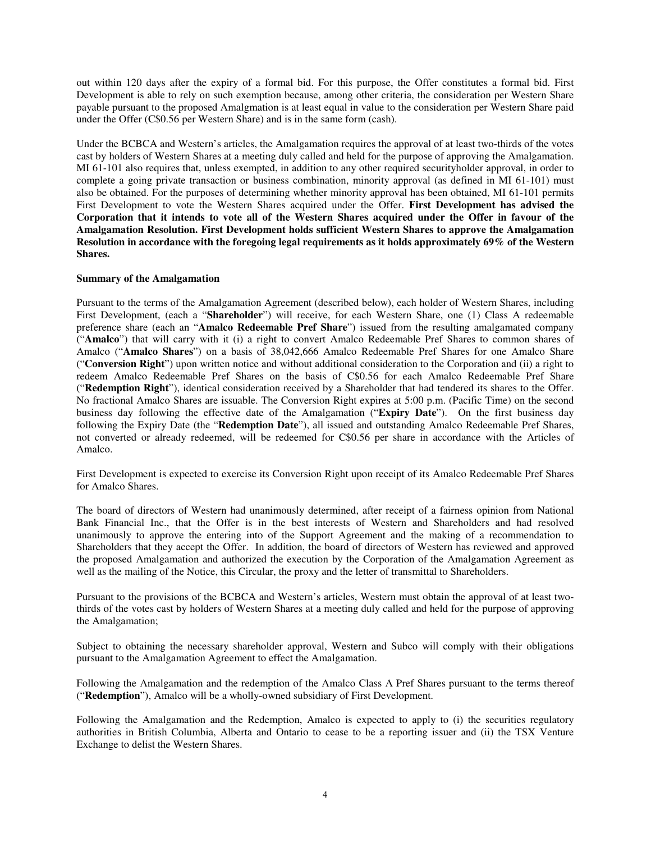out within 120 days after the expiry of a formal bid. For this purpose, the Offer constitutes a formal bid. First Development is able to rely on such exemption because, among other criteria, the consideration per Western Share payable pursuant to the proposed Amalgmation is at least equal in value to the consideration per Western Share paid under the Offer (C\$0.56 per Western Share) and is in the same form (cash).

Under the BCBCA and Western's articles, the Amalgamation requires the approval of at least two-thirds of the votes cast by holders of Western Shares at a meeting duly called and held for the purpose of approving the Amalgamation. MI 61-101 also requires that, unless exempted, in addition to any other required securityholder approval, in order to complete a going private transaction or business combination, minority approval (as defined in MI 61-101) must also be obtained. For the purposes of determining whether minority approval has been obtained, MI 61-101 permits First Development to vote the Western Shares acquired under the Offer. **First Development has advised the Corporation that it intends to vote all of the Western Shares acquired under the Offer in favour of the Amalgamation Resolution. First Development holds sufficient Western Shares to approve the Amalgamation Resolution in accordance with the foregoing legal requirements as it holds approximately 69% of the Western Shares.**

#### **Summary of the Amalgamation**

Pursuant to the terms of the Amalgamation Agreement (described below), each holder of Western Shares, including First Development, (each a "**Shareholder**") will receive, for each Western Share, one (1) Class A redeemable preference share (each an "**Amalco Redeemable Pref Share**") issued from the resulting amalgamated company ("**Amalco**") that will carry with it (i) a right to convert Amalco Redeemable Pref Shares to common shares of Amalco ("**Amalco Shares**") on a basis of 38,042,666 Amalco Redeemable Pref Shares for one Amalco Share ("**Conversion Right**") upon written notice and without additional consideration to the Corporation and (ii) a right to redeem Amalco Redeemable Pref Shares on the basis of C\$0.56 for each Amalco Redeemable Pref Share ("**Redemption Right**"), identical consideration received by a Shareholder that had tendered its shares to the Offer. No fractional Amalco Shares are issuable. The Conversion Right expires at 5:00 p.m. (Pacific Time) on the second business day following the effective date of the Amalgamation ("**Expiry Date**"). On the first business day following the Expiry Date (the "**Redemption Date**"), all issued and outstanding Amalco Redeemable Pref Shares, not converted or already redeemed, will be redeemed for C\$0.56 per share in accordance with the Articles of Amalco.

First Development is expected to exercise its Conversion Right upon receipt of its Amalco Redeemable Pref Shares for Amalco Shares.

The board of directors of Western had unanimously determined, after receipt of a fairness opinion from National Bank Financial Inc., that the Offer is in the best interests of Western and Shareholders and had resolved unanimously to approve the entering into of the Support Agreement and the making of a recommendation to Shareholders that they accept the Offer. In addition, the board of directors of Western has reviewed and approved the proposed Amalgamation and authorized the execution by the Corporation of the Amalgamation Agreement as well as the mailing of the Notice, this Circular, the proxy and the letter of transmittal to Shareholders.

Pursuant to the provisions of the BCBCA and Western's articles, Western must obtain the approval of at least twothirds of the votes cast by holders of Western Shares at a meeting duly called and held for the purpose of approving the Amalgamation;

Subject to obtaining the necessary shareholder approval, Western and Subco will comply with their obligations pursuant to the Amalgamation Agreement to effect the Amalgamation.

Following the Amalgamation and the redemption of the Amalco Class A Pref Shares pursuant to the terms thereof ("**Redemption**"), Amalco will be a wholly-owned subsidiary of First Development.

Following the Amalgamation and the Redemption, Amalco is expected to apply to (i) the securities regulatory authorities in British Columbia, Alberta and Ontario to cease to be a reporting issuer and (ii) the TSX Venture Exchange to delist the Western Shares.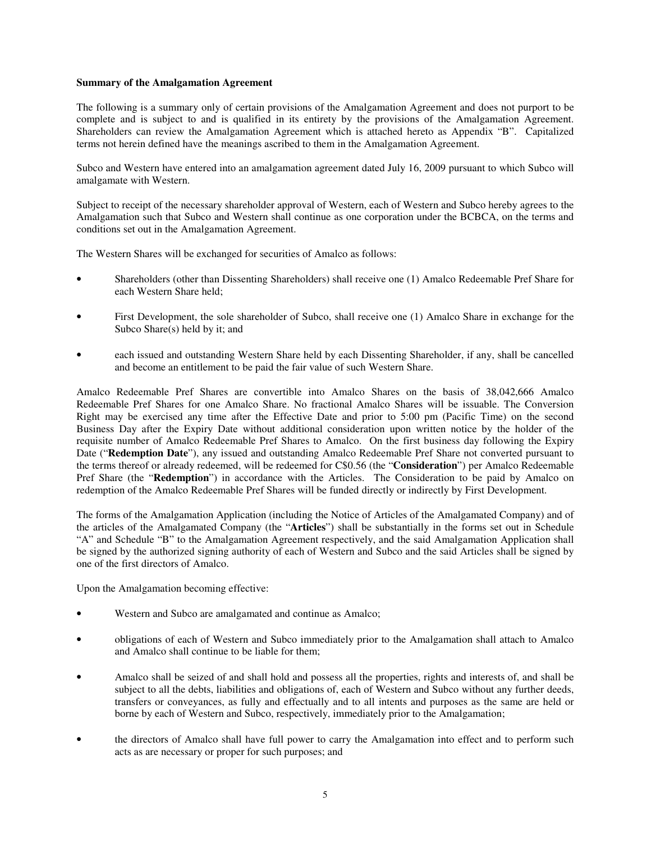#### **Summary of the Amalgamation Agreement**

The following is a summary only of certain provisions of the Amalgamation Agreement and does not purport to be complete and is subject to and is qualified in its entirety by the provisions of the Amalgamation Agreement. Shareholders can review the Amalgamation Agreement which is attached hereto as Appendix "B". Capitalized terms not herein defined have the meanings ascribed to them in the Amalgamation Agreement.

Subco and Western have entered into an amalgamation agreement dated July 16, 2009 pursuant to which Subco will amalgamate with Western.

Subject to receipt of the necessary shareholder approval of Western, each of Western and Subco hereby agrees to the Amalgamation such that Subco and Western shall continue as one corporation under the BCBCA, on the terms and conditions set out in the Amalgamation Agreement.

The Western Shares will be exchanged for securities of Amalco as follows:

- Shareholders (other than Dissenting Shareholders) shall receive one (1) Amalco Redeemable Pref Share for each Western Share held;
- First Development, the sole shareholder of Subco, shall receive one (1) Amalco Share in exchange for the Subco Share(s) held by it; and
- each issued and outstanding Western Share held by each Dissenting Shareholder, if any, shall be cancelled and become an entitlement to be paid the fair value of such Western Share.

Amalco Redeemable Pref Shares are convertible into Amalco Shares on the basis of 38,042,666 Amalco Redeemable Pref Shares for one Amalco Share. No fractional Amalco Shares will be issuable. The Conversion Right may be exercised any time after the Effective Date and prior to 5:00 pm (Pacific Time) on the second Business Day after the Expiry Date without additional consideration upon written notice by the holder of the requisite number of Amalco Redeemable Pref Shares to Amalco. On the first business day following the Expiry Date ("**Redemption Date**"), any issued and outstanding Amalco Redeemable Pref Share not converted pursuant to the terms thereof or already redeemed, will be redeemed for C\$0.56 (the "**Consideration**") per Amalco Redeemable Pref Share (the "**Redemption**") in accordance with the Articles. The Consideration to be paid by Amalco on redemption of the Amalco Redeemable Pref Shares will be funded directly or indirectly by First Development.

The forms of the Amalgamation Application (including the Notice of Articles of the Amalgamated Company) and of the articles of the Amalgamated Company (the "**Articles**") shall be substantially in the forms set out in Schedule "A" and Schedule "B" to the Amalgamation Agreement respectively, and the said Amalgamation Application shall be signed by the authorized signing authority of each of Western and Subco and the said Articles shall be signed by one of the first directors of Amalco.

Upon the Amalgamation becoming effective:

- Western and Subco are amalgamated and continue as Amalco;
- obligations of each of Western and Subco immediately prior to the Amalgamation shall attach to Amalco and Amalco shall continue to be liable for them;
- Amalco shall be seized of and shall hold and possess all the properties, rights and interests of, and shall be subject to all the debts, liabilities and obligations of, each of Western and Subco without any further deeds, transfers or conveyances, as fully and effectually and to all intents and purposes as the same are held or borne by each of Western and Subco, respectively, immediately prior to the Amalgamation;
- the directors of Amalco shall have full power to carry the Amalgamation into effect and to perform such acts as are necessary or proper for such purposes; and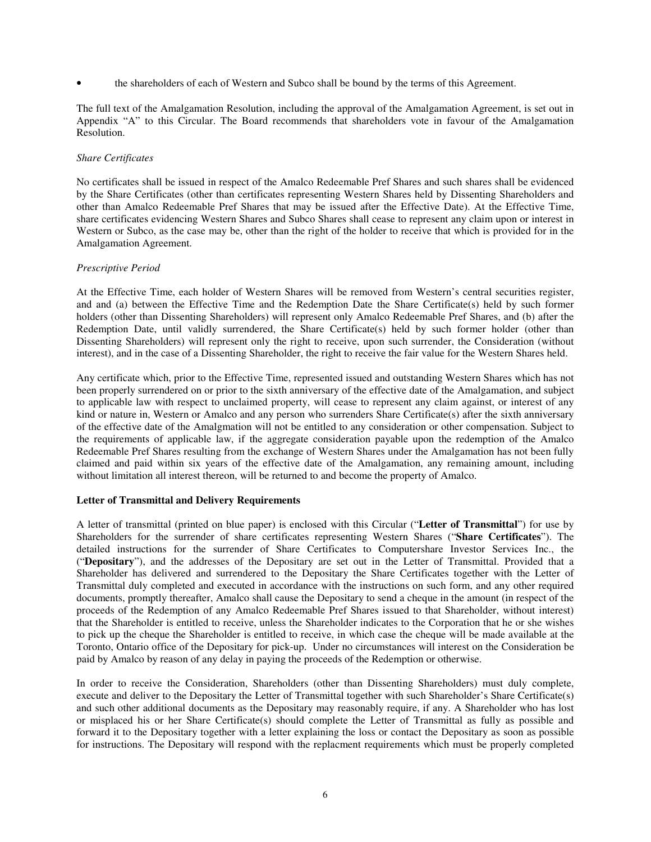• the shareholders of each of Western and Subco shall be bound by the terms of this Agreement.

The full text of the Amalgamation Resolution, including the approval of the Amalgamation Agreement, is set out in Appendix "A" to this Circular. The Board recommends that shareholders vote in favour of the Amalgamation Resolution.

#### *Share Certificates*

No certificates shall be issued in respect of the Amalco Redeemable Pref Shares and such shares shall be evidenced by the Share Certificates (other than certificates representing Western Shares held by Dissenting Shareholders and other than Amalco Redeemable Pref Shares that may be issued after the Effective Date). At the Effective Time, share certificates evidencing Western Shares and Subco Shares shall cease to represent any claim upon or interest in Western or Subco, as the case may be, other than the right of the holder to receive that which is provided for in the Amalgamation Agreement.

#### *Prescriptive Period*

At the Effective Time, each holder of Western Shares will be removed from Western's central securities register, and and (a) between the Effective Time and the Redemption Date the Share Certificate(s) held by such former holders (other than Dissenting Shareholders) will represent only Amalco Redeemable Pref Shares, and (b) after the Redemption Date, until validly surrendered, the Share Certificate(s) held by such former holder (other than Dissenting Shareholders) will represent only the right to receive, upon such surrender, the Consideration (without interest), and in the case of a Dissenting Shareholder, the right to receive the fair value for the Western Shares held.

Any certificate which, prior to the Effective Time, represented issued and outstanding Western Shares which has not been properly surrendered on or prior to the sixth anniversary of the effective date of the Amalgamation, and subject to applicable law with respect to unclaimed property, will cease to represent any claim against, or interest of any kind or nature in, Western or Amalco and any person who surrenders Share Certificate(s) after the sixth anniversary of the effective date of the Amalgmation will not be entitled to any consideration or other compensation. Subject to the requirements of applicable law, if the aggregate consideration payable upon the redemption of the Amalco Redeemable Pref Shares resulting from the exchange of Western Shares under the Amalgamation has not been fully claimed and paid within six years of the effective date of the Amalgamation, any remaining amount, including without limitation all interest thereon, will be returned to and become the property of Amalco.

# **Letter of Transmittal and Delivery Requirements**

A letter of transmittal (printed on blue paper) is enclosed with this Circular ("**Letter of Transmittal**") for use by Shareholders for the surrender of share certificates representing Western Shares ("**Share Certificates**"). The detailed instructions for the surrender of Share Certificates to Computershare Investor Services Inc., the ("**Depositary**"), and the addresses of the Depositary are set out in the Letter of Transmittal. Provided that a Shareholder has delivered and surrendered to the Depositary the Share Certificates together with the Letter of Transmittal duly completed and executed in accordance with the instructions on such form, and any other required documents, promptly thereafter, Amalco shall cause the Depositary to send a cheque in the amount (in respect of the proceeds of the Redemption of any Amalco Redeemable Pref Shares issued to that Shareholder, without interest) that the Shareholder is entitled to receive, unless the Shareholder indicates to the Corporation that he or she wishes to pick up the cheque the Shareholder is entitled to receive, in which case the cheque will be made available at the Toronto, Ontario office of the Depositary for pick-up. Under no circumstances will interest on the Consideration be paid by Amalco by reason of any delay in paying the proceeds of the Redemption or otherwise.

In order to receive the Consideration, Shareholders (other than Dissenting Shareholders) must duly complete, execute and deliver to the Depositary the Letter of Transmittal together with such Shareholder's Share Certificate(s) and such other additional documents as the Depositary may reasonably require, if any. A Shareholder who has lost or misplaced his or her Share Certificate(s) should complete the Letter of Transmittal as fully as possible and forward it to the Depositary together with a letter explaining the loss or contact the Depositary as soon as possible for instructions. The Depositary will respond with the replacment requirements which must be properly completed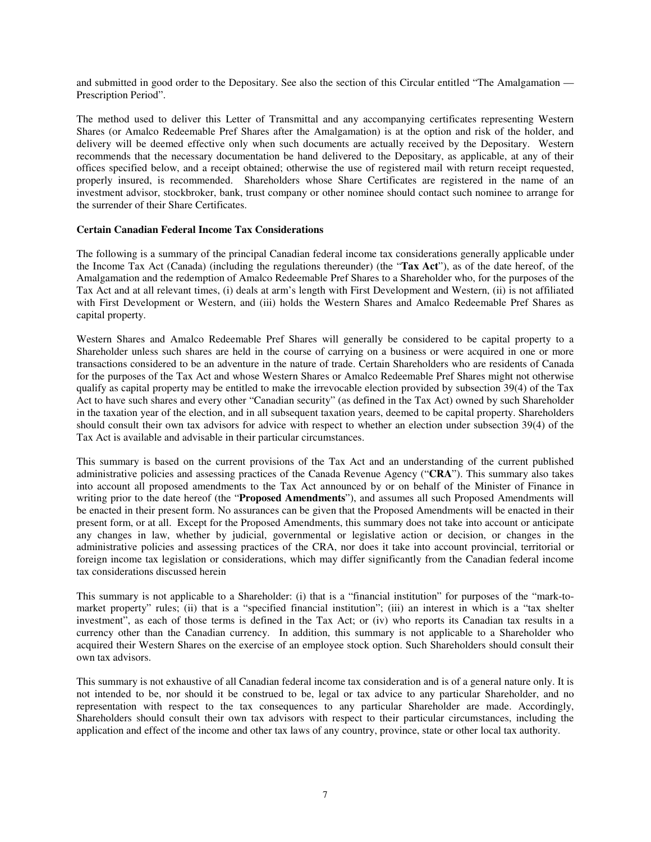and submitted in good order to the Depositary. See also the section of this Circular entitled "The Amalgamation — Prescription Period".

The method used to deliver this Letter of Transmittal and any accompanying certificates representing Western Shares (or Amalco Redeemable Pref Shares after the Amalgamation) is at the option and risk of the holder, and delivery will be deemed effective only when such documents are actually received by the Depositary. Western recommends that the necessary documentation be hand delivered to the Depositary, as applicable, at any of their offices specified below, and a receipt obtained; otherwise the use of registered mail with return receipt requested, properly insured, is recommended. Shareholders whose Share Certificates are registered in the name of an investment advisor, stockbroker, bank, trust company or other nominee should contact such nominee to arrange for the surrender of their Share Certificates.

#### **Certain Canadian Federal Income Tax Considerations**

The following is a summary of the principal Canadian federal income tax considerations generally applicable under the Income Tax Act (Canada) (including the regulations thereunder) (the "**Tax Act**"), as of the date hereof, of the Amalgamation and the redemption of Amalco Redeemable Pref Shares to a Shareholder who, for the purposes of the Tax Act and at all relevant times, (i) deals at arm's length with First Development and Western, (ii) is not affiliated with First Development or Western, and (iii) holds the Western Shares and Amalco Redeemable Pref Shares as capital property.

Western Shares and Amalco Redeemable Pref Shares will generally be considered to be capital property to a Shareholder unless such shares are held in the course of carrying on a business or were acquired in one or more transactions considered to be an adventure in the nature of trade. Certain Shareholders who are residents of Canada for the purposes of the Tax Act and whose Western Shares or Amalco Redeemable Pref Shares might not otherwise qualify as capital property may be entitled to make the irrevocable election provided by subsection 39(4) of the Tax Act to have such shares and every other "Canadian security" (as defined in the Tax Act) owned by such Shareholder in the taxation year of the election, and in all subsequent taxation years, deemed to be capital property. Shareholders should consult their own tax advisors for advice with respect to whether an election under subsection 39(4) of the Tax Act is available and advisable in their particular circumstances.

This summary is based on the current provisions of the Tax Act and an understanding of the current published administrative policies and assessing practices of the Canada Revenue Agency ("**CRA**"). This summary also takes into account all proposed amendments to the Tax Act announced by or on behalf of the Minister of Finance in writing prior to the date hereof (the "**Proposed Amendments**"), and assumes all such Proposed Amendments will be enacted in their present form. No assurances can be given that the Proposed Amendments will be enacted in their present form, or at all. Except for the Proposed Amendments, this summary does not take into account or anticipate any changes in law, whether by judicial, governmental or legislative action or decision, or changes in the administrative policies and assessing practices of the CRA, nor does it take into account provincial, territorial or foreign income tax legislation or considerations, which may differ significantly from the Canadian federal income tax considerations discussed herein

This summary is not applicable to a Shareholder: (i) that is a "financial institution" for purposes of the "mark-tomarket property" rules; (ii) that is a "specified financial institution"; (iii) an interest in which is a "tax shelter investment", as each of those terms is defined in the Tax Act; or (iv) who reports its Canadian tax results in a currency other than the Canadian currency. In addition, this summary is not applicable to a Shareholder who acquired their Western Shares on the exercise of an employee stock option. Such Shareholders should consult their own tax advisors.

This summary is not exhaustive of all Canadian federal income tax consideration and is of a general nature only. It is not intended to be, nor should it be construed to be, legal or tax advice to any particular Shareholder, and no representation with respect to the tax consequences to any particular Shareholder are made. Accordingly, Shareholders should consult their own tax advisors with respect to their particular circumstances, including the application and effect of the income and other tax laws of any country, province, state or other local tax authority.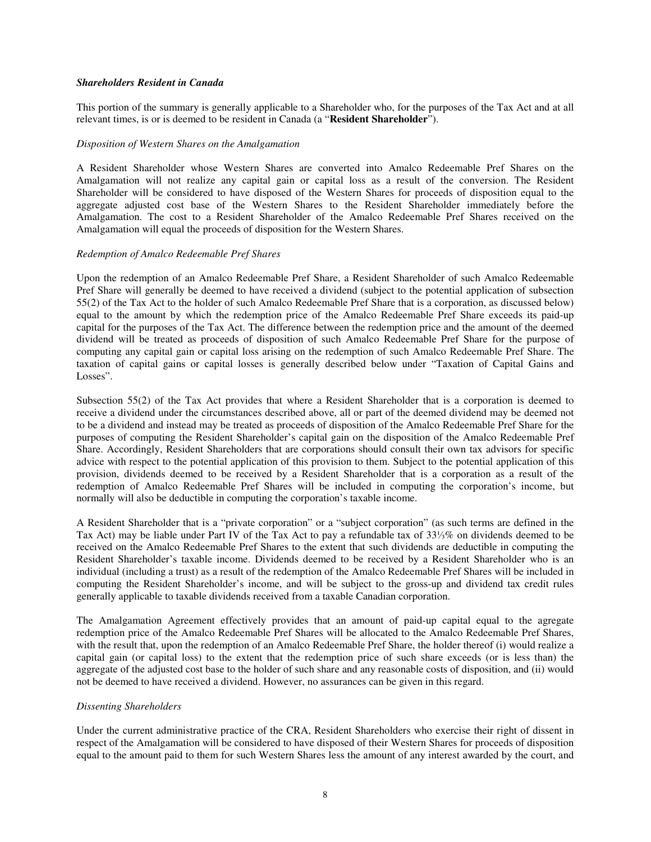#### *Shareholders Resident in Canada*

This portion of the summary is generally applicable to a Shareholder who, for the purposes of the Tax Act and at all relevant times, is or is deemed to be resident in Canada (a "**Resident Shareholder**").

#### *Disposition of Western Shares on the Amalgamation*

A Resident Shareholder whose Western Shares are converted into Amalco Redeemable Pref Shares on the Amalgamation will not realize any capital gain or capital loss as a result of the conversion. The Resident Shareholder will be considered to have disposed of the Western Shares for proceeds of disposition equal to the aggregate adjusted cost base of the Western Shares to the Resident Shareholder immediately before the Amalgamation. The cost to a Resident Shareholder of the Amalco Redeemable Pref Shares received on the Amalgamation will equal the proceeds of disposition for the Western Shares.

#### *Redemption of Amalco Redeemable Pref Shares*

Upon the redemption of an Amalco Redeemable Pref Share, a Resident Shareholder of such Amalco Redeemable Pref Share will generally be deemed to have received a dividend (subject to the potential application of subsection 55(2) of the Tax Act to the holder of such Amalco Redeemable Pref Share that is a corporation, as discussed below) equal to the amount by which the redemption price of the Amalco Redeemable Pref Share exceeds its paid-up capital for the purposes of the Tax Act. The difference between the redemption price and the amount of the deemed dividend will be treated as proceeds of disposition of such Amalco Redeemable Pref Share for the purpose of computing any capital gain or capital loss arising on the redemption of such Amalco Redeemable Pref Share. The taxation of capital gains or capital losses is generally described below under "Taxation of Capital Gains and Losses".

Subsection 55(2) of the Tax Act provides that where a Resident Shareholder that is a corporation is deemed to receive a dividend under the circumstances described above, all or part of the deemed dividend may be deemed not to be a dividend and instead may be treated as proceeds of disposition of the Amalco Redeemable Pref Share for the purposes of computing the Resident Shareholder's capital gain on the disposition of the Amalco Redeemable Pref Share. Accordingly, Resident Shareholders that are corporations should consult their own tax advisors for specific advice with respect to the potential application of this provision to them. Subject to the potential application of this provision, dividends deemed to be received by a Resident Shareholder that is a corporation as a result of the redemption of Amalco Redeemable Pref Shares will be included in computing the corporation's income, but normally will also be deductible in computing the corporation's taxable income.

A Resident Shareholder that is a "private corporation" or a "subject corporation" (as such terms are defined in the Tax Act) may be liable under Part IV of the Tax Act to pay a refundable tax of 33⅓% on dividends deemed to be received on the Amalco Redeemable Pref Shares to the extent that such dividends are deductible in computing the Resident Shareholder's taxable income. Dividends deemed to be received by a Resident Shareholder who is an individual (including a trust) as a result of the redemption of the Amalco Redeemable Pref Shares will be included in computing the Resident Shareholder's income, and will be subject to the gross-up and dividend tax credit rules generally applicable to taxable dividends received from a taxable Canadian corporation.

The Amalgamation Agreement effectively provides that an amount of paid-up capital equal to the agregate redemption price of the Amalco Redeemable Pref Shares will be allocated to the Amalco Redeemable Pref Shares, with the result that, upon the redemption of an Amalco Redeemable Pref Share, the holder thereof (i) would realize a capital gain (or capital loss) to the extent that the redemption price of such share exceeds (or is less than) the aggregate of the adjusted cost base to the holder of such share and any reasonable costs of disposition, and (ii) would not be deemed to have received a dividend. However, no assurances can be given in this regard.

#### *Dissenting Shareholders*

Under the current administrative practice of the CRA, Resident Shareholders who exercise their right of dissent in respect of the Amalgamation will be considered to have disposed of their Western Shares for proceeds of disposition equal to the amount paid to them for such Western Shares less the amount of any interest awarded by the court, and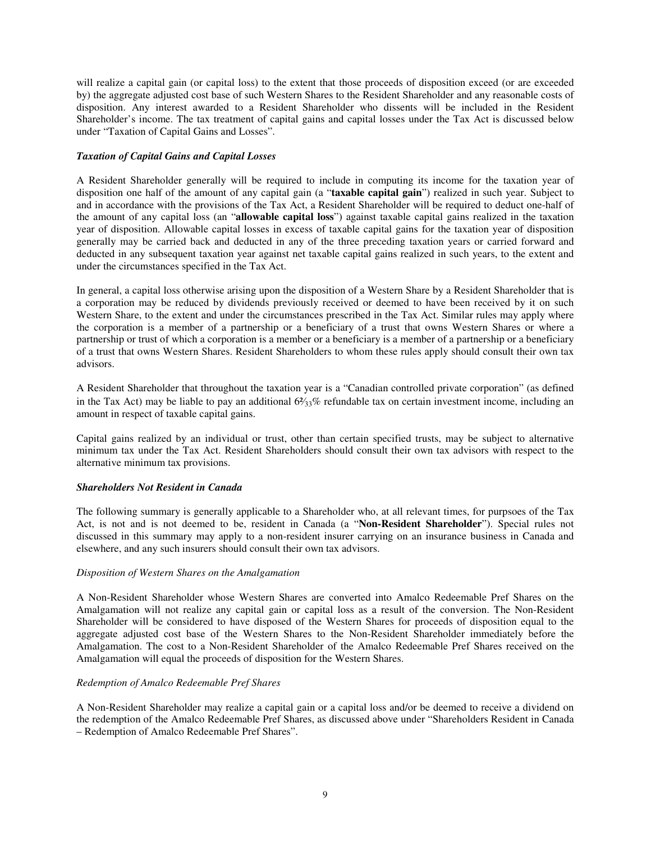will realize a capital gain (or capital loss) to the extent that those proceeds of disposition exceed (or are exceeded by) the aggregate adjusted cost base of such Western Shares to the Resident Shareholder and any reasonable costs of disposition. Any interest awarded to a Resident Shareholder who dissents will be included in the Resident Shareholder's income. The tax treatment of capital gains and capital losses under the Tax Act is discussed below under "Taxation of Capital Gains and Losses".

# *Taxation of Capital Gains and Capital Losses*

A Resident Shareholder generally will be required to include in computing its income for the taxation year of disposition one half of the amount of any capital gain (a "**taxable capital gain**") realized in such year. Subject to and in accordance with the provisions of the Tax Act, a Resident Shareholder will be required to deduct one-half of the amount of any capital loss (an "**allowable capital loss**") against taxable capital gains realized in the taxation year of disposition. Allowable capital losses in excess of taxable capital gains for the taxation year of disposition generally may be carried back and deducted in any of the three preceding taxation years or carried forward and deducted in any subsequent taxation year against net taxable capital gains realized in such years, to the extent and under the circumstances specified in the Tax Act.

In general, a capital loss otherwise arising upon the disposition of a Western Share by a Resident Shareholder that is a corporation may be reduced by dividends previously received or deemed to have been received by it on such Western Share, to the extent and under the circumstances prescribed in the Tax Act. Similar rules may apply where the corporation is a member of a partnership or a beneficiary of a trust that owns Western Shares or where a partnership or trust of which a corporation is a member or a beneficiary is a member of a partnership or a beneficiary of a trust that owns Western Shares. Resident Shareholders to whom these rules apply should consult their own tax advisors.

A Resident Shareholder that throughout the taxation year is a "Canadian controlled private corporation" (as defined in the Tax Act) may be liable to pay an additional  $6\frac{2}{3}\%$  refundable tax on certain investment income, including an amount in respect of taxable capital gains.

Capital gains realized by an individual or trust, other than certain specified trusts, may be subject to alternative minimum tax under the Tax Act. Resident Shareholders should consult their own tax advisors with respect to the alternative minimum tax provisions.

#### *Shareholders Not Resident in Canada*

The following summary is generally applicable to a Shareholder who, at all relevant times, for purpsoes of the Tax Act, is not and is not deemed to be, resident in Canada (a "**Non-Resident Shareholder**"). Special rules not discussed in this summary may apply to a non-resident insurer carrying on an insurance business in Canada and elsewhere, and any such insurers should consult their own tax advisors.

#### *Disposition of Western Shares on the Amalgamation*

A Non-Resident Shareholder whose Western Shares are converted into Amalco Redeemable Pref Shares on the Amalgamation will not realize any capital gain or capital loss as a result of the conversion. The Non-Resident Shareholder will be considered to have disposed of the Western Shares for proceeds of disposition equal to the aggregate adjusted cost base of the Western Shares to the Non-Resident Shareholder immediately before the Amalgamation. The cost to a Non-Resident Shareholder of the Amalco Redeemable Pref Shares received on the Amalgamation will equal the proceeds of disposition for the Western Shares.

#### *Redemption of Amalco Redeemable Pref Shares*

A Non-Resident Shareholder may realize a capital gain or a capital loss and/or be deemed to receive a dividend on the redemption of the Amalco Redeemable Pref Shares, as discussed above under "Shareholders Resident in Canada – Redemption of Amalco Redeemable Pref Shares".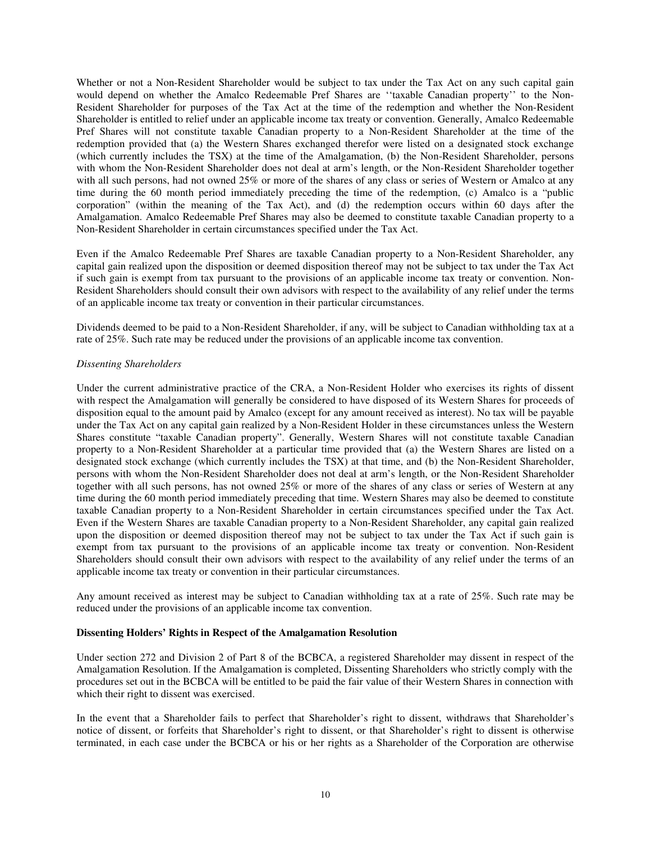Whether or not a Non-Resident Shareholder would be subject to tax under the Tax Act on any such capital gain would depend on whether the Amalco Redeemable Pref Shares are ''taxable Canadian property'' to the Non-Resident Shareholder for purposes of the Tax Act at the time of the redemption and whether the Non-Resident Shareholder is entitled to relief under an applicable income tax treaty or convention. Generally, Amalco Redeemable Pref Shares will not constitute taxable Canadian property to a Non-Resident Shareholder at the time of the redemption provided that (a) the Western Shares exchanged therefor were listed on a designated stock exchange (which currently includes the TSX) at the time of the Amalgamation, (b) the Non-Resident Shareholder, persons with whom the Non-Resident Shareholder does not deal at arm's length, or the Non-Resident Shareholder together with all such persons, had not owned 25% or more of the shares of any class or series of Western or Amalco at any time during the 60 month period immediately preceding the time of the redemption, (c) Amalco is a "public corporation" (within the meaning of the Tax Act), and (d) the redemption occurs within 60 days after the Amalgamation. Amalco Redeemable Pref Shares may also be deemed to constitute taxable Canadian property to a Non-Resident Shareholder in certain circumstances specified under the Tax Act.

Even if the Amalco Redeemable Pref Shares are taxable Canadian property to a Non-Resident Shareholder, any capital gain realized upon the disposition or deemed disposition thereof may not be subject to tax under the Tax Act if such gain is exempt from tax pursuant to the provisions of an applicable income tax treaty or convention. Non-Resident Shareholders should consult their own advisors with respect to the availability of any relief under the terms of an applicable income tax treaty or convention in their particular circumstances.

Dividends deemed to be paid to a Non-Resident Shareholder, if any, will be subject to Canadian withholding tax at a rate of 25%. Such rate may be reduced under the provisions of an applicable income tax convention.

#### *Dissenting Shareholders*

Under the current administrative practice of the CRA, a Non-Resident Holder who exercises its rights of dissent with respect the Amalgamation will generally be considered to have disposed of its Western Shares for proceeds of disposition equal to the amount paid by Amalco (except for any amount received as interest). No tax will be payable under the Tax Act on any capital gain realized by a Non-Resident Holder in these circumstances unless the Western Shares constitute "taxable Canadian property". Generally, Western Shares will not constitute taxable Canadian property to a Non-Resident Shareholder at a particular time provided that (a) the Western Shares are listed on a designated stock exchange (which currently includes the TSX) at that time, and (b) the Non-Resident Shareholder, persons with whom the Non-Resident Shareholder does not deal at arm's length, or the Non-Resident Shareholder together with all such persons, has not owned 25% or more of the shares of any class or series of Western at any time during the 60 month period immediately preceding that time. Western Shares may also be deemed to constitute taxable Canadian property to a Non-Resident Shareholder in certain circumstances specified under the Tax Act. Even if the Western Shares are taxable Canadian property to a Non-Resident Shareholder, any capital gain realized upon the disposition or deemed disposition thereof may not be subject to tax under the Tax Act if such gain is exempt from tax pursuant to the provisions of an applicable income tax treaty or convention. Non-Resident Shareholders should consult their own advisors with respect to the availability of any relief under the terms of an applicable income tax treaty or convention in their particular circumstances.

Any amount received as interest may be subject to Canadian withholding tax at a rate of 25%. Such rate may be reduced under the provisions of an applicable income tax convention.

#### **Dissenting Holders' Rights in Respect of the Amalgamation Resolution**

Under section 272 and Division 2 of Part 8 of the BCBCA, a registered Shareholder may dissent in respect of the Amalgamation Resolution. If the Amalgamation is completed, Dissenting Shareholders who strictly comply with the procedures set out in the BCBCA will be entitled to be paid the fair value of their Western Shares in connection with which their right to dissent was exercised.

In the event that a Shareholder fails to perfect that Shareholder's right to dissent, withdraws that Shareholder's notice of dissent, or forfeits that Shareholder's right to dissent, or that Shareholder's right to dissent is otherwise terminated, in each case under the BCBCA or his or her rights as a Shareholder of the Corporation are otherwise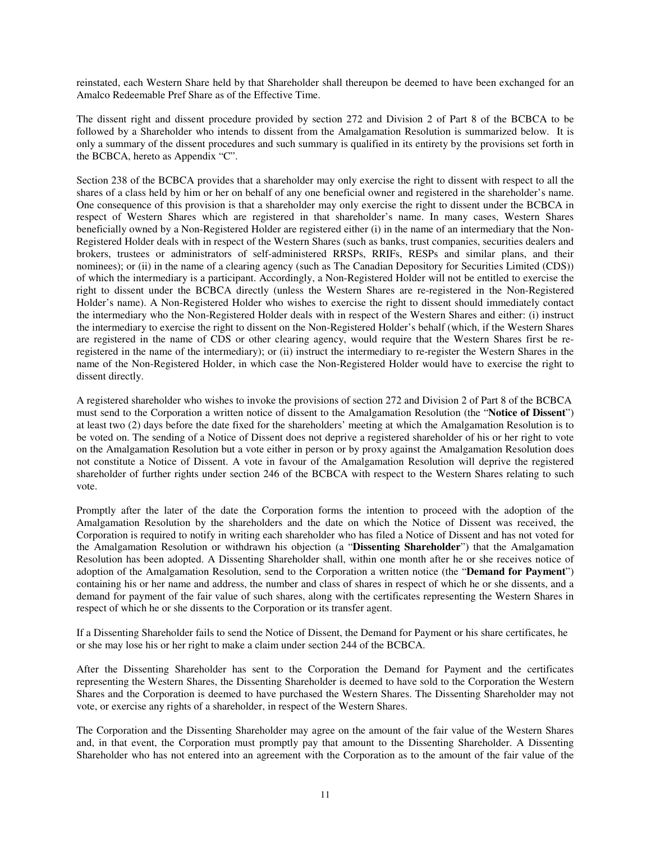reinstated, each Western Share held by that Shareholder shall thereupon be deemed to have been exchanged for an Amalco Redeemable Pref Share as of the Effective Time.

The dissent right and dissent procedure provided by section 272 and Division 2 of Part 8 of the BCBCA to be followed by a Shareholder who intends to dissent from the Amalgamation Resolution is summarized below. It is only a summary of the dissent procedures and such summary is qualified in its entirety by the provisions set forth in the BCBCA, hereto as Appendix "C".

Section 238 of the BCBCA provides that a shareholder may only exercise the right to dissent with respect to all the shares of a class held by him or her on behalf of any one beneficial owner and registered in the shareholder's name. One consequence of this provision is that a shareholder may only exercise the right to dissent under the BCBCA in respect of Western Shares which are registered in that shareholder's name. In many cases, Western Shares beneficially owned by a Non-Registered Holder are registered either (i) in the name of an intermediary that the Non-Registered Holder deals with in respect of the Western Shares (such as banks, trust companies, securities dealers and brokers, trustees or administrators of self-administered RRSPs, RRIFs, RESPs and similar plans, and their nominees); or (ii) in the name of a clearing agency (such as The Canadian Depository for Securities Limited (CDS)) of which the intermediary is a participant. Accordingly, a Non-Registered Holder will not be entitled to exercise the right to dissent under the BCBCA directly (unless the Western Shares are re-registered in the Non-Registered Holder's name). A Non-Registered Holder who wishes to exercise the right to dissent should immediately contact the intermediary who the Non-Registered Holder deals with in respect of the Western Shares and either: (i) instruct the intermediary to exercise the right to dissent on the Non-Registered Holder's behalf (which, if the Western Shares are registered in the name of CDS or other clearing agency, would require that the Western Shares first be reregistered in the name of the intermediary); or (ii) instruct the intermediary to re-register the Western Shares in the name of the Non-Registered Holder, in which case the Non-Registered Holder would have to exercise the right to dissent directly.

A registered shareholder who wishes to invoke the provisions of section 272 and Division 2 of Part 8 of the BCBCA must send to the Corporation a written notice of dissent to the Amalgamation Resolution (the "**Notice of Dissent**") at least two (2) days before the date fixed for the shareholders' meeting at which the Amalgamation Resolution is to be voted on. The sending of a Notice of Dissent does not deprive a registered shareholder of his or her right to vote on the Amalgamation Resolution but a vote either in person or by proxy against the Amalgamation Resolution does not constitute a Notice of Dissent. A vote in favour of the Amalgamation Resolution will deprive the registered shareholder of further rights under section 246 of the BCBCA with respect to the Western Shares relating to such vote.

Promptly after the later of the date the Corporation forms the intention to proceed with the adoption of the Amalgamation Resolution by the shareholders and the date on which the Notice of Dissent was received, the Corporation is required to notify in writing each shareholder who has filed a Notice of Dissent and has not voted for the Amalgamation Resolution or withdrawn his objection (a "**Dissenting Shareholder**") that the Amalgamation Resolution has been adopted. A Dissenting Shareholder shall, within one month after he or she receives notice of adoption of the Amalgamation Resolution, send to the Corporation a written notice (the "**Demand for Payment**") containing his or her name and address, the number and class of shares in respect of which he or she dissents, and a demand for payment of the fair value of such shares, along with the certificates representing the Western Shares in respect of which he or she dissents to the Corporation or its transfer agent.

If a Dissenting Shareholder fails to send the Notice of Dissent, the Demand for Payment or his share certificates, he or she may lose his or her right to make a claim under section 244 of the BCBCA.

After the Dissenting Shareholder has sent to the Corporation the Demand for Payment and the certificates representing the Western Shares, the Dissenting Shareholder is deemed to have sold to the Corporation the Western Shares and the Corporation is deemed to have purchased the Western Shares. The Dissenting Shareholder may not vote, or exercise any rights of a shareholder, in respect of the Western Shares.

The Corporation and the Dissenting Shareholder may agree on the amount of the fair value of the Western Shares and, in that event, the Corporation must promptly pay that amount to the Dissenting Shareholder. A Dissenting Shareholder who has not entered into an agreement with the Corporation as to the amount of the fair value of the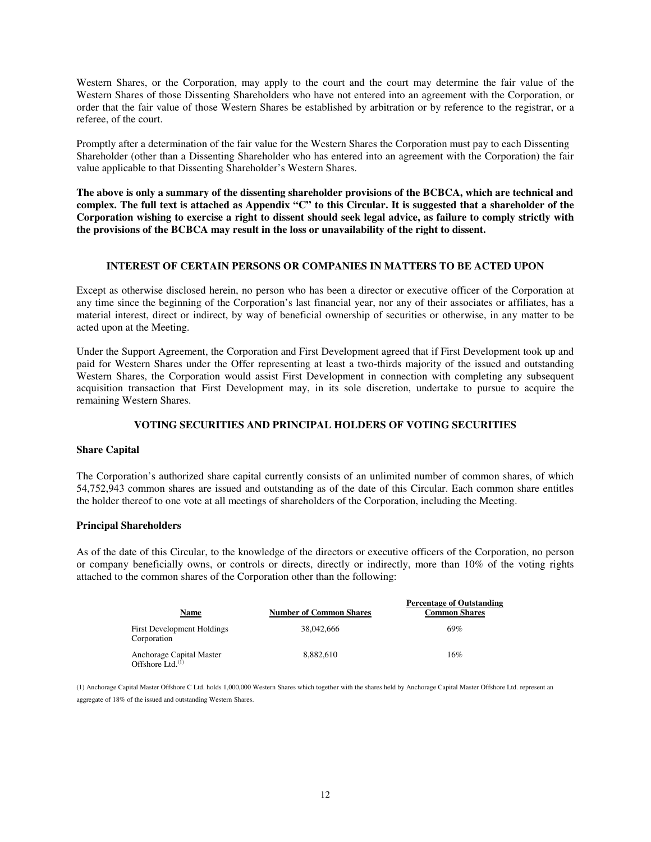Western Shares, or the Corporation, may apply to the court and the court may determine the fair value of the Western Shares of those Dissenting Shareholders who have not entered into an agreement with the Corporation, or order that the fair value of those Western Shares be established by arbitration or by reference to the registrar, or a referee, of the court.

Promptly after a determination of the fair value for the Western Shares the Corporation must pay to each Dissenting Shareholder (other than a Dissenting Shareholder who has entered into an agreement with the Corporation) the fair value applicable to that Dissenting Shareholder's Western Shares.

**The above is only a summary of the dissenting shareholder provisions of the BCBCA, which are technical and complex. The full text is attached as Appendix "C" to this Circular. It is suggested that a shareholder of the Corporation wishing to exercise a right to dissent should seek legal advice, as failure to comply strictly with the provisions of the BCBCA may result in the loss or unavailability of the right to dissent.** 

# **INTEREST OF CERTAIN PERSONS OR COMPANIES IN MATTERS TO BE ACTED UPON**

Except as otherwise disclosed herein, no person who has been a director or executive officer of the Corporation at any time since the beginning of the Corporation's last financial year, nor any of their associates or affiliates, has a material interest, direct or indirect, by way of beneficial ownership of securities or otherwise, in any matter to be acted upon at the Meeting.

Under the Support Agreement, the Corporation and First Development agreed that if First Development took up and paid for Western Shares under the Offer representing at least a two-thirds majority of the issued and outstanding Western Shares, the Corporation would assist First Development in connection with completing any subsequent acquisition transaction that First Development may, in its sole discretion, undertake to pursue to acquire the remaining Western Shares.

#### **VOTING SECURITIES AND PRINCIPAL HOLDERS OF VOTING SECURITIES**

#### **Share Capital**

The Corporation's authorized share capital currently consists of an unlimited number of common shares, of which 54,752,943 common shares are issued and outstanding as of the date of this Circular. Each common share entitles the holder thereof to one vote at all meetings of shareholders of the Corporation, including the Meeting.

#### **Principal Shareholders**

As of the date of this Circular, to the knowledge of the directors or executive officers of the Corporation, no person or company beneficially owns, or controls or directs, directly or indirectly, more than 10% of the voting rights attached to the common shares of the Corporation other than the following:

| Name                                                     | <b>Number of Common Shares</b> | <b>Percentage of Outstanding</b><br><b>Common Shares</b> |
|----------------------------------------------------------|--------------------------------|----------------------------------------------------------|
| <b>First Development Holdings</b><br>Corporation         | 38,042,666                     | 69%                                                      |
| Anchorage Capital Master<br>Offshore Ltd. <sup>(1)</sup> | 8.882.610                      | 16%                                                      |

(1) Anchorage Capital Master Offshore C Ltd. holds 1,000,000 Western Shares which together with the shares held by Anchorage Capital Master Offshore Ltd. represent an aggregate of 18% of the issued and outstanding Western Shares.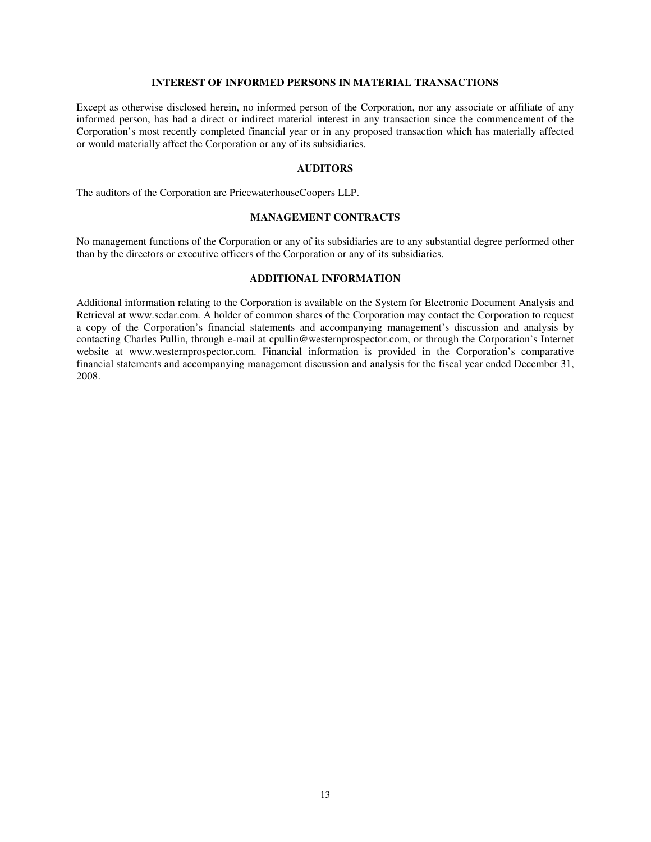# **INTEREST OF INFORMED PERSONS IN MATERIAL TRANSACTIONS**

Except as otherwise disclosed herein, no informed person of the Corporation, nor any associate or affiliate of any informed person, has had a direct or indirect material interest in any transaction since the commencement of the Corporation's most recently completed financial year or in any proposed transaction which has materially affected or would materially affect the Corporation or any of its subsidiaries.

#### **AUDITORS**

The auditors of the Corporation are PricewaterhouseCoopers LLP.

# **MANAGEMENT CONTRACTS**

No management functions of the Corporation or any of its subsidiaries are to any substantial degree performed other than by the directors or executive officers of the Corporation or any of its subsidiaries.

#### **ADDITIONAL INFORMATION**

Additional information relating to the Corporation is available on the System for Electronic Document Analysis and Retrieval at www.sedar.com. A holder of common shares of the Corporation may contact the Corporation to request a copy of the Corporation's financial statements and accompanying management's discussion and analysis by contacting Charles Pullin, through e-mail at cpullin@westernprospector.com, or through the Corporation's Internet website at www.westernprospector.com. Financial information is provided in the Corporation's comparative financial statements and accompanying management discussion and analysis for the fiscal year ended December 31, 2008.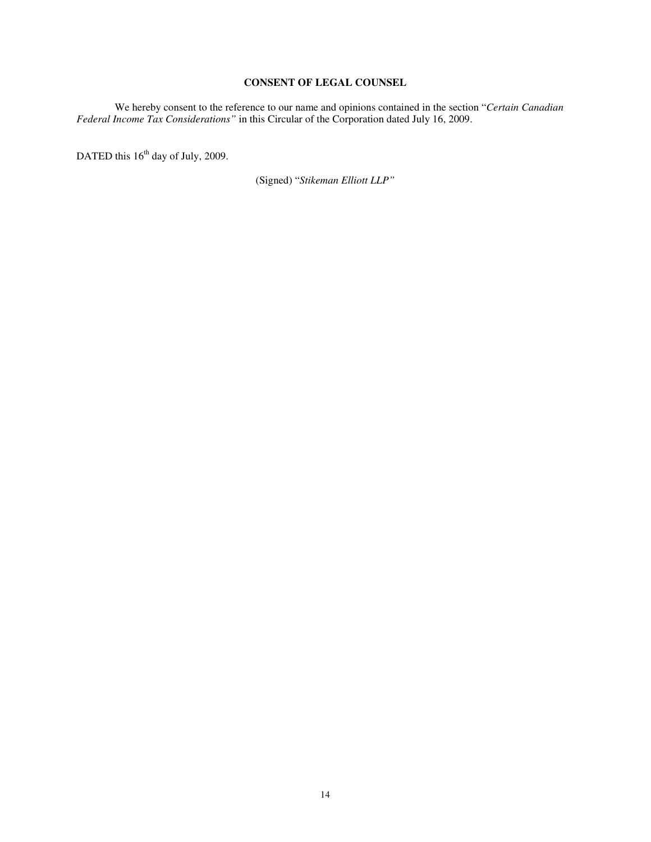# **CONSENT OF LEGAL COUNSEL**

We hereby consent to the reference to our name and opinions contained in the section "*Certain Canadian Federal Income Tax Considerations"* in this Circular of the Corporation dated July 16, 2009.

DATED this  $16^{th}$  day of July, 2009.

(Signed) "*Stikeman Elliott LLP"*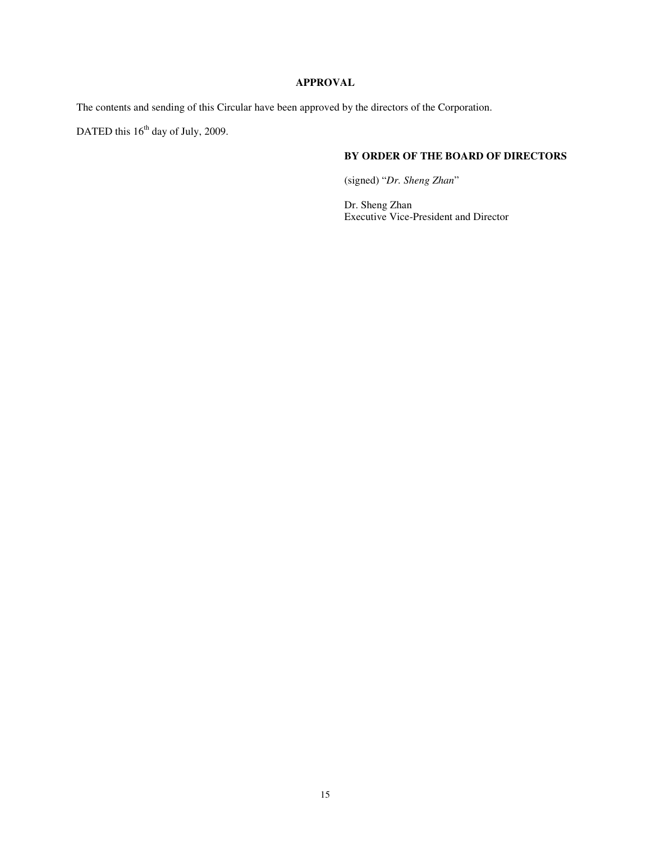# **APPROVAL**

The contents and sending of this Circular have been approved by the directors of the Corporation.

DATED this  $16<sup>th</sup>$  day of July, 2009.

# **BY ORDER OF THE BOARD OF DIRECTORS**

(signed) "*Dr. Sheng Zhan*"

Dr. Sheng Zhan Executive Vice-President and Director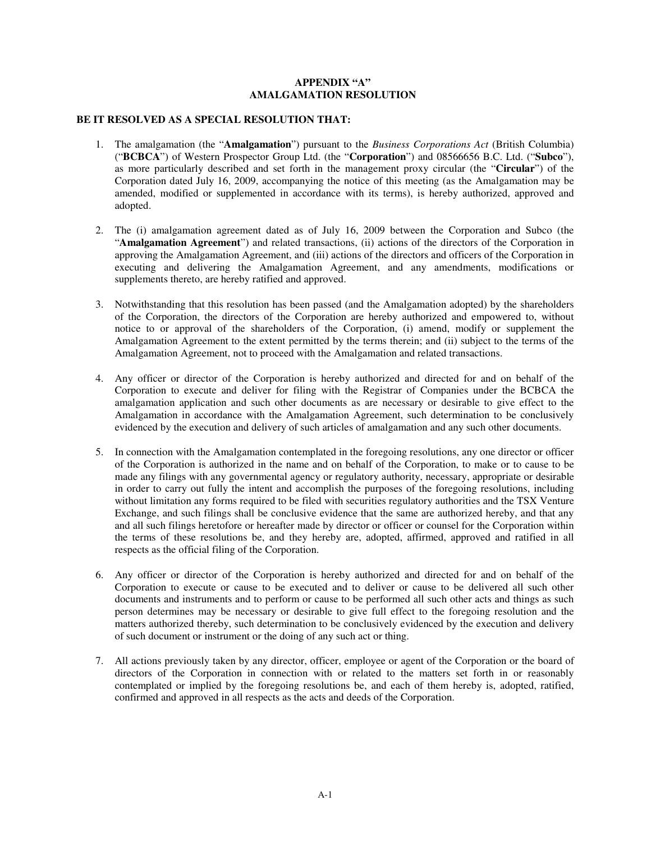#### **APPENDIX "A" AMALGAMATION RESOLUTION**

#### **BE IT RESOLVED AS A SPECIAL RESOLUTION THAT:**

- 1. The amalgamation (the "**Amalgamation**") pursuant to the *Business Corporations Act* (British Columbia) ("**BCBCA**") of Western Prospector Group Ltd. (the "**Corporation**") and 08566656 B.C. Ltd. ("**Subco**"), as more particularly described and set forth in the management proxy circular (the "**Circular**") of the Corporation dated July 16, 2009, accompanying the notice of this meeting (as the Amalgamation may be amended, modified or supplemented in accordance with its terms), is hereby authorized, approved and adopted.
- 2. The (i) amalgamation agreement dated as of July 16, 2009 between the Corporation and Subco (the "**Amalgamation Agreement**") and related transactions, (ii) actions of the directors of the Corporation in approving the Amalgamation Agreement, and (iii) actions of the directors and officers of the Corporation in executing and delivering the Amalgamation Agreement, and any amendments, modifications or supplements thereto, are hereby ratified and approved.
- 3. Notwithstanding that this resolution has been passed (and the Amalgamation adopted) by the shareholders of the Corporation, the directors of the Corporation are hereby authorized and empowered to, without notice to or approval of the shareholders of the Corporation, (i) amend, modify or supplement the Amalgamation Agreement to the extent permitted by the terms therein; and (ii) subject to the terms of the Amalgamation Agreement, not to proceed with the Amalgamation and related transactions.
- 4. Any officer or director of the Corporation is hereby authorized and directed for and on behalf of the Corporation to execute and deliver for filing with the Registrar of Companies under the BCBCA the amalgamation application and such other documents as are necessary or desirable to give effect to the Amalgamation in accordance with the Amalgamation Agreement, such determination to be conclusively evidenced by the execution and delivery of such articles of amalgamation and any such other documents.
- 5. In connection with the Amalgamation contemplated in the foregoing resolutions, any one director or officer of the Corporation is authorized in the name and on behalf of the Corporation, to make or to cause to be made any filings with any governmental agency or regulatory authority, necessary, appropriate or desirable in order to carry out fully the intent and accomplish the purposes of the foregoing resolutions, including without limitation any forms required to be filed with securities regulatory authorities and the TSX Venture Exchange, and such filings shall be conclusive evidence that the same are authorized hereby, and that any and all such filings heretofore or hereafter made by director or officer or counsel for the Corporation within the terms of these resolutions be, and they hereby are, adopted, affirmed, approved and ratified in all respects as the official filing of the Corporation.
- 6. Any officer or director of the Corporation is hereby authorized and directed for and on behalf of the Corporation to execute or cause to be executed and to deliver or cause to be delivered all such other documents and instruments and to perform or cause to be performed all such other acts and things as such person determines may be necessary or desirable to give full effect to the foregoing resolution and the matters authorized thereby, such determination to be conclusively evidenced by the execution and delivery of such document or instrument or the doing of any such act or thing.
- 7. All actions previously taken by any director, officer, employee or agent of the Corporation or the board of directors of the Corporation in connection with or related to the matters set forth in or reasonably contemplated or implied by the foregoing resolutions be, and each of them hereby is, adopted, ratified, confirmed and approved in all respects as the acts and deeds of the Corporation.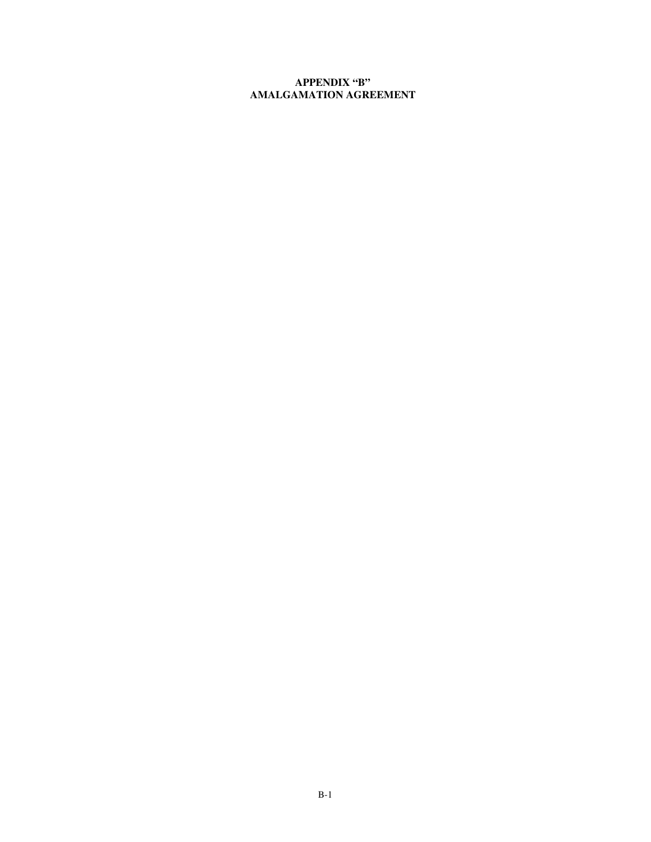# **APPENDIX "B" AMALGAMATION AGREEMENT**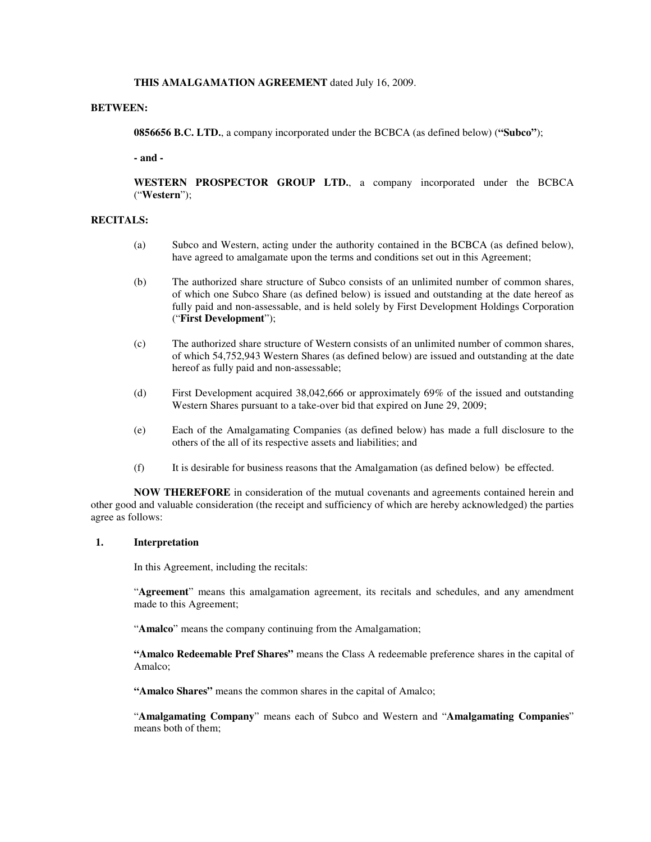#### **THIS AMALGAMATION AGREEMENT** dated July 16, 2009.

#### **BETWEEN:**

**0856656 B.C. LTD.**, a company incorporated under the BCBCA (as defined below) (**"Subco"**);

**- and -** 

**WESTERN PROSPECTOR GROUP LTD.**, a company incorporated under the BCBCA ("**Western**");

#### **RECITALS:**

- (a) Subco and Western, acting under the authority contained in the BCBCA (as defined below), have agreed to amalgamate upon the terms and conditions set out in this Agreement;
- (b) The authorized share structure of Subco consists of an unlimited number of common shares, of which one Subco Share (as defined below) is issued and outstanding at the date hereof as fully paid and non-assessable, and is held solely by First Development Holdings Corporation ("**First Development**");
- (c) The authorized share structure of Western consists of an unlimited number of common shares, of which 54,752,943 Western Shares (as defined below) are issued and outstanding at the date hereof as fully paid and non-assessable;
- (d) First Development acquired 38,042,666 or approximately 69% of the issued and outstanding Western Shares pursuant to a take-over bid that expired on June 29, 2009;
- (e) Each of the Amalgamating Companies (as defined below) has made a full disclosure to the others of the all of its respective assets and liabilities; and
- (f) It is desirable for business reasons that the Amalgamation (as defined below) be effected.

**NOW THEREFORE** in consideration of the mutual covenants and agreements contained herein and other good and valuable consideration (the receipt and sufficiency of which are hereby acknowledged) the parties agree as follows:

#### **1. Interpretation**

In this Agreement, including the recitals:

"**Agreement**" means this amalgamation agreement, its recitals and schedules, and any amendment made to this Agreement;

"**Amalco**" means the company continuing from the Amalgamation;

**"Amalco Redeemable Pref Shares"** means the Class A redeemable preference shares in the capital of Amalco;

**"Amalco Shares"** means the common shares in the capital of Amalco;

"**Amalgamating Company**" means each of Subco and Western and "**Amalgamating Companies**" means both of them;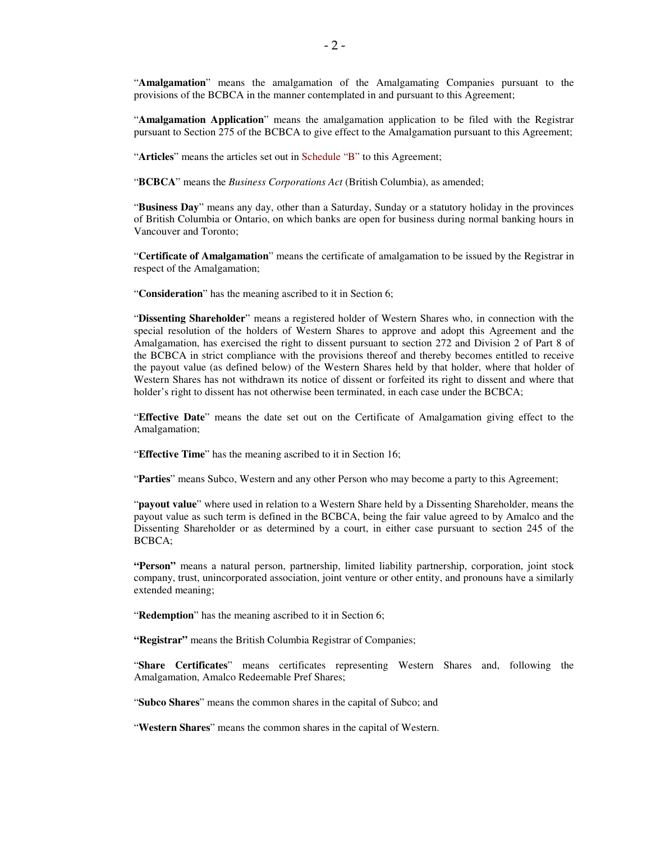"**Amalgamation**" means the amalgamation of the Amalgamating Companies pursuant to the provisions of the BCBCA in the manner contemplated in and pursuant to this Agreement;

"**Amalgamation Application**" means the amalgamation application to be filed with the Registrar pursuant to Section 275 of the BCBCA to give effect to the Amalgamation pursuant to this Agreement;

"**Articles**" means the articles set out in Schedule "B" to this Agreement;

"**BCBCA**" means the *Business Corporations Act* (British Columbia), as amended;

"**Business Day**" means any day, other than a Saturday, Sunday or a statutory holiday in the provinces of British Columbia or Ontario, on which banks are open for business during normal banking hours in Vancouver and Toronto;

"**Certificate of Amalgamation**" means the certificate of amalgamation to be issued by the Registrar in respect of the Amalgamation;

"**Consideration**" has the meaning ascribed to it in Section 6;

"**Dissenting Shareholder**" means a registered holder of Western Shares who, in connection with the special resolution of the holders of Western Shares to approve and adopt this Agreement and the Amalgamation, has exercised the right to dissent pursuant to section 272 and Division 2 of Part 8 of the BCBCA in strict compliance with the provisions thereof and thereby becomes entitled to receive the payout value (as defined below) of the Western Shares held by that holder, where that holder of Western Shares has not withdrawn its notice of dissent or forfeited its right to dissent and where that holder's right to dissent has not otherwise been terminated, in each case under the BCBCA;

"**Effective Date**" means the date set out on the Certificate of Amalgamation giving effect to the Amalgamation;

"**Effective Time**" has the meaning ascribed to it in Section 16;

"**Parties**" means Subco, Western and any other Person who may become a party to this Agreement;

"**payout value**" where used in relation to a Western Share held by a Dissenting Shareholder, means the payout value as such term is defined in the BCBCA, being the fair value agreed to by Amalco and the Dissenting Shareholder or as determined by a court, in either case pursuant to section 245 of the BCBCA;

**"Person"** means a natural person, partnership, limited liability partnership, corporation, joint stock company, trust, unincorporated association, joint venture or other entity, and pronouns have a similarly extended meaning;

"**Redemption**" has the meaning ascribed to it in Section 6;

**"Registrar"** means the British Columbia Registrar of Companies;

"**Share Certificates**" means certificates representing Western Shares and, following the Amalgamation, Amalco Redeemable Pref Shares;

"**Subco Shares**" means the common shares in the capital of Subco; and

"**Western Shares**" means the common shares in the capital of Western.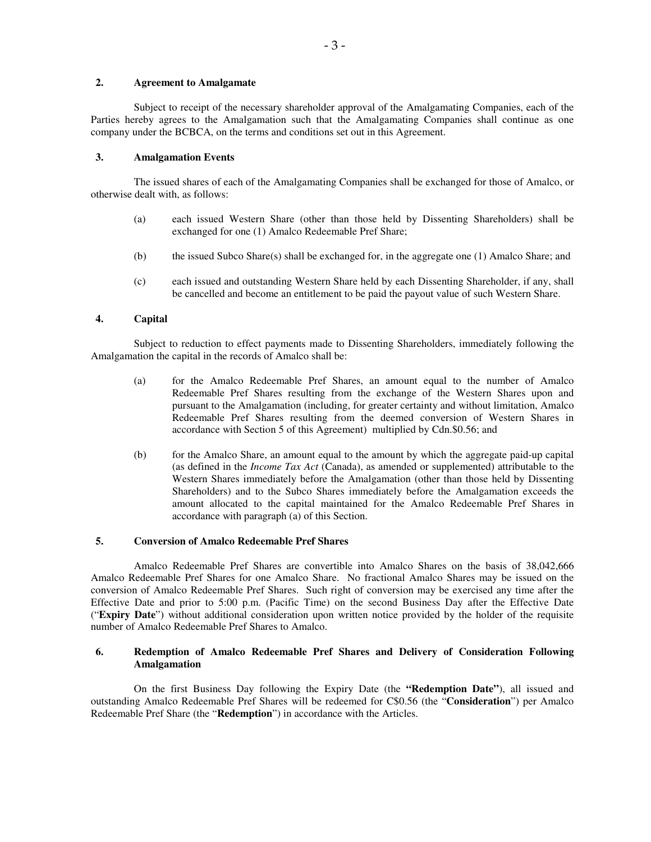#### **2. Agreement to Amalgamate**

Subject to receipt of the necessary shareholder approval of the Amalgamating Companies, each of the Parties hereby agrees to the Amalgamation such that the Amalgamating Companies shall continue as one company under the BCBCA, on the terms and conditions set out in this Agreement.

#### **3. Amalgamation Events**

The issued shares of each of the Amalgamating Companies shall be exchanged for those of Amalco, or otherwise dealt with, as follows:

- (a) each issued Western Share (other than those held by Dissenting Shareholders) shall be exchanged for one (1) Amalco Redeemable Pref Share;
- (b) the issued Subco Share(s) shall be exchanged for, in the aggregate one (1) Amalco Share; and
- (c) each issued and outstanding Western Share held by each Dissenting Shareholder, if any, shall be cancelled and become an entitlement to be paid the payout value of such Western Share.

#### **4. Capital**

Subject to reduction to effect payments made to Dissenting Shareholders, immediately following the Amalgamation the capital in the records of Amalco shall be:

- (a) for the Amalco Redeemable Pref Shares, an amount equal to the number of Amalco Redeemable Pref Shares resulting from the exchange of the Western Shares upon and pursuant to the Amalgamation (including, for greater certainty and without limitation, Amalco Redeemable Pref Shares resulting from the deemed conversion of Western Shares in accordance with Section 5 of this Agreement) multiplied by Cdn.\$0.56; and
- (b) for the Amalco Share, an amount equal to the amount by which the aggregate paid-up capital (as defined in the *Income Tax Act* (Canada), as amended or supplemented) attributable to the Western Shares immediately before the Amalgamation (other than those held by Dissenting Shareholders) and to the Subco Shares immediately before the Amalgamation exceeds the amount allocated to the capital maintained for the Amalco Redeemable Pref Shares in accordance with paragraph (a) of this Section.

#### **5. Conversion of Amalco Redeemable Pref Shares**

Amalco Redeemable Pref Shares are convertible into Amalco Shares on the basis of 38,042,666 Amalco Redeemable Pref Shares for one Amalco Share. No fractional Amalco Shares may be issued on the conversion of Amalco Redeemable Pref Shares. Such right of conversion may be exercised any time after the Effective Date and prior to 5:00 p.m. (Pacific Time) on the second Business Day after the Effective Date ("**Expiry Date**") without additional consideration upon written notice provided by the holder of the requisite number of Amalco Redeemable Pref Shares to Amalco.

#### **6. Redemption of Amalco Redeemable Pref Shares and Delivery of Consideration Following Amalgamation**

On the first Business Day following the Expiry Date (the **"Redemption Date"**), all issued and outstanding Amalco Redeemable Pref Shares will be redeemed for C\$0.56 (the "**Consideration**") per Amalco Redeemable Pref Share (the "**Redemption**") in accordance with the Articles.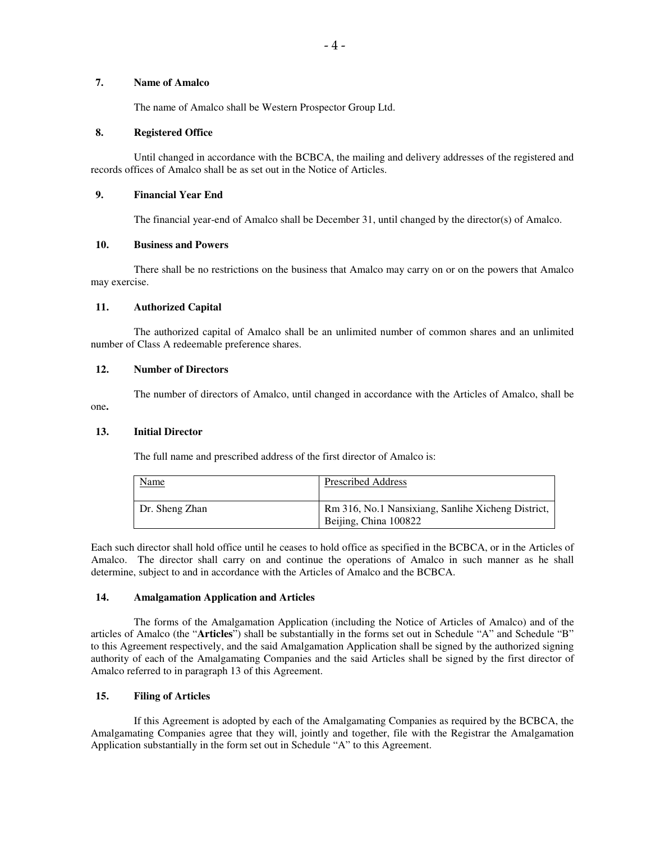# **7. Name of Amalco**

The name of Amalco shall be Western Prospector Group Ltd.

#### **8. Registered Office**

Until changed in accordance with the BCBCA, the mailing and delivery addresses of the registered and records offices of Amalco shall be as set out in the Notice of Articles.

#### **9. Financial Year End**

The financial year-end of Amalco shall be December 31, until changed by the director(s) of Amalco.

#### **10. Business and Powers**

There shall be no restrictions on the business that Amalco may carry on or on the powers that Amalco may exercise.

#### **11. Authorized Capital**

The authorized capital of Amalco shall be an unlimited number of common shares and an unlimited number of Class A redeemable preference shares.

#### **12. Number of Directors**

The number of directors of Amalco, until changed in accordance with the Articles of Amalco, shall be one**.** 

#### **13. Initial Director**

The full name and prescribed address of the first director of Amalco is:

| <b>Name</b>    | <b>Prescribed Address</b>                                                   |
|----------------|-----------------------------------------------------------------------------|
| Dr. Sheng Zhan | Rm 316, No.1 Nansixiang, Sanlihe Xicheng District,<br>Beijing, China 100822 |

Each such director shall hold office until he ceases to hold office as specified in the BCBCA, or in the Articles of Amalco. The director shall carry on and continue the operations of Amalco in such manner as he shall determine, subject to and in accordance with the Articles of Amalco and the BCBCA.

#### **14. Amalgamation Application and Articles**

The forms of the Amalgamation Application (including the Notice of Articles of Amalco) and of the articles of Amalco (the "**Articles**") shall be substantially in the forms set out in Schedule "A" and Schedule "B" to this Agreement respectively, and the said Amalgamation Application shall be signed by the authorized signing authority of each of the Amalgamating Companies and the said Articles shall be signed by the first director of Amalco referred to in paragraph 13 of this Agreement.

#### **15. Filing of Articles**

If this Agreement is adopted by each of the Amalgamating Companies as required by the BCBCA, the Amalgamating Companies agree that they will, jointly and together, file with the Registrar the Amalgamation Application substantially in the form set out in Schedule "A" to this Agreement.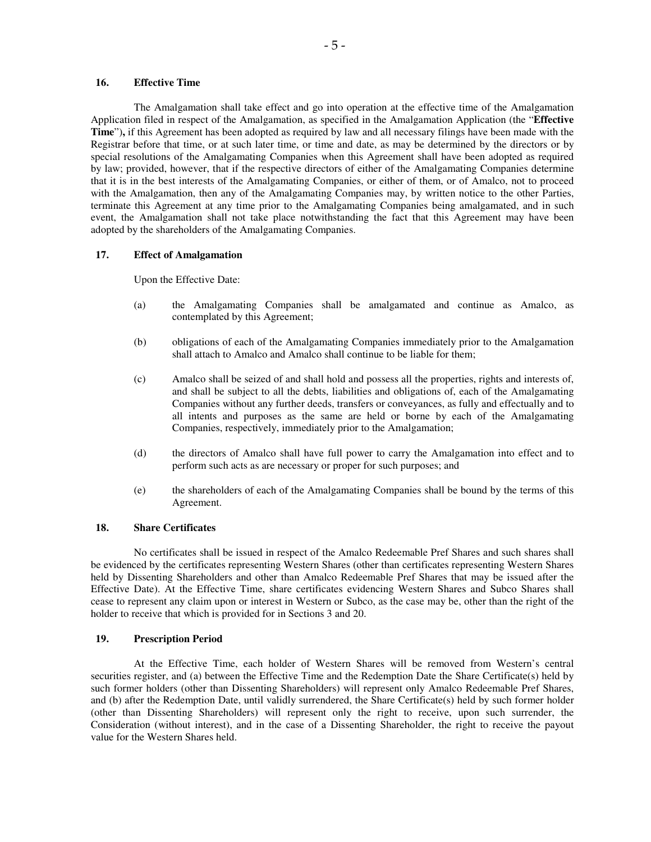#### **16. Effective Time**

The Amalgamation shall take effect and go into operation at the effective time of the Amalgamation Application filed in respect of the Amalgamation, as specified in the Amalgamation Application (the "**Effective Time**")**,** if this Agreement has been adopted as required by law and all necessary filings have been made with the Registrar before that time, or at such later time, or time and date, as may be determined by the directors or by special resolutions of the Amalgamating Companies when this Agreement shall have been adopted as required by law; provided, however, that if the respective directors of either of the Amalgamating Companies determine that it is in the best interests of the Amalgamating Companies, or either of them, or of Amalco, not to proceed with the Amalgamation, then any of the Amalgamating Companies may, by written notice to the other Parties, terminate this Agreement at any time prior to the Amalgamating Companies being amalgamated, and in such event, the Amalgamation shall not take place notwithstanding the fact that this Agreement may have been adopted by the shareholders of the Amalgamating Companies.

#### **17. Effect of Amalgamation**

Upon the Effective Date:

- (a) the Amalgamating Companies shall be amalgamated and continue as Amalco, as contemplated by this Agreement;
- (b) obligations of each of the Amalgamating Companies immediately prior to the Amalgamation shall attach to Amalco and Amalco shall continue to be liable for them;
- (c) Amalco shall be seized of and shall hold and possess all the properties, rights and interests of, and shall be subject to all the debts, liabilities and obligations of, each of the Amalgamating Companies without any further deeds, transfers or conveyances, as fully and effectually and to all intents and purposes as the same are held or borne by each of the Amalgamating Companies, respectively, immediately prior to the Amalgamation;
- (d) the directors of Amalco shall have full power to carry the Amalgamation into effect and to perform such acts as are necessary or proper for such purposes; and
- (e) the shareholders of each of the Amalgamating Companies shall be bound by the terms of this Agreement.

#### **18. Share Certificates**

No certificates shall be issued in respect of the Amalco Redeemable Pref Shares and such shares shall be evidenced by the certificates representing Western Shares (other than certificates representing Western Shares held by Dissenting Shareholders and other than Amalco Redeemable Pref Shares that may be issued after the Effective Date). At the Effective Time, share certificates evidencing Western Shares and Subco Shares shall cease to represent any claim upon or interest in Western or Subco, as the case may be, other than the right of the holder to receive that which is provided for in Sections 3 and 20.

#### **19. Prescription Period**

At the Effective Time, each holder of Western Shares will be removed from Western's central securities register, and (a) between the Effective Time and the Redemption Date the Share Certificate(s) held by such former holders (other than Dissenting Shareholders) will represent only Amalco Redeemable Pref Shares, and (b) after the Redemption Date, until validly surrendered, the Share Certificate(s) held by such former holder (other than Dissenting Shareholders) will represent only the right to receive, upon such surrender, the Consideration (without interest), and in the case of a Dissenting Shareholder, the right to receive the payout value for the Western Shares held.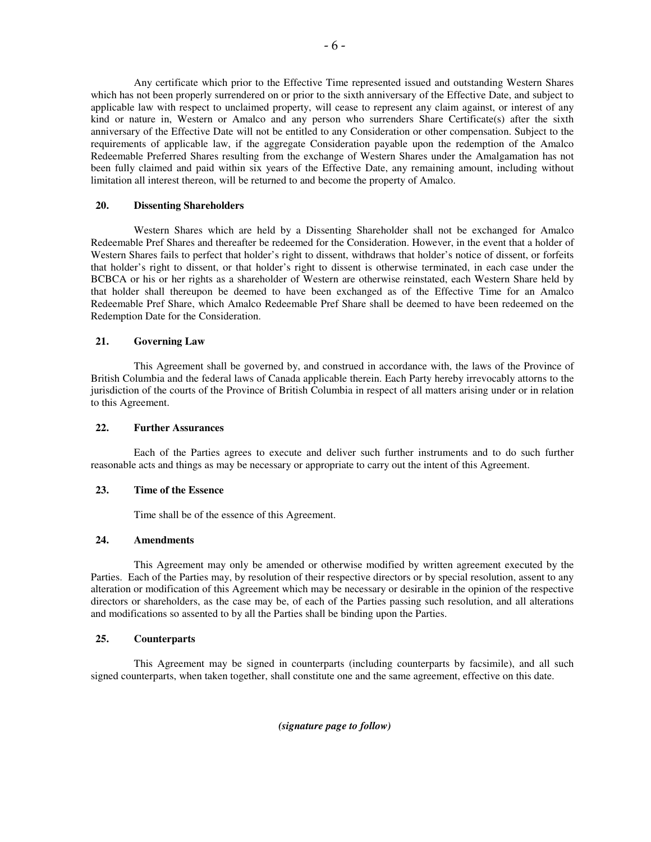Any certificate which prior to the Effective Time represented issued and outstanding Western Shares which has not been properly surrendered on or prior to the sixth anniversary of the Effective Date, and subject to applicable law with respect to unclaimed property, will cease to represent any claim against, or interest of any kind or nature in, Western or Amalco and any person who surrenders Share Certificate(s) after the sixth anniversary of the Effective Date will not be entitled to any Consideration or other compensation. Subject to the requirements of applicable law, if the aggregate Consideration payable upon the redemption of the Amalco Redeemable Preferred Shares resulting from the exchange of Western Shares under the Amalgamation has not been fully claimed and paid within six years of the Effective Date, any remaining amount, including without limitation all interest thereon, will be returned to and become the property of Amalco.

#### **20. Dissenting Shareholders**

Western Shares which are held by a Dissenting Shareholder shall not be exchanged for Amalco Redeemable Pref Shares and thereafter be redeemed for the Consideration. However, in the event that a holder of Western Shares fails to perfect that holder's right to dissent, withdraws that holder's notice of dissent, or forfeits that holder's right to dissent, or that holder's right to dissent is otherwise terminated, in each case under the BCBCA or his or her rights as a shareholder of Western are otherwise reinstated, each Western Share held by that holder shall thereupon be deemed to have been exchanged as of the Effective Time for an Amalco Redeemable Pref Share, which Amalco Redeemable Pref Share shall be deemed to have been redeemed on the Redemption Date for the Consideration.

#### **21. Governing Law**

This Agreement shall be governed by, and construed in accordance with, the laws of the Province of British Columbia and the federal laws of Canada applicable therein. Each Party hereby irrevocably attorns to the jurisdiction of the courts of the Province of British Columbia in respect of all matters arising under or in relation to this Agreement.

#### **22. Further Assurances**

Each of the Parties agrees to execute and deliver such further instruments and to do such further reasonable acts and things as may be necessary or appropriate to carry out the intent of this Agreement.

#### **23. Time of the Essence**

Time shall be of the essence of this Agreement.

#### **24. Amendments**

This Agreement may only be amended or otherwise modified by written agreement executed by the Parties. Each of the Parties may, by resolution of their respective directors or by special resolution, assent to any alteration or modification of this Agreement which may be necessary or desirable in the opinion of the respective directors or shareholders, as the case may be, of each of the Parties passing such resolution, and all alterations and modifications so assented to by all the Parties shall be binding upon the Parties.

#### **25. Counterparts**

This Agreement may be signed in counterparts (including counterparts by facsimile), and all such signed counterparts, when taken together, shall constitute one and the same agreement, effective on this date.

*(signature page to follow)*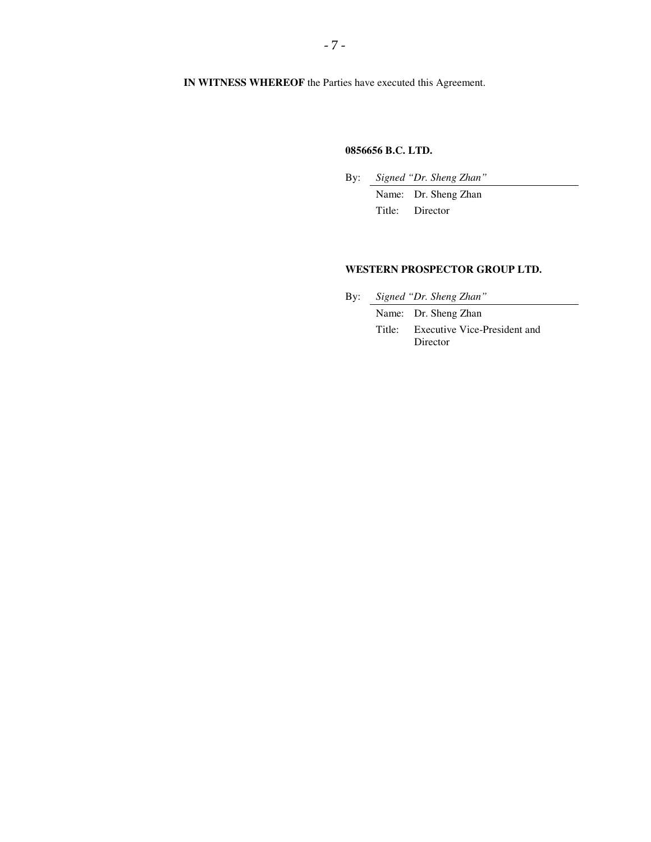# **0856656 B.C. LTD.**

By: *Signed "Dr. Sheng Zhan"* 

 Name: Dr. Sheng Zhan Title: Director

#### **WESTERN PROSPECTOR GROUP LTD.**

By: *Signed "Dr. Sheng Zhan"*

Name: Dr. Sheng Zhan

 Title: Executive Vice-President and Director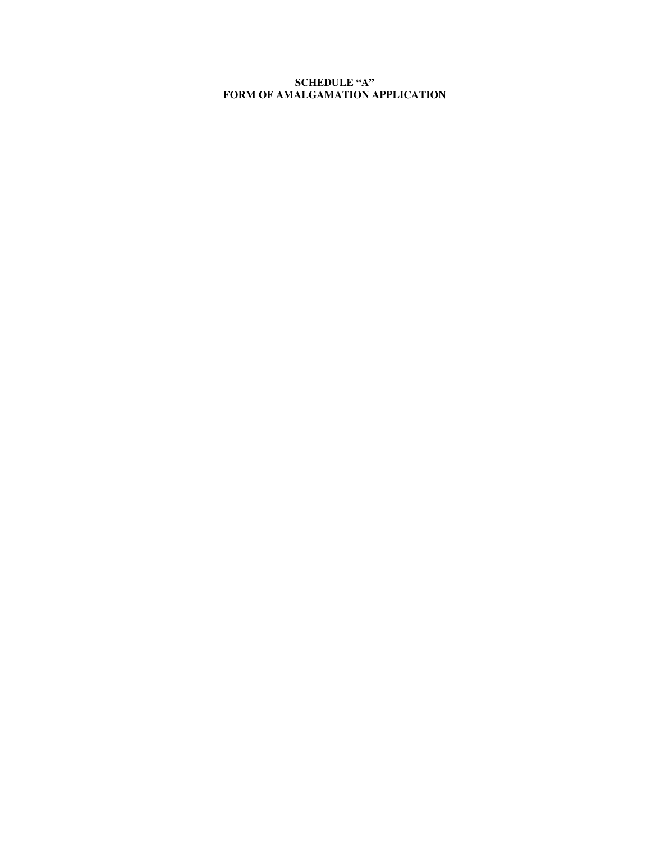# **SCHEDULE "A" FORM OF AMALGAMATION APPLICATION**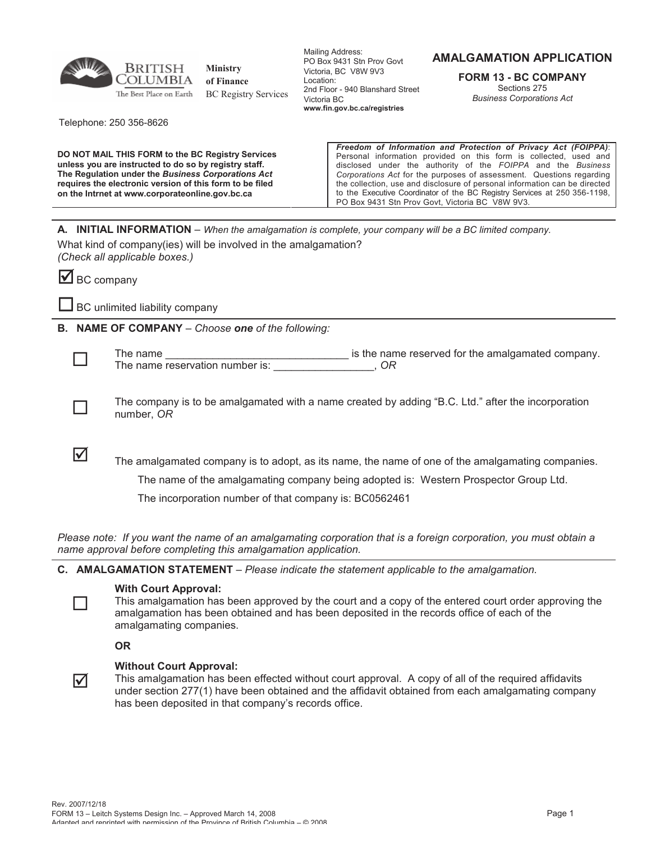

**Ministry of Finance** BC Registry Services

Mailing Address: PO Box 9431 Stn Prov Govt Victoria, BC V8W 9V3 Location: 2nd Floor - 940 Blanshard Street Victoria BC **www.fin.gov.bc.ca/registries**

# **AMALGAMATION APPLICATION**

**FORM 13 - BC COMPANY** Sections 275 *Business Corporations Act*

Telephone: 250 356-8626

**DO NOT MAIL THIS FORM to the BC Registry Services unless you are instructed to do so by registry staff. The Regulation under the** *Business Corporations Act* **requires the electronic version of this form to be filed on the Intrnet at www.corporateonline.gov.bc.ca** 

*Freedom of Information and Protection of Privacy Act (FOIPPA)*: Personal information provided on this form is collected, used and disclosed under the authority of the *FOIPPA* and the *Business Corporations Act* for the purposes of assessment. Questions regarding the collection, use and disclosure of personal information can be directed to the Executive Coordinator of the BC Registry Services at 250 356-1198, PO Box 9431 Stn Prov Govt, Victoria BC V8W 9V3.

**A. INITIAL INFORMATION** – *When the amalgamation is complete, your company will be a BC limited company.*

What kind of company(ies) will be involved in the amalgamation? *(Check all applicable boxes.)*

 $\blacksquare$  BC company

 $\Box$  BC unlimited liability company

**B. NAME OF COMPANY** *– Choose one of the following:*



 $\Box$ 

 $\Box$ 

 $\overline{\mathsf{M}}$ 

The name the name reserved for the amalgamated company. The name reservation number is: \_\_\_\_\_\_\_\_\_\_\_\_\_\_\_\_\_, *OR*

The company is to be amalgamated with a name created by adding "B.C. Ltd." after the incorporation number, *OR*

 $\overline{\mathbf{v}}$  The amalgamated company is to adopt, as its name, the name of one of the amalgamating companies.

The name of the amalgamating company being adopted is: Western Prospector Group Ltd.

The incorporation number of that company is: BC0562461

*Please note: If you want the name of an amalgamating corporation that is a foreign corporation, you must obtain a name approval before completing this amalgamation application.*

**C. AMALGAMATION STATEMENT** *– Please indicate the statement applicable to the amalgamation.*

# **With Court Approval:**

This amalgamation has been approved by the court and a copy of the entered court order approving the amalgamation has been obtained and has been deposited in the records office of each of the amalgamating companies.

**OR**

# **Without Court Approval:**

This amalgamation has been effected without court approval. A copy of all of the required affidavits under section 277(1) have been obtained and the affidavit obtained from each amalgamating company has been deposited in that company's records office.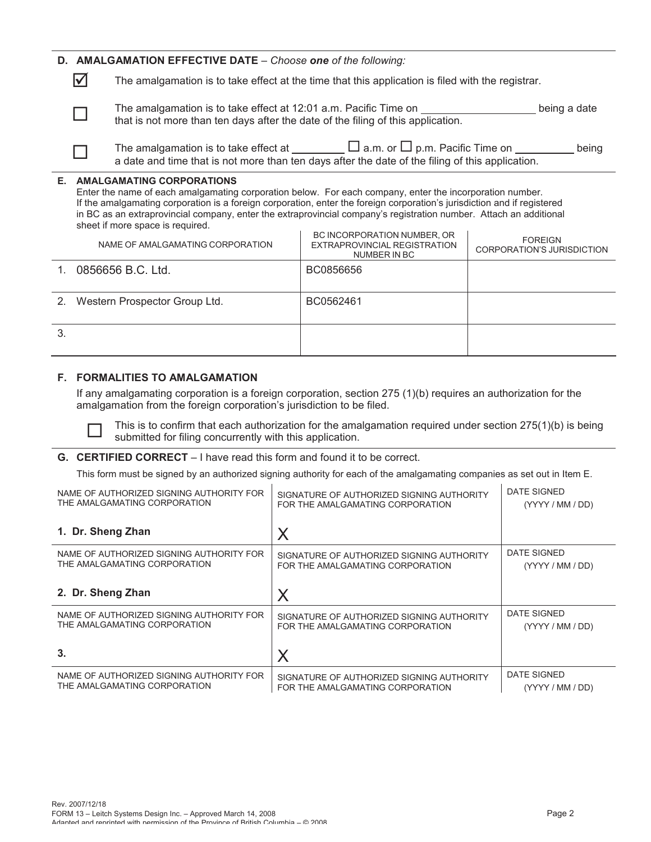# **D. AMALGAMATION EFFECTIVE DATE** – *Choose one of the following:*

 $\triangledown$  The amalgamation is to take effect at the time that this application is filed with the registrar.



The amalgamation is to take effect at 12:01 a.m. Pacific Time on being a date being a date that is not more than ten days after the date of the filing of this application.

|  | The amalgamation is to take effect at                                                            | $\Box$ a.m. or $\Box$ p.m. Pacific Time on | being |  |
|--|--------------------------------------------------------------------------------------------------|--------------------------------------------|-------|--|
|  | a date and time that is not more than ten days after the date of the filing of this application. |                                            |       |  |

#### **E. AMALGAMATING CORPORATIONS**

Enter the name of each amalgamating corporation below. For each company, enter the incorporation number. If the amalgamating corporation is a foreign corporation, enter the foreign corporation's jurisdiction and if registered in BC as an extraprovincial company, enter the extraprovincial company's registration number. Attach an additional sheet if more space is required. BC INCORPORATION NUMBER, OR

|    | NAME OF AMALGAMATING CORPORATION | BC INCORPORATION NUMBER, OR<br>EXTRAPROVINCIAL REGISTRATION<br>NUMBER IN BC | <b>FOREIGN</b><br>CORPORATION'S JURISDICTION |
|----|----------------------------------|-----------------------------------------------------------------------------|----------------------------------------------|
|    | 0856656 B.C. Ltd.                | BC0856656                                                                   |                                              |
|    | 2. Western Prospector Group Ltd. | BC0562461                                                                   |                                              |
| 3. |                                  |                                                                             |                                              |

# **F. FORMALITIES TO AMALGAMATION**

If any amalgamating corporation is a foreign corporation, section 275 (1)(b) requires an authorization for the amalgamation from the foreign corporation's jurisdiction to be filed.



This is to confirm that each authorization for the amalgamation required under section 275(1)(b) is being submitted for filing concurrently with this application.

# **G. CERTIFIED CORRECT** – I have read this form and found it to be correct.

This form must be signed by an authorized signing authority for each of the amalgamating companies as set out in Item E.

| NAME OF AUTHORIZED SIGNING AUTHORITY FOR | SIGNATURE OF AUTHORIZED SIGNING AUTHORITY | DATE SIGNED      |
|------------------------------------------|-------------------------------------------|------------------|
| THE AMALGAMATING CORPORATION             | FOR THE AMALGAMATING CORPORATION          | (YYYY / MM / DD) |
| 1. Dr. Sheng Zhan                        | Χ                                         |                  |
| NAME OF AUTHORIZED SIGNING AUTHORITY FOR | SIGNATURE OF AUTHORIZED SIGNING AUTHORITY | DATE SIGNED      |
| THE AMALGAMATING CORPORATION             | FOR THE AMALGAMATING CORPORATION          | (YYYY / MM / DD) |
| 2. Dr. Sheng Zhan                        | X                                         |                  |
| NAME OF AUTHORIZED SIGNING AUTHORITY FOR | SIGNATURE OF AUTHORIZED SIGNING AUTHORITY | DATE SIGNED      |
| THE AMALGAMATING CORPORATION             | FOR THE AMALGAMATING CORPORATION          | (YYYY / MM / DD) |
| 3.                                       | X                                         |                  |
| NAME OF AUTHORIZED SIGNING AUTHORITY FOR | SIGNATURE OF AUTHORIZED SIGNING AUTHORITY | DATE SIGNED      |
| THE AMALGAMATING CORPORATION             | FOR THE AMALGAMATING CORPORATION          | (YYYY / MM / DD) |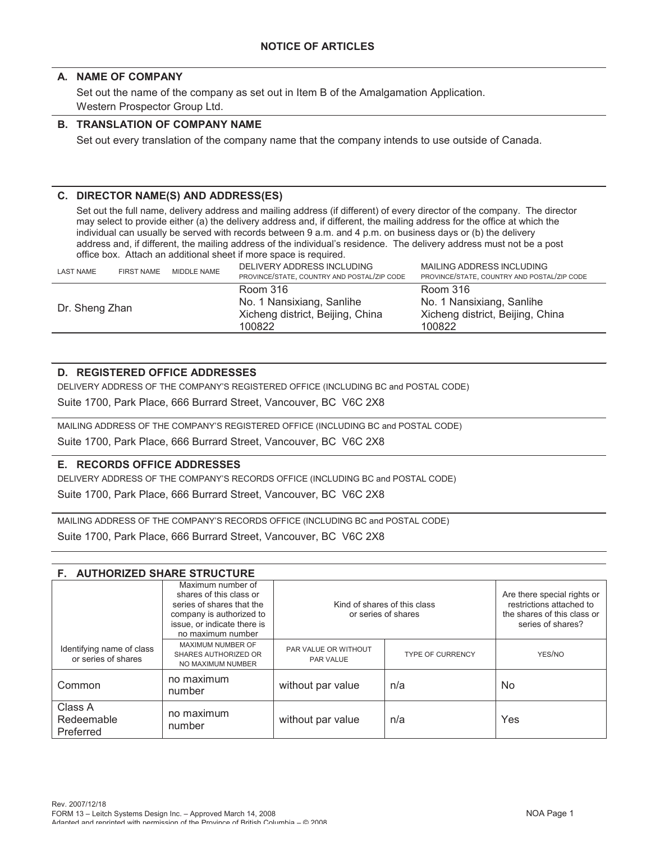# **A. NAME OF COMPANY**

Set out the name of the company as set out in Item B of the Amalgamation Application. Western Prospector Group Ltd.

# **B. TRANSLATION OF COMPANY NAME**

Set out every translation of the company name that the company intends to use outside of Canada.

# **C. DIRECTOR NAME(S) AND ADDRESS(ES)**

Set out the full name, delivery address and mailing address (if different) of every director of the company. The director may select to provide either (a) the delivery address and, if different, the mailing address for the office at which the individual can usually be served with records between 9 a.m. and 4 p.m. on business days or (b) the delivery address and, if different, the mailing address of the individual's residence. The delivery address must not be a post office box. Attach an additional sheet if more space is required.

| <b>LAST NAME</b> | <b>FIRST NAME</b> | MIDDLE NAME | DELIVERY ADDRESS INCLUDING<br>PROVINCE/STATE, COUNTRY AND POSTAL/ZIP CODE           | MAILING ADDRESS INCLUDING<br>PROVINCE/STATE, COUNTRY AND POSTAL/ZIP CODE            |
|------------------|-------------------|-------------|-------------------------------------------------------------------------------------|-------------------------------------------------------------------------------------|
| Dr. Sheng Zhan   |                   |             | Room 316<br>No. 1 Nansixiang, Sanlihe<br>Xicheng district, Beijing, China<br>100822 | Room 316<br>No. 1 Nansixiang, Sanlihe<br>Xicheng district, Beijing, China<br>100822 |

# **D. REGISTERED OFFICE ADDRESSES**

DELIVERY ADDRESS OF THE COMPANY'S REGISTERED OFFICE (INCLUDING BC and POSTAL CODE)

Suite 1700, Park Place, 666 Burrard Street, Vancouver, BC V6C 2X8

MAILING ADDRESS OF THE COMPANY'S REGISTERED OFFICE (INCLUDING BC and POSTAL CODE)

Suite 1700, Park Place, 666 Burrard Street, Vancouver, BC V6C 2X8

# **E. RECORDS OFFICE ADDRESSES**

DELIVERY ADDRESS OF THE COMPANY'S RECORDS OFFICE (INCLUDING BC and POSTAL CODE) Suite 1700, Park Place, 666 Burrard Street, Vancouver, BC V6C 2X8

MAILING ADDRESS OF THE COMPANY'S RECORDS OFFICE (INCLUDING BC and POSTAL CODE)

Suite 1700, Park Place, 666 Burrard Street, Vancouver, BC V6C 2X8

| <b>F. AUTHORIZED SHARE STRUCTURE</b>             |                                                                                                                                                           |                                                     |                         |                                                                                                             |  |
|--------------------------------------------------|-----------------------------------------------------------------------------------------------------------------------------------------------------------|-----------------------------------------------------|-------------------------|-------------------------------------------------------------------------------------------------------------|--|
|                                                  | Maximum number of<br>shares of this class or<br>series of shares that the<br>company is authorized to<br>issue, or indicate there is<br>no maximum number | Kind of shares of this class<br>or series of shares |                         | Are there special rights or<br>restrictions attached to<br>the shares of this class or<br>series of shares? |  |
| Identifying name of class<br>or series of shares | MAXIMUM NUMBER OF<br>SHARES AUTHORIZED OR<br>NO MAXIMUM NUMBER                                                                                            | PAR VALUE OR WITHOUT<br>PAR VALUE                   | <b>TYPE OF CURRENCY</b> | YES/NO                                                                                                      |  |
| Common                                           | no maximum<br>number                                                                                                                                      | without par value                                   | n/a                     | N <sub>o</sub>                                                                                              |  |
| Class A<br>Redeemable<br>Preferred               | no maximum<br>number                                                                                                                                      | without par value                                   | n/a                     | Yes                                                                                                         |  |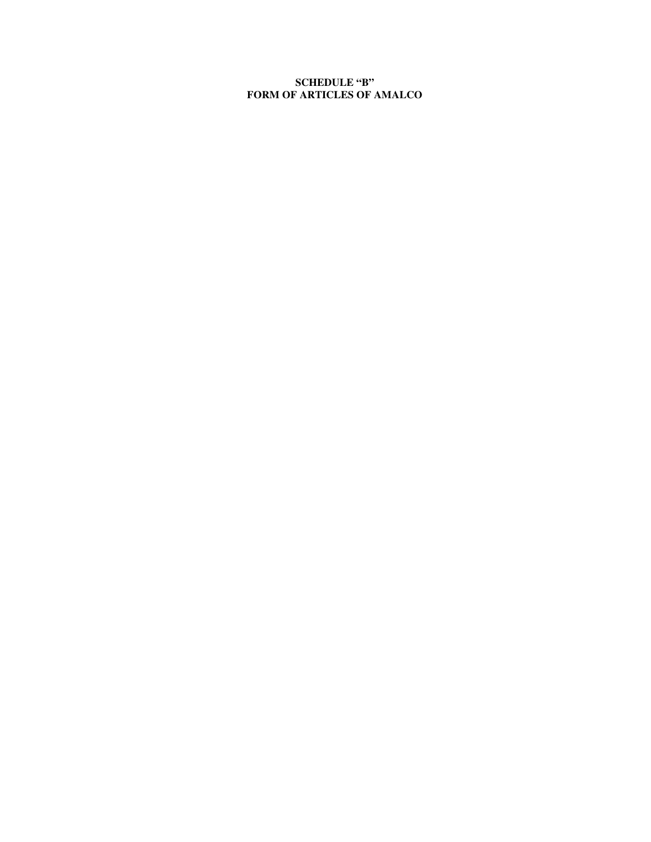# **SCHEDULE "B" FORM OF ARTICLES OF AMALCO**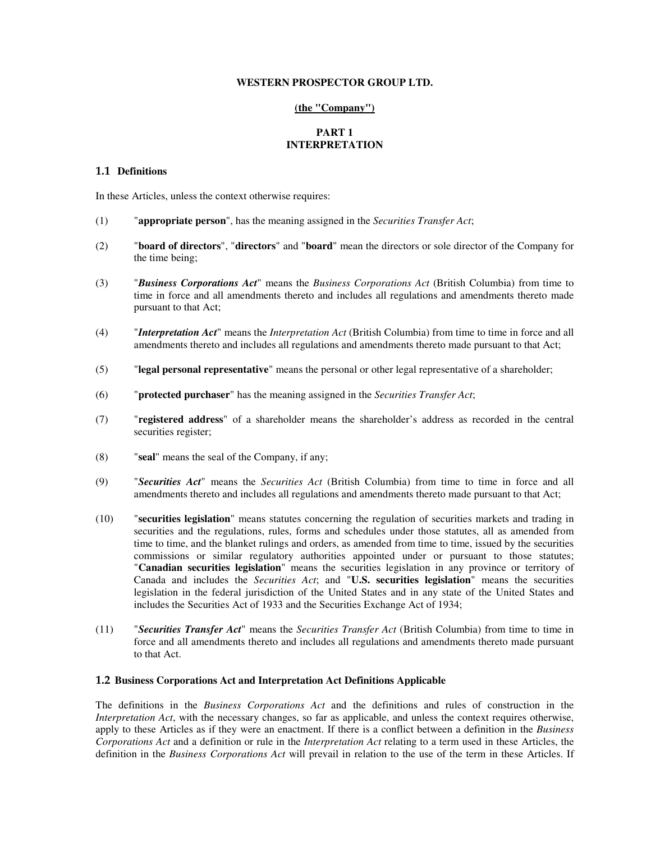#### **WESTERN PROSPECTOR GROUP LTD.**

#### **(the "Company")**

#### **PART 1 INTERPRETATION**

#### **1.1 Definitions**

In these Articles, unless the context otherwise requires:

- (1) "**appropriate person**", has the meaning assigned in the *Securities Transfer Act*;
- (2) "**board of directors**", "**directors**" and "**board**" mean the directors or sole director of the Company for the time being;
- (3) "*Business Corporations Act*" means the *Business Corporations Act* (British Columbia) from time to time in force and all amendments thereto and includes all regulations and amendments thereto made pursuant to that Act;
- (4) "*Interpretation Act*" means the *Interpretation Act* (British Columbia) from time to time in force and all amendments thereto and includes all regulations and amendments thereto made pursuant to that Act;
- (5) "**legal personal representative**" means the personal or other legal representative of a shareholder;
- (6) "**protected purchaser**" has the meaning assigned in the *Securities Transfer Act*;
- (7) "**registered address**" of a shareholder means the shareholder's address as recorded in the central securities register;
- (8) "**seal**" means the seal of the Company, if any;
- (9) "*Securities Act*" means the *Securities Act* (British Columbia) from time to time in force and all amendments thereto and includes all regulations and amendments thereto made pursuant to that Act;
- (10) "**securities legislation**" means statutes concerning the regulation of securities markets and trading in securities and the regulations, rules, forms and schedules under those statutes, all as amended from time to time, and the blanket rulings and orders, as amended from time to time, issued by the securities commissions or similar regulatory authorities appointed under or pursuant to those statutes; "**Canadian securities legislation**" means the securities legislation in any province or territory of Canada and includes the *Securities Act*; and "**U.S. securities legislation**" means the securities legislation in the federal jurisdiction of the United States and in any state of the United States and includes the Securities Act of 1933 and the Securities Exchange Act of 1934;
- (11) "*Securities Transfer Act*" means the *Securities Transfer Act* (British Columbia) from time to time in force and all amendments thereto and includes all regulations and amendments thereto made pursuant to that Act.

#### **1.2 Business Corporations Act and Interpretation Act Definitions Applicable**

The definitions in the *Business Corporations Act* and the definitions and rules of construction in the *Interpretation Act*, with the necessary changes, so far as applicable, and unless the context requires otherwise, apply to these Articles as if they were an enactment. If there is a conflict between a definition in the *Business Corporations Act* and a definition or rule in the *Interpretation Act* relating to a term used in these Articles, the definition in the *Business Corporations Act* will prevail in relation to the use of the term in these Articles. If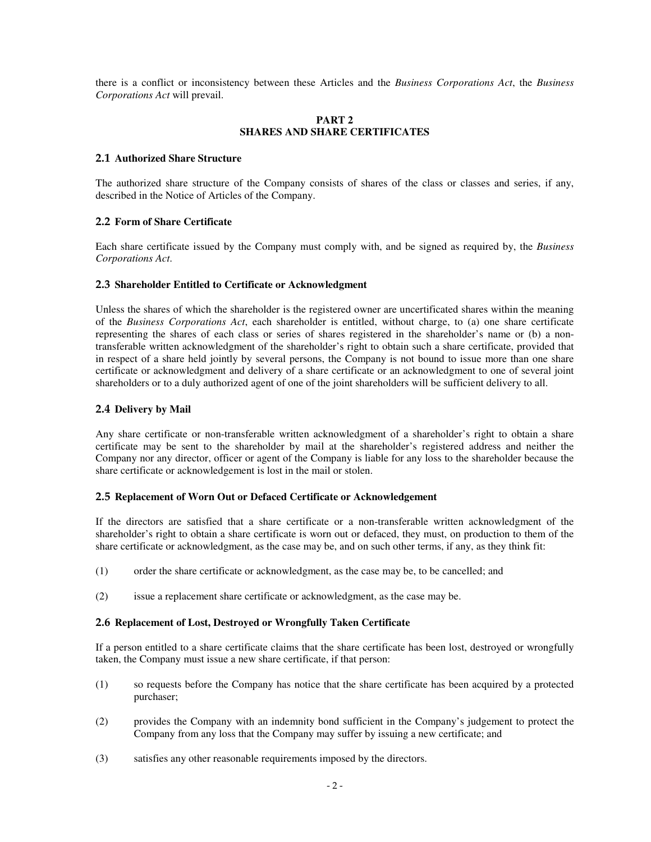there is a conflict or inconsistency between these Articles and the *Business Corporations Act*, the *Business Corporations Act* will prevail.

#### **PART 2 SHARES AND SHARE CERTIFICATES**

#### **2.1 Authorized Share Structure**

The authorized share structure of the Company consists of shares of the class or classes and series, if any, described in the Notice of Articles of the Company.

# **2.2 Form of Share Certificate**

Each share certificate issued by the Company must comply with, and be signed as required by, the *Business Corporations Act*.

#### **2.3 Shareholder Entitled to Certificate or Acknowledgment**

Unless the shares of which the shareholder is the registered owner are uncertificated shares within the meaning of the *Business Corporations Act*, each shareholder is entitled, without charge, to (a) one share certificate representing the shares of each class or series of shares registered in the shareholder's name or (b) a nontransferable written acknowledgment of the shareholder's right to obtain such a share certificate, provided that in respect of a share held jointly by several persons, the Company is not bound to issue more than one share certificate or acknowledgment and delivery of a share certificate or an acknowledgment to one of several joint shareholders or to a duly authorized agent of one of the joint shareholders will be sufficient delivery to all.

#### **2.4 Delivery by Mail**

Any share certificate or non-transferable written acknowledgment of a shareholder's right to obtain a share certificate may be sent to the shareholder by mail at the shareholder's registered address and neither the Company nor any director, officer or agent of the Company is liable for any loss to the shareholder because the share certificate or acknowledgement is lost in the mail or stolen.

#### **2.5 Replacement of Worn Out or Defaced Certificate or Acknowledgement**

If the directors are satisfied that a share certificate or a non-transferable written acknowledgment of the shareholder's right to obtain a share certificate is worn out or defaced, they must, on production to them of the share certificate or acknowledgment, as the case may be, and on such other terms, if any, as they think fit:

- (1) order the share certificate or acknowledgment, as the case may be, to be cancelled; and
- (2) issue a replacement share certificate or acknowledgment, as the case may be.

#### **2.6 Replacement of Lost, Destroyed or Wrongfully Taken Certificate**

If a person entitled to a share certificate claims that the share certificate has been lost, destroyed or wrongfully taken, the Company must issue a new share certificate, if that person:

- (1) so requests before the Company has notice that the share certificate has been acquired by a protected purchaser;
- (2) provides the Company with an indemnity bond sufficient in the Company's judgement to protect the Company from any loss that the Company may suffer by issuing a new certificate; and
- (3) satisfies any other reasonable requirements imposed by the directors.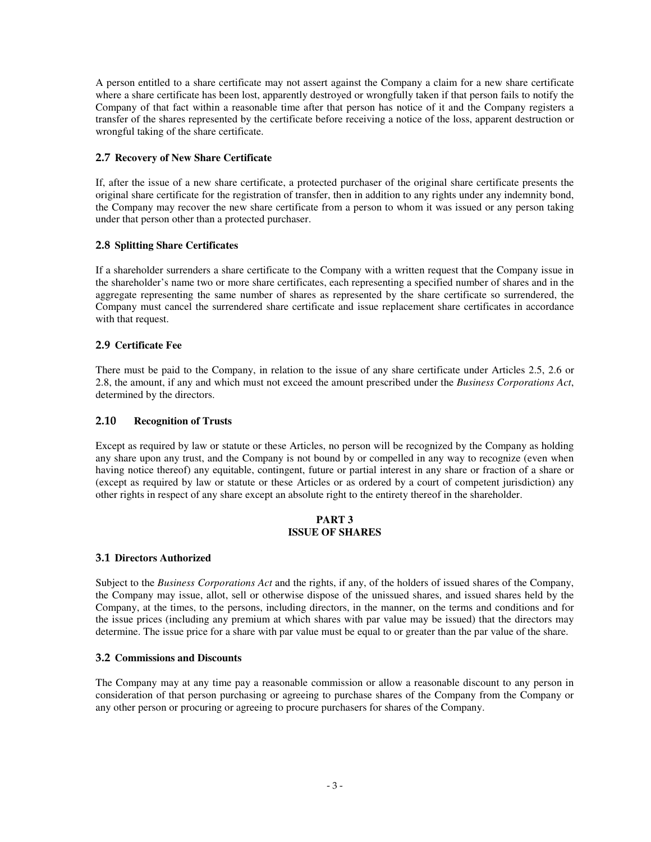A person entitled to a share certificate may not assert against the Company a claim for a new share certificate where a share certificate has been lost, apparently destroyed or wrongfully taken if that person fails to notify the Company of that fact within a reasonable time after that person has notice of it and the Company registers a transfer of the shares represented by the certificate before receiving a notice of the loss, apparent destruction or wrongful taking of the share certificate.

# **2.7 Recovery of New Share Certificate**

If, after the issue of a new share certificate, a protected purchaser of the original share certificate presents the original share certificate for the registration of transfer, then in addition to any rights under any indemnity bond, the Company may recover the new share certificate from a person to whom it was issued or any person taking under that person other than a protected purchaser.

# **2.8 Splitting Share Certificates**

If a shareholder surrenders a share certificate to the Company with a written request that the Company issue in the shareholder's name two or more share certificates, each representing a specified number of shares and in the aggregate representing the same number of shares as represented by the share certificate so surrendered, the Company must cancel the surrendered share certificate and issue replacement share certificates in accordance with that request.

# **2.9 Certificate Fee**

There must be paid to the Company, in relation to the issue of any share certificate under Articles 2.5, 2.6 or 2.8, the amount, if any and which must not exceed the amount prescribed under the *Business Corporations Act*, determined by the directors.

# **2.10 Recognition of Trusts**

Except as required by law or statute or these Articles, no person will be recognized by the Company as holding any share upon any trust, and the Company is not bound by or compelled in any way to recognize (even when having notice thereof) any equitable, contingent, future or partial interest in any share or fraction of a share or (except as required by law or statute or these Articles or as ordered by a court of competent jurisdiction) any other rights in respect of any share except an absolute right to the entirety thereof in the shareholder.

#### **PART 3 ISSUE OF SHARES**

# **3.1 Directors Authorized**

Subject to the *Business Corporations Act* and the rights, if any, of the holders of issued shares of the Company, the Company may issue, allot, sell or otherwise dispose of the unissued shares, and issued shares held by the Company, at the times, to the persons, including directors, in the manner, on the terms and conditions and for the issue prices (including any premium at which shares with par value may be issued) that the directors may determine. The issue price for a share with par value must be equal to or greater than the par value of the share.

# **3.2 Commissions and Discounts**

The Company may at any time pay a reasonable commission or allow a reasonable discount to any person in consideration of that person purchasing or agreeing to purchase shares of the Company from the Company or any other person or procuring or agreeing to procure purchasers for shares of the Company.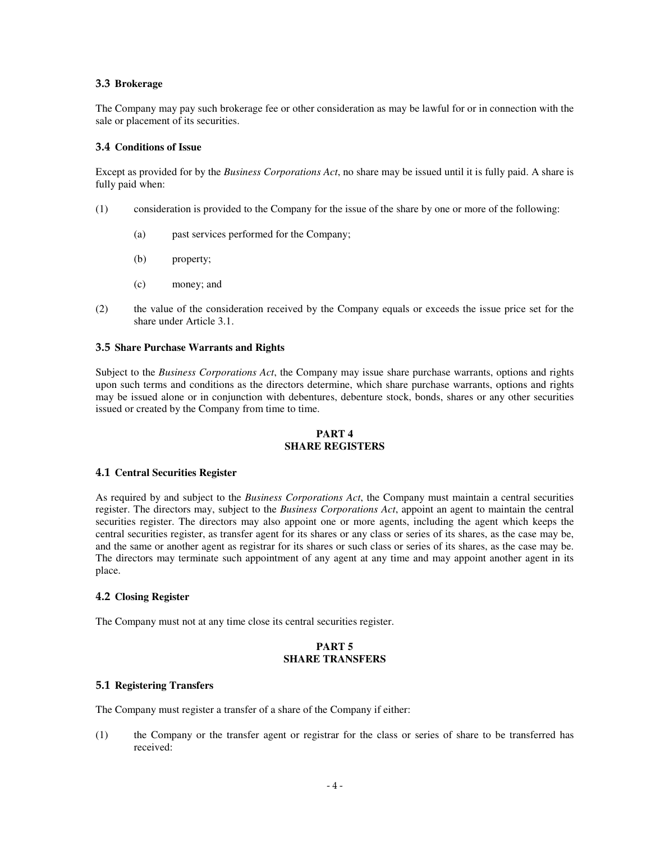#### **3.3 Brokerage**

The Company may pay such brokerage fee or other consideration as may be lawful for or in connection with the sale or placement of its securities.

#### **3.4 Conditions of Issue**

Except as provided for by the *Business Corporations Act*, no share may be issued until it is fully paid. A share is fully paid when:

- (1) consideration is provided to the Company for the issue of the share by one or more of the following:
	- (a) past services performed for the Company;
	- (b) property;
	- (c) money; and
- (2) the value of the consideration received by the Company equals or exceeds the issue price set for the share under Article 3.1.

#### **3.5 Share Purchase Warrants and Rights**

Subject to the *Business Corporations Act*, the Company may issue share purchase warrants, options and rights upon such terms and conditions as the directors determine, which share purchase warrants, options and rights may be issued alone or in conjunction with debentures, debenture stock, bonds, shares or any other securities issued or created by the Company from time to time.

#### **PART 4 SHARE REGISTERS**

#### **4.1 Central Securities Register**

As required by and subject to the *Business Corporations Act*, the Company must maintain a central securities register. The directors may, subject to the *Business Corporations Act*, appoint an agent to maintain the central securities register. The directors may also appoint one or more agents, including the agent which keeps the central securities register, as transfer agent for its shares or any class or series of its shares, as the case may be, and the same or another agent as registrar for its shares or such class or series of its shares, as the case may be. The directors may terminate such appointment of any agent at any time and may appoint another agent in its place.

# **4.2 Closing Register**

The Company must not at any time close its central securities register.

#### **PART 5 SHARE TRANSFERS**

#### **5.1 Registering Transfers**

The Company must register a transfer of a share of the Company if either:

(1) the Company or the transfer agent or registrar for the class or series of share to be transferred has received: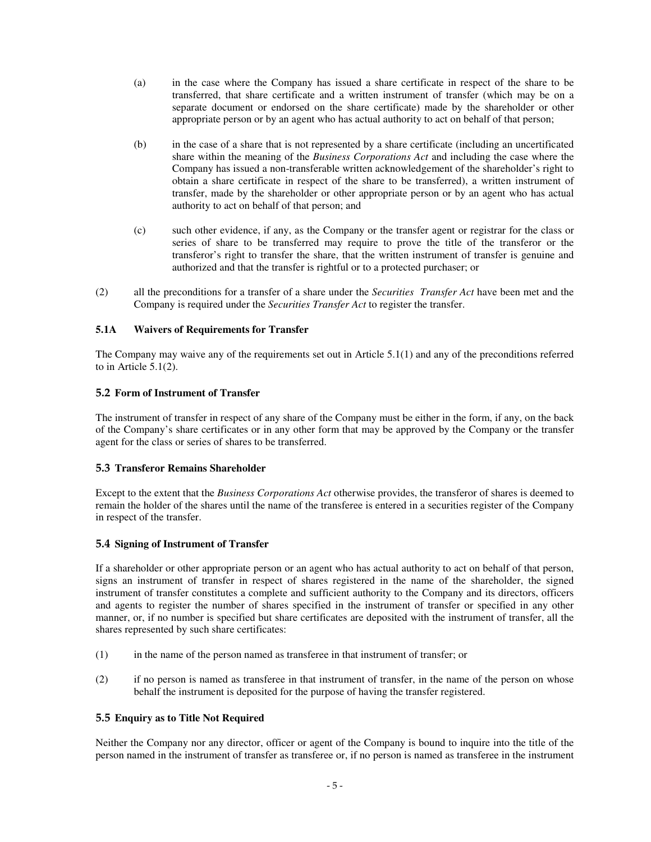- (a) in the case where the Company has issued a share certificate in respect of the share to be transferred, that share certificate and a written instrument of transfer (which may be on a separate document or endorsed on the share certificate) made by the shareholder or other appropriate person or by an agent who has actual authority to act on behalf of that person;
- (b) in the case of a share that is not represented by a share certificate (including an uncertificated share within the meaning of the *Business Corporations Act* and including the case where the Company has issued a non-transferable written acknowledgement of the shareholder's right to obtain a share certificate in respect of the share to be transferred), a written instrument of transfer, made by the shareholder or other appropriate person or by an agent who has actual authority to act on behalf of that person; and
- (c) such other evidence, if any, as the Company or the transfer agent or registrar for the class or series of share to be transferred may require to prove the title of the transferor or the transferor's right to transfer the share, that the written instrument of transfer is genuine and authorized and that the transfer is rightful or to a protected purchaser; or
- (2) all the preconditions for a transfer of a share under the *Securities Transfer Act* have been met and the Company is required under the *Securities Transfer Act* to register the transfer.

## **5.1A Waivers of Requirements for Transfer**

The Company may waive any of the requirements set out in Article 5.1(1) and any of the preconditions referred to in Article 5.1(2).

## **5.2 Form of Instrument of Transfer**

The instrument of transfer in respect of any share of the Company must be either in the form, if any, on the back of the Company's share certificates or in any other form that may be approved by the Company or the transfer agent for the class or series of shares to be transferred.

## **5.3 Transferor Remains Shareholder**

Except to the extent that the *Business Corporations Act* otherwise provides, the transferor of shares is deemed to remain the holder of the shares until the name of the transferee is entered in a securities register of the Company in respect of the transfer.

## **5.4 Signing of Instrument of Transfer**

If a shareholder or other appropriate person or an agent who has actual authority to act on behalf of that person, signs an instrument of transfer in respect of shares registered in the name of the shareholder, the signed instrument of transfer constitutes a complete and sufficient authority to the Company and its directors, officers and agents to register the number of shares specified in the instrument of transfer or specified in any other manner, or, if no number is specified but share certificates are deposited with the instrument of transfer, all the shares represented by such share certificates:

- (1) in the name of the person named as transferee in that instrument of transfer; or
- (2) if no person is named as transferee in that instrument of transfer, in the name of the person on whose behalf the instrument is deposited for the purpose of having the transfer registered.

## **5.5 Enquiry as to Title Not Required**

Neither the Company nor any director, officer or agent of the Company is bound to inquire into the title of the person named in the instrument of transfer as transferee or, if no person is named as transferee in the instrument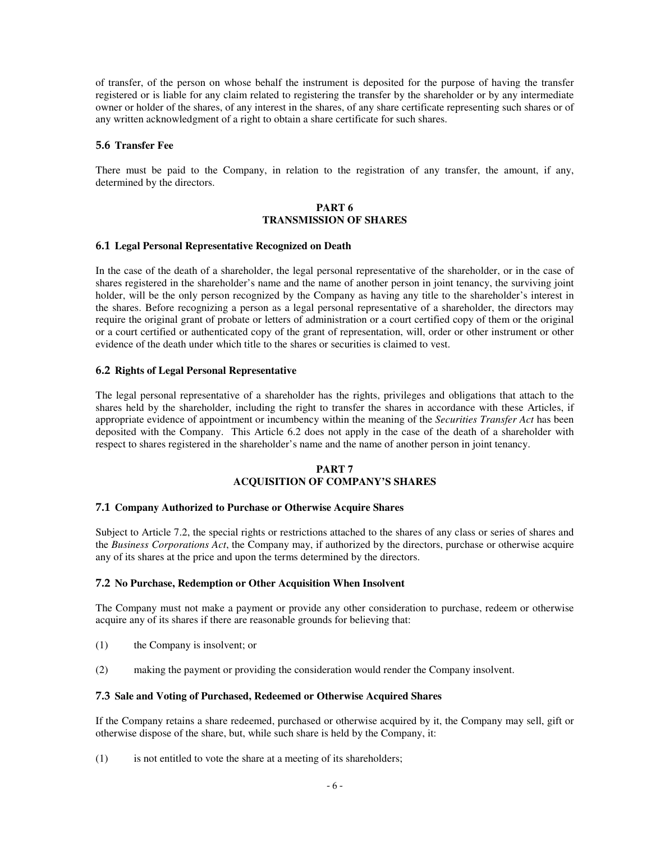of transfer, of the person on whose behalf the instrument is deposited for the purpose of having the transfer registered or is liable for any claim related to registering the transfer by the shareholder or by any intermediate owner or holder of the shares, of any interest in the shares, of any share certificate representing such shares or of any written acknowledgment of a right to obtain a share certificate for such shares.

### **5.6 Transfer Fee**

There must be paid to the Company, in relation to the registration of any transfer, the amount, if any, determined by the directors.

### **PART 6 TRANSMISSION OF SHARES**

#### **6.1 Legal Personal Representative Recognized on Death**

In the case of the death of a shareholder, the legal personal representative of the shareholder, or in the case of shares registered in the shareholder's name and the name of another person in joint tenancy, the surviving joint holder, will be the only person recognized by the Company as having any title to the shareholder's interest in the shares. Before recognizing a person as a legal personal representative of a shareholder, the directors may require the original grant of probate or letters of administration or a court certified copy of them or the original or a court certified or authenticated copy of the grant of representation, will, order or other instrument or other evidence of the death under which title to the shares or securities is claimed to vest.

### **6.2 Rights of Legal Personal Representative**

The legal personal representative of a shareholder has the rights, privileges and obligations that attach to the shares held by the shareholder, including the right to transfer the shares in accordance with these Articles, if appropriate evidence of appointment or incumbency within the meaning of the *Securities Transfer Act* has been deposited with the Company. This Article 6.2 does not apply in the case of the death of a shareholder with respect to shares registered in the shareholder's name and the name of another person in joint tenancy.

### **PART 7 ACQUISITION OF COMPANY'S SHARES**

#### **7.1 Company Authorized to Purchase or Otherwise Acquire Shares**

Subject to Article 7.2, the special rights or restrictions attached to the shares of any class or series of shares and the *Business Corporations Act*, the Company may, if authorized by the directors, purchase or otherwise acquire any of its shares at the price and upon the terms determined by the directors.

#### **7.2 No Purchase, Redemption or Other Acquisition When Insolvent**

The Company must not make a payment or provide any other consideration to purchase, redeem or otherwise acquire any of its shares if there are reasonable grounds for believing that:

- (1) the Company is insolvent; or
- (2) making the payment or providing the consideration would render the Company insolvent.

### **7.3 Sale and Voting of Purchased, Redeemed or Otherwise Acquired Shares**

If the Company retains a share redeemed, purchased or otherwise acquired by it, the Company may sell, gift or otherwise dispose of the share, but, while such share is held by the Company, it:

(1) is not entitled to vote the share at a meeting of its shareholders;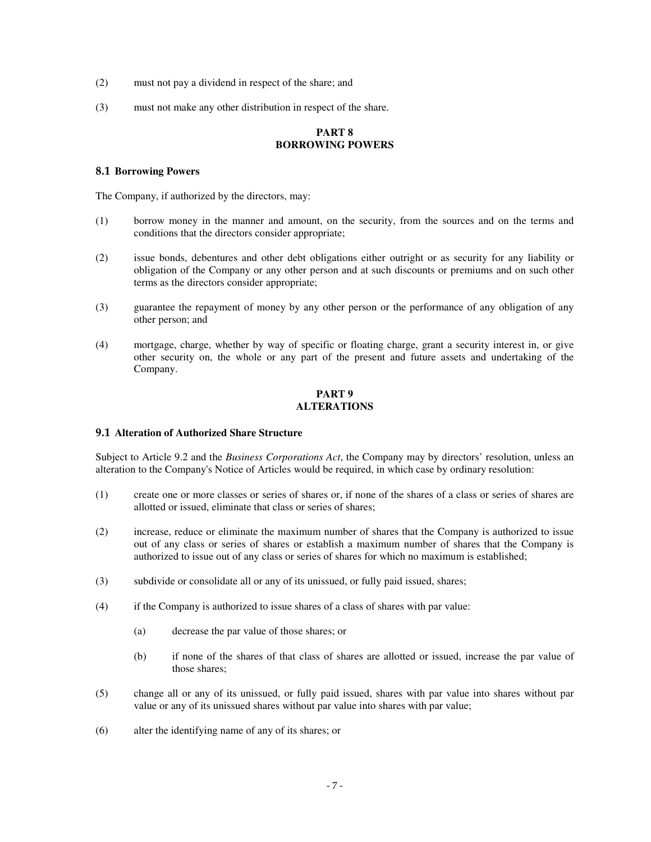- (2) must not pay a dividend in respect of the share; and
- (3) must not make any other distribution in respect of the share.

#### **PART 8 BORROWING POWERS**

### **8.1 Borrowing Powers**

The Company, if authorized by the directors, may:

- (1) borrow money in the manner and amount, on the security, from the sources and on the terms and conditions that the directors consider appropriate;
- (2) issue bonds, debentures and other debt obligations either outright or as security for any liability or obligation of the Company or any other person and at such discounts or premiums and on such other terms as the directors consider appropriate;
- (3) guarantee the repayment of money by any other person or the performance of any obligation of any other person; and
- (4) mortgage, charge, whether by way of specific or floating charge, grant a security interest in, or give other security on, the whole or any part of the present and future assets and undertaking of the Company.

## **PART 9 ALTERATIONS**

## **9.1 Alteration of Authorized Share Structure**

Subject to Article 9.2 and the *Business Corporations Act*, the Company may by directors' resolution, unless an alteration to the Company's Notice of Articles would be required, in which case by ordinary resolution:

- (1) create one or more classes or series of shares or, if none of the shares of a class or series of shares are allotted or issued, eliminate that class or series of shares;
- (2) increase, reduce or eliminate the maximum number of shares that the Company is authorized to issue out of any class or series of shares or establish a maximum number of shares that the Company is authorized to issue out of any class or series of shares for which no maximum is established;
- (3) subdivide or consolidate all or any of its unissued, or fully paid issued, shares;
- (4) if the Company is authorized to issue shares of a class of shares with par value:
	- (a) decrease the par value of those shares; or
	- (b) if none of the shares of that class of shares are allotted or issued, increase the par value of those shares;
- (5) change all or any of its unissued, or fully paid issued, shares with par value into shares without par value or any of its unissued shares without par value into shares with par value;
- (6) alter the identifying name of any of its shares; or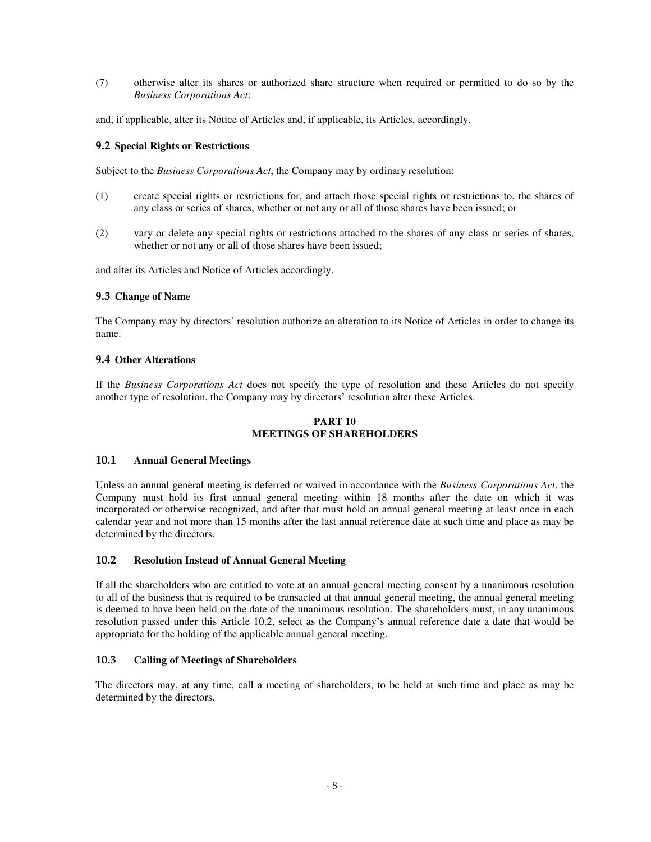(7) otherwise alter its shares or authorized share structure when required or permitted to do so by the *Business Corporations Act*;

and, if applicable, alter its Notice of Articles and, if applicable, its Articles, accordingly.

## **9.2 Special Rights or Restrictions**

Subject to the *Business Corporations Act*, the Company may by ordinary resolution:

- (1) create special rights or restrictions for, and attach those special rights or restrictions to, the shares of any class or series of shares, whether or not any or all of those shares have been issued; or
- (2) vary or delete any special rights or restrictions attached to the shares of any class or series of shares, whether or not any or all of those shares have been issued;

and alter its Articles and Notice of Articles accordingly.

#### **9.3 Change of Name**

The Company may by directors' resolution authorize an alteration to its Notice of Articles in order to change its name.

#### **9.4 Other Alterations**

If the *Business Corporations Act* does not specify the type of resolution and these Articles do not specify another type of resolution, the Company may by directors' resolution alter these Articles.

### **PART 10 MEETINGS OF SHAREHOLDERS**

### **10.1 Annual General Meetings**

Unless an annual general meeting is deferred or waived in accordance with the *Business Corporations Act*, the Company must hold its first annual general meeting within 18 months after the date on which it was incorporated or otherwise recognized, and after that must hold an annual general meeting at least once in each calendar year and not more than 15 months after the last annual reference date at such time and place as may be determined by the directors.

#### **10.2 Resolution Instead of Annual General Meeting**

If all the shareholders who are entitled to vote at an annual general meeting consent by a unanimous resolution to all of the business that is required to be transacted at that annual general meeting, the annual general meeting is deemed to have been held on the date of the unanimous resolution. The shareholders must, in any unanimous resolution passed under this Article 10.2, select as the Company's annual reference date a date that would be appropriate for the holding of the applicable annual general meeting.

### **10.3 Calling of Meetings of Shareholders**

The directors may, at any time, call a meeting of shareholders, to be held at such time and place as may be determined by the directors.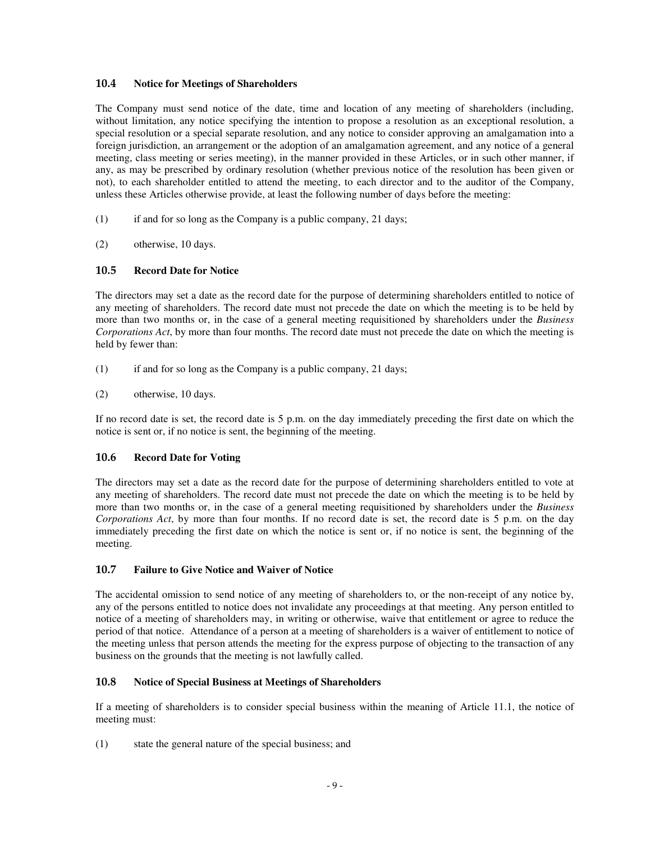## **10.4 Notice for Meetings of Shareholders**

The Company must send notice of the date, time and location of any meeting of shareholders (including, without limitation, any notice specifying the intention to propose a resolution as an exceptional resolution, a special resolution or a special separate resolution, and any notice to consider approving an amalgamation into a foreign jurisdiction, an arrangement or the adoption of an amalgamation agreement, and any notice of a general meeting, class meeting or series meeting), in the manner provided in these Articles, or in such other manner, if any, as may be prescribed by ordinary resolution (whether previous notice of the resolution has been given or not), to each shareholder entitled to attend the meeting, to each director and to the auditor of the Company, unless these Articles otherwise provide, at least the following number of days before the meeting:

- $(1)$  if and for so long as the Company is a public company, 21 days;
- (2) otherwise, 10 days.

# **10.5 Record Date for Notice**

The directors may set a date as the record date for the purpose of determining shareholders entitled to notice of any meeting of shareholders. The record date must not precede the date on which the meeting is to be held by more than two months or, in the case of a general meeting requisitioned by shareholders under the *Business Corporations Act*, by more than four months. The record date must not precede the date on which the meeting is held by fewer than:

- (1) if and for so long as the Company is a public company, 21 days;
- (2) otherwise, 10 days.

If no record date is set, the record date is 5 p.m. on the day immediately preceding the first date on which the notice is sent or, if no notice is sent, the beginning of the meeting.

## **10.6 Record Date for Voting**

The directors may set a date as the record date for the purpose of determining shareholders entitled to vote at any meeting of shareholders. The record date must not precede the date on which the meeting is to be held by more than two months or, in the case of a general meeting requisitioned by shareholders under the *Business Corporations Act*, by more than four months. If no record date is set, the record date is 5 p.m. on the day immediately preceding the first date on which the notice is sent or, if no notice is sent, the beginning of the meeting.

# **10.7 Failure to Give Notice and Waiver of Notice**

The accidental omission to send notice of any meeting of shareholders to, or the non-receipt of any notice by, any of the persons entitled to notice does not invalidate any proceedings at that meeting. Any person entitled to notice of a meeting of shareholders may, in writing or otherwise, waive that entitlement or agree to reduce the period of that notice. Attendance of a person at a meeting of shareholders is a waiver of entitlement to notice of the meeting unless that person attends the meeting for the express purpose of objecting to the transaction of any business on the grounds that the meeting is not lawfully called.

## **10.8 Notice of Special Business at Meetings of Shareholders**

If a meeting of shareholders is to consider special business within the meaning of Article 11.1, the notice of meeting must:

(1) state the general nature of the special business; and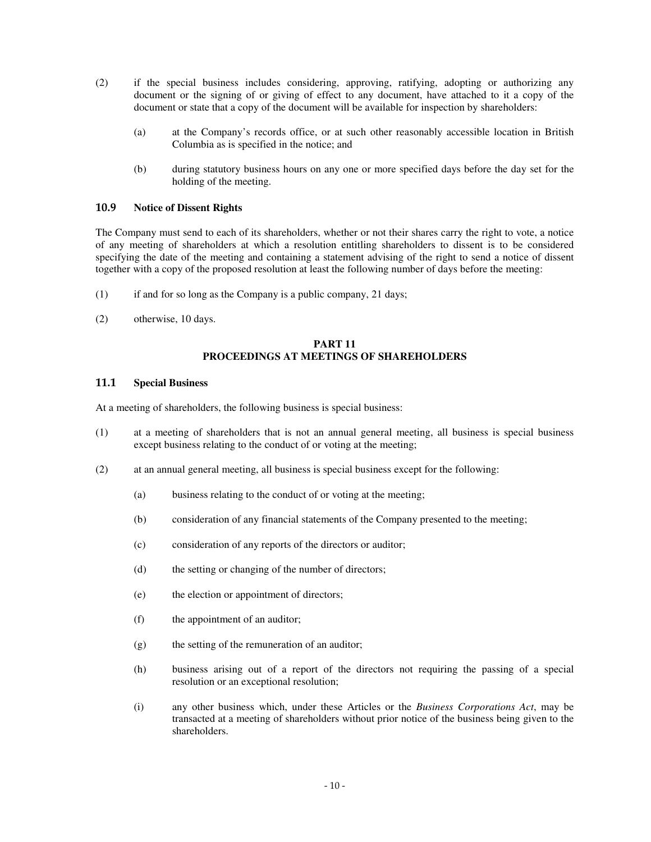- (2) if the special business includes considering, approving, ratifying, adopting or authorizing any document or the signing of or giving of effect to any document, have attached to it a copy of the document or state that a copy of the document will be available for inspection by shareholders:
	- (a) at the Company's records office, or at such other reasonably accessible location in British Columbia as is specified in the notice; and
	- (b) during statutory business hours on any one or more specified days before the day set for the holding of the meeting.

### **10.9 Notice of Dissent Rights**

The Company must send to each of its shareholders, whether or not their shares carry the right to vote, a notice of any meeting of shareholders at which a resolution entitling shareholders to dissent is to be considered specifying the date of the meeting and containing a statement advising of the right to send a notice of dissent together with a copy of the proposed resolution at least the following number of days before the meeting:

- $(1)$  if and for so long as the Company is a public company, 21 days;
- (2) otherwise, 10 days.

## **PART 11 PROCEEDINGS AT MEETINGS OF SHAREHOLDERS**

#### **11.1 Special Business**

At a meeting of shareholders, the following business is special business:

- (1) at a meeting of shareholders that is not an annual general meeting, all business is special business except business relating to the conduct of or voting at the meeting;
- (2) at an annual general meeting, all business is special business except for the following:
	- (a) business relating to the conduct of or voting at the meeting;
	- (b) consideration of any financial statements of the Company presented to the meeting;
	- (c) consideration of any reports of the directors or auditor;
	- (d) the setting or changing of the number of directors;
	- (e) the election or appointment of directors;
	- (f) the appointment of an auditor;
	- (g) the setting of the remuneration of an auditor;
	- (h) business arising out of a report of the directors not requiring the passing of a special resolution or an exceptional resolution;
	- (i) any other business which, under these Articles or the *Business Corporations Act*, may be transacted at a meeting of shareholders without prior notice of the business being given to the shareholders.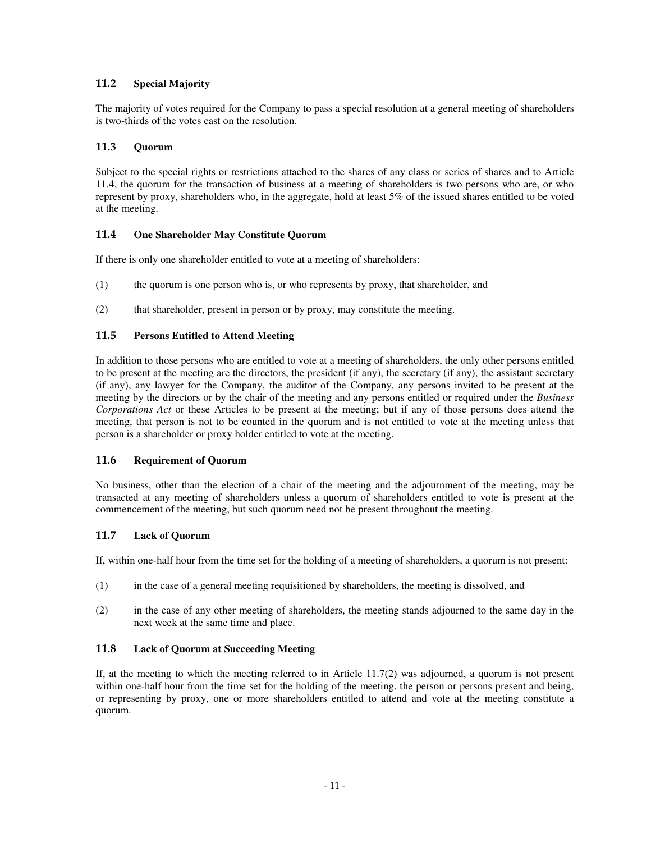# **11.2 Special Majority**

The majority of votes required for the Company to pass a special resolution at a general meeting of shareholders is two-thirds of the votes cast on the resolution.

# **11.3 Quorum**

Subject to the special rights or restrictions attached to the shares of any class or series of shares and to Article 11.4, the quorum for the transaction of business at a meeting of shareholders is two persons who are, or who represent by proxy, shareholders who, in the aggregate, hold at least 5% of the issued shares entitled to be voted at the meeting.

## **11.4 One Shareholder May Constitute Quorum**

If there is only one shareholder entitled to vote at a meeting of shareholders:

- (1) the quorum is one person who is, or who represents by proxy, that shareholder, and
- (2) that shareholder, present in person or by proxy, may constitute the meeting.

### **11.5 Persons Entitled to Attend Meeting**

In addition to those persons who are entitled to vote at a meeting of shareholders, the only other persons entitled to be present at the meeting are the directors, the president (if any), the secretary (if any), the assistant secretary (if any), any lawyer for the Company, the auditor of the Company, any persons invited to be present at the meeting by the directors or by the chair of the meeting and any persons entitled or required under the *Business Corporations Act* or these Articles to be present at the meeting; but if any of those persons does attend the meeting, that person is not to be counted in the quorum and is not entitled to vote at the meeting unless that person is a shareholder or proxy holder entitled to vote at the meeting.

#### **11.6 Requirement of Quorum**

No business, other than the election of a chair of the meeting and the adjournment of the meeting, may be transacted at any meeting of shareholders unless a quorum of shareholders entitled to vote is present at the commencement of the meeting, but such quorum need not be present throughout the meeting.

## **11.7 Lack of Quorum**

If, within one-half hour from the time set for the holding of a meeting of shareholders, a quorum is not present:

- (1) in the case of a general meeting requisitioned by shareholders, the meeting is dissolved, and
- (2) in the case of any other meeting of shareholders, the meeting stands adjourned to the same day in the next week at the same time and place.

## **11.8 Lack of Quorum at Succeeding Meeting**

If, at the meeting to which the meeting referred to in Article 11.7(2) was adjourned, a quorum is not present within one-half hour from the time set for the holding of the meeting, the person or persons present and being, or representing by proxy, one or more shareholders entitled to attend and vote at the meeting constitute a quorum.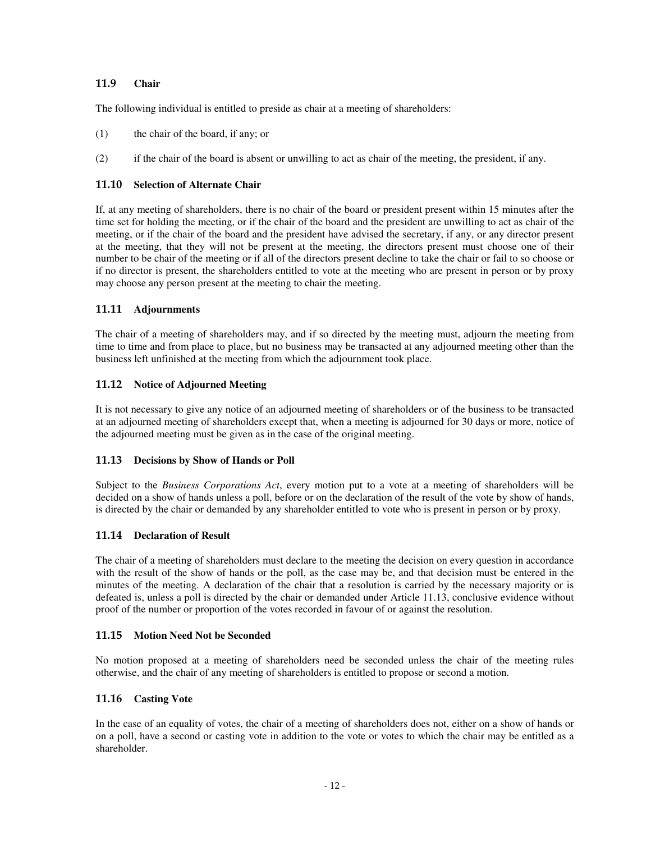## **11.9 Chair**

The following individual is entitled to preside as chair at a meeting of shareholders:

- (1) the chair of the board, if any; or
- (2) if the chair of the board is absent or unwilling to act as chair of the meeting, the president, if any.

### **11.10 Selection of Alternate Chair**

If, at any meeting of shareholders, there is no chair of the board or president present within 15 minutes after the time set for holding the meeting, or if the chair of the board and the president are unwilling to act as chair of the meeting, or if the chair of the board and the president have advised the secretary, if any, or any director present at the meeting, that they will not be present at the meeting, the directors present must choose one of their number to be chair of the meeting or if all of the directors present decline to take the chair or fail to so choose or if no director is present, the shareholders entitled to vote at the meeting who are present in person or by proxy may choose any person present at the meeting to chair the meeting.

### **11.11 Adjournments**

The chair of a meeting of shareholders may, and if so directed by the meeting must, adjourn the meeting from time to time and from place to place, but no business may be transacted at any adjourned meeting other than the business left unfinished at the meeting from which the adjournment took place.

### **11.12 Notice of Adjourned Meeting**

It is not necessary to give any notice of an adjourned meeting of shareholders or of the business to be transacted at an adjourned meeting of shareholders except that, when a meeting is adjourned for 30 days or more, notice of the adjourned meeting must be given as in the case of the original meeting.

#### **11.13 Decisions by Show of Hands or Poll**

Subject to the *Business Corporations Act*, every motion put to a vote at a meeting of shareholders will be decided on a show of hands unless a poll, before or on the declaration of the result of the vote by show of hands, is directed by the chair or demanded by any shareholder entitled to vote who is present in person or by proxy.

## **11.14 Declaration of Result**

The chair of a meeting of shareholders must declare to the meeting the decision on every question in accordance with the result of the show of hands or the poll, as the case may be, and that decision must be entered in the minutes of the meeting. A declaration of the chair that a resolution is carried by the necessary majority or is defeated is, unless a poll is directed by the chair or demanded under Article 11.13, conclusive evidence without proof of the number or proportion of the votes recorded in favour of or against the resolution.

#### **11.15 Motion Need Not be Seconded**

No motion proposed at a meeting of shareholders need be seconded unless the chair of the meeting rules otherwise, and the chair of any meeting of shareholders is entitled to propose or second a motion.

## **11.16 Casting Vote**

In the case of an equality of votes, the chair of a meeting of shareholders does not, either on a show of hands or on a poll, have a second or casting vote in addition to the vote or votes to which the chair may be entitled as a shareholder.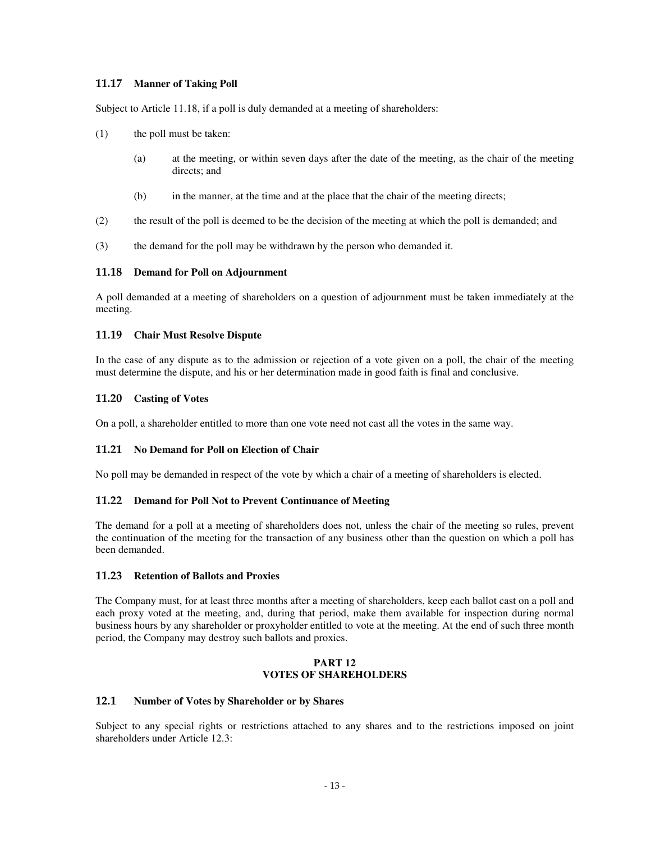## **11.17 Manner of Taking Poll**

Subject to Article 11.18, if a poll is duly demanded at a meeting of shareholders:

- (1) the poll must be taken:
	- (a) at the meeting, or within seven days after the date of the meeting, as the chair of the meeting directs; and
	- (b) in the manner, at the time and at the place that the chair of the meeting directs;
- (2) the result of the poll is deemed to be the decision of the meeting at which the poll is demanded; and
- (3) the demand for the poll may be withdrawn by the person who demanded it.

### **11.18 Demand for Poll on Adjournment**

A poll demanded at a meeting of shareholders on a question of adjournment must be taken immediately at the meeting.

### **11.19 Chair Must Resolve Dispute**

In the case of any dispute as to the admission or rejection of a vote given on a poll, the chair of the meeting must determine the dispute, and his or her determination made in good faith is final and conclusive.

### **11.20 Casting of Votes**

On a poll, a shareholder entitled to more than one vote need not cast all the votes in the same way.

## **11.21 No Demand for Poll on Election of Chair**

No poll may be demanded in respect of the vote by which a chair of a meeting of shareholders is elected.

## **11.22 Demand for Poll Not to Prevent Continuance of Meeting**

The demand for a poll at a meeting of shareholders does not, unless the chair of the meeting so rules, prevent the continuation of the meeting for the transaction of any business other than the question on which a poll has been demanded.

## **11.23 Retention of Ballots and Proxies**

The Company must, for at least three months after a meeting of shareholders, keep each ballot cast on a poll and each proxy voted at the meeting, and, during that period, make them available for inspection during normal business hours by any shareholder or proxyholder entitled to vote at the meeting. At the end of such three month period, the Company may destroy such ballots and proxies.

#### **PART 12 VOTES OF SHAREHOLDERS**

## **12.1 Number of Votes by Shareholder or by Shares**

Subject to any special rights or restrictions attached to any shares and to the restrictions imposed on joint shareholders under Article 12.3: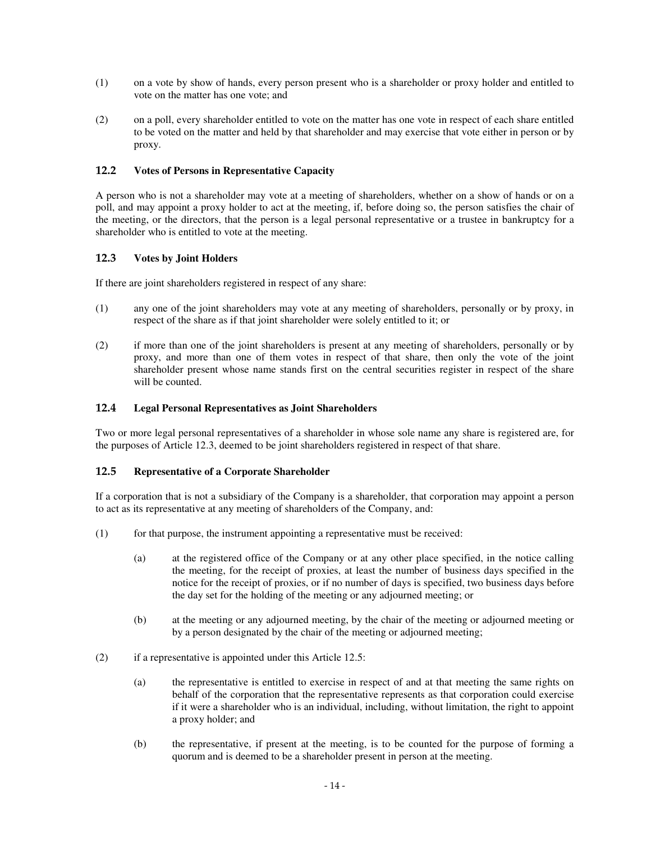- (1) on a vote by show of hands, every person present who is a shareholder or proxy holder and entitled to vote on the matter has one vote; and
- (2) on a poll, every shareholder entitled to vote on the matter has one vote in respect of each share entitled to be voted on the matter and held by that shareholder and may exercise that vote either in person or by proxy.

# **12.2 Votes of Persons in Representative Capacity**

A person who is not a shareholder may vote at a meeting of shareholders, whether on a show of hands or on a poll, and may appoint a proxy holder to act at the meeting, if, before doing so, the person satisfies the chair of the meeting, or the directors, that the person is a legal personal representative or a trustee in bankruptcy for a shareholder who is entitled to vote at the meeting.

# **12.3 Votes by Joint Holders**

If there are joint shareholders registered in respect of any share:

- (1) any one of the joint shareholders may vote at any meeting of shareholders, personally or by proxy, in respect of the share as if that joint shareholder were solely entitled to it; or
- (2) if more than one of the joint shareholders is present at any meeting of shareholders, personally or by proxy, and more than one of them votes in respect of that share, then only the vote of the joint shareholder present whose name stands first on the central securities register in respect of the share will be counted.

## **12.4 Legal Personal Representatives as Joint Shareholders**

Two or more legal personal representatives of a shareholder in whose sole name any share is registered are, for the purposes of Article 12.3, deemed to be joint shareholders registered in respect of that share.

# **12.5 Representative of a Corporate Shareholder**

If a corporation that is not a subsidiary of the Company is a shareholder, that corporation may appoint a person to act as its representative at any meeting of shareholders of the Company, and:

- (1) for that purpose, the instrument appointing a representative must be received:
	- (a) at the registered office of the Company or at any other place specified, in the notice calling the meeting, for the receipt of proxies, at least the number of business days specified in the notice for the receipt of proxies, or if no number of days is specified, two business days before the day set for the holding of the meeting or any adjourned meeting; or
	- (b) at the meeting or any adjourned meeting, by the chair of the meeting or adjourned meeting or by a person designated by the chair of the meeting or adjourned meeting;
- (2) if a representative is appointed under this Article 12.5:
	- (a) the representative is entitled to exercise in respect of and at that meeting the same rights on behalf of the corporation that the representative represents as that corporation could exercise if it were a shareholder who is an individual, including, without limitation, the right to appoint a proxy holder; and
	- (b) the representative, if present at the meeting, is to be counted for the purpose of forming a quorum and is deemed to be a shareholder present in person at the meeting.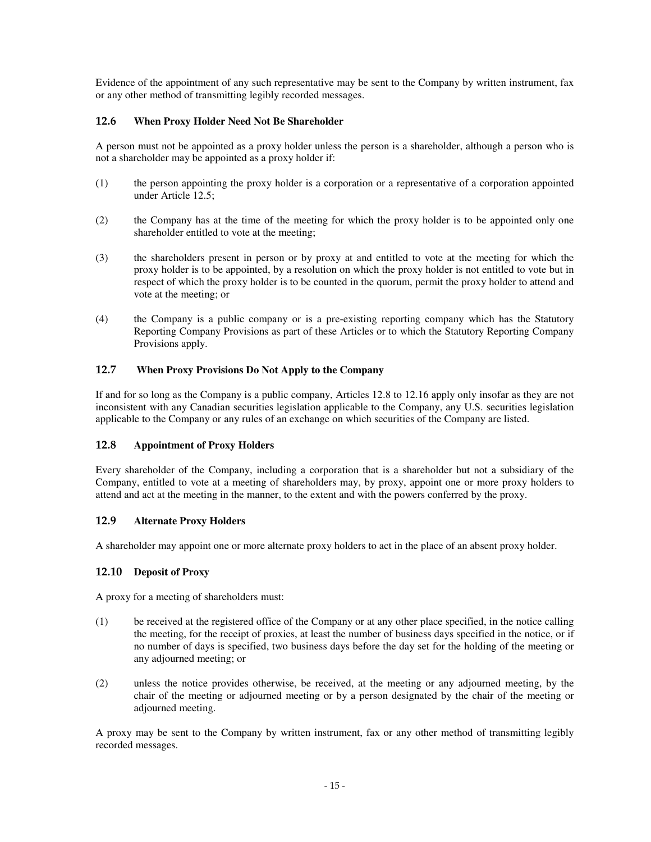Evidence of the appointment of any such representative may be sent to the Company by written instrument, fax or any other method of transmitting legibly recorded messages.

# **12.6 When Proxy Holder Need Not Be Shareholder**

A person must not be appointed as a proxy holder unless the person is a shareholder, although a person who is not a shareholder may be appointed as a proxy holder if:

- (1) the person appointing the proxy holder is a corporation or a representative of a corporation appointed under Article 12.5;
- (2) the Company has at the time of the meeting for which the proxy holder is to be appointed only one shareholder entitled to vote at the meeting;
- (3) the shareholders present in person or by proxy at and entitled to vote at the meeting for which the proxy holder is to be appointed, by a resolution on which the proxy holder is not entitled to vote but in respect of which the proxy holder is to be counted in the quorum, permit the proxy holder to attend and vote at the meeting; or
- (4) the Company is a public company or is a pre-existing reporting company which has the Statutory Reporting Company Provisions as part of these Articles or to which the Statutory Reporting Company Provisions apply.

# **12.7 When Proxy Provisions Do Not Apply to the Company**

If and for so long as the Company is a public company, Articles 12.8 to 12.16 apply only insofar as they are not inconsistent with any Canadian securities legislation applicable to the Company, any U.S. securities legislation applicable to the Company or any rules of an exchange on which securities of the Company are listed.

# **12.8 Appointment of Proxy Holders**

Every shareholder of the Company, including a corporation that is a shareholder but not a subsidiary of the Company, entitled to vote at a meeting of shareholders may, by proxy, appoint one or more proxy holders to attend and act at the meeting in the manner, to the extent and with the powers conferred by the proxy.

# **12.9 Alternate Proxy Holders**

A shareholder may appoint one or more alternate proxy holders to act in the place of an absent proxy holder.

## **12.10 Deposit of Proxy**

A proxy for a meeting of shareholders must:

- (1) be received at the registered office of the Company or at any other place specified, in the notice calling the meeting, for the receipt of proxies, at least the number of business days specified in the notice, or if no number of days is specified, two business days before the day set for the holding of the meeting or any adjourned meeting; or
- (2) unless the notice provides otherwise, be received, at the meeting or any adjourned meeting, by the chair of the meeting or adjourned meeting or by a person designated by the chair of the meeting or adjourned meeting.

A proxy may be sent to the Company by written instrument, fax or any other method of transmitting legibly recorded messages.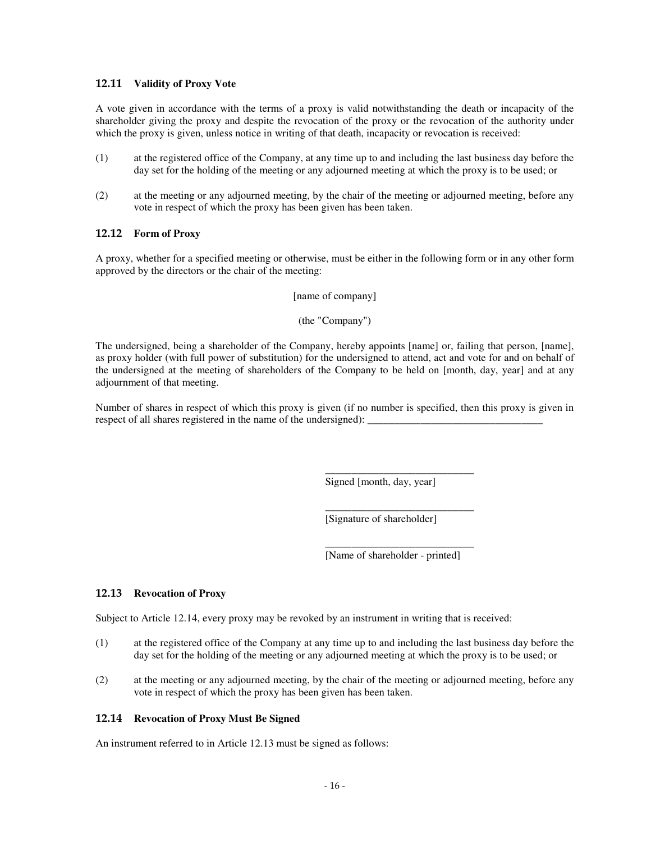### **12.11 Validity of Proxy Vote**

A vote given in accordance with the terms of a proxy is valid notwithstanding the death or incapacity of the shareholder giving the proxy and despite the revocation of the proxy or the revocation of the authority under which the proxy is given, unless notice in writing of that death, incapacity or revocation is received:

- (1) at the registered office of the Company, at any time up to and including the last business day before the day set for the holding of the meeting or any adjourned meeting at which the proxy is to be used; or
- (2) at the meeting or any adjourned meeting, by the chair of the meeting or adjourned meeting, before any vote in respect of which the proxy has been given has been taken.

## **12.12 Form of Proxy**

A proxy, whether for a specified meeting or otherwise, must be either in the following form or in any other form approved by the directors or the chair of the meeting:

[name of company]

(the "Company")

The undersigned, being a shareholder of the Company, hereby appoints [name] or, failing that person, [name], as proxy holder (with full power of substitution) for the undersigned to attend, act and vote for and on behalf of the undersigned at the meeting of shareholders of the Company to be held on [month, day, year] and at any adjournment of that meeting.

Number of shares in respect of which this proxy is given (if no number is specified, then this proxy is given in respect of all shares registered in the name of the undersigned): \_\_\_\_\_\_\_\_\_\_\_\_\_\_

Signed [month, day, year]

\_\_\_\_\_\_\_\_\_\_\_\_\_\_\_\_\_\_\_\_\_\_\_\_\_\_\_\_

\_\_\_\_\_\_\_\_\_\_\_\_\_\_\_\_\_\_\_\_\_\_\_\_\_\_\_\_

[Signature of shareholder]

\_\_\_\_\_\_\_\_\_\_\_\_\_\_\_\_\_\_\_\_\_\_\_\_\_\_\_\_ [Name of shareholder - printed]

## **12.13 Revocation of Proxy**

Subject to Article 12.14, every proxy may be revoked by an instrument in writing that is received:

- (1) at the registered office of the Company at any time up to and including the last business day before the day set for the holding of the meeting or any adjourned meeting at which the proxy is to be used; or
- (2) at the meeting or any adjourned meeting, by the chair of the meeting or adjourned meeting, before any vote in respect of which the proxy has been given has been taken.

## **12.14 Revocation of Proxy Must Be Signed**

An instrument referred to in Article 12.13 must be signed as follows: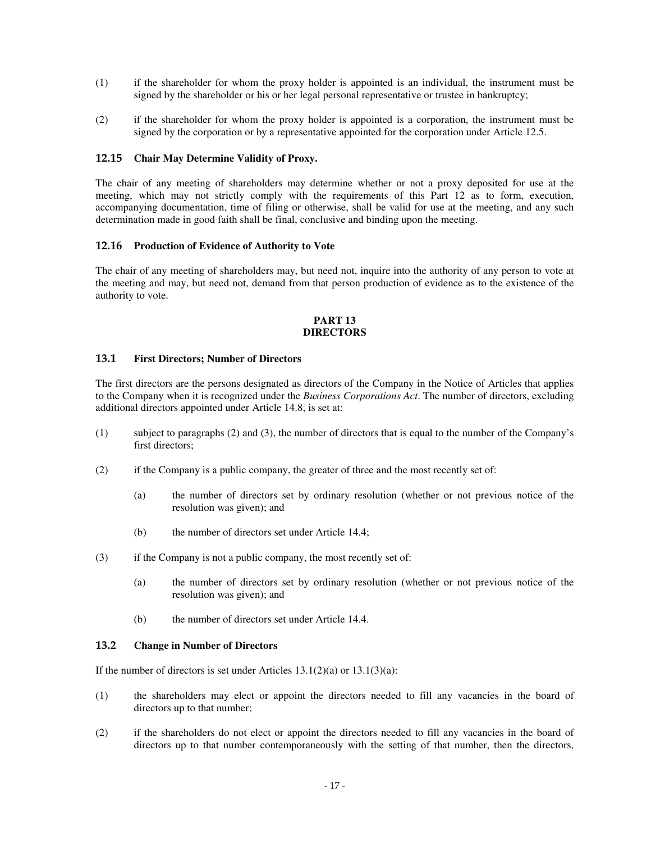- (1) if the shareholder for whom the proxy holder is appointed is an individual, the instrument must be signed by the shareholder or his or her legal personal representative or trustee in bankruptcy;
- (2) if the shareholder for whom the proxy holder is appointed is a corporation, the instrument must be signed by the corporation or by a representative appointed for the corporation under Article 12.5.

### **12.15 Chair May Determine Validity of Proxy.**

The chair of any meeting of shareholders may determine whether or not a proxy deposited for use at the meeting, which may not strictly comply with the requirements of this Part 12 as to form, execution, accompanying documentation, time of filing or otherwise, shall be valid for use at the meeting, and any such determination made in good faith shall be final, conclusive and binding upon the meeting.

#### **12.16 Production of Evidence of Authority to Vote**

The chair of any meeting of shareholders may, but need not, inquire into the authority of any person to vote at the meeting and may, but need not, demand from that person production of evidence as to the existence of the authority to vote.

### **PART 13 DIRECTORS**

### **13.1 First Directors; Number of Directors**

The first directors are the persons designated as directors of the Company in the Notice of Articles that applies to the Company when it is recognized under the *Business Corporations Act*. The number of directors, excluding additional directors appointed under Article 14.8, is set at:

- (1) subject to paragraphs (2) and (3), the number of directors that is equal to the number of the Company's first directors;
- (2) if the Company is a public company, the greater of three and the most recently set of:
	- (a) the number of directors set by ordinary resolution (whether or not previous notice of the resolution was given); and
	- (b) the number of directors set under Article 14.4;
- (3) if the Company is not a public company, the most recently set of:
	- (a) the number of directors set by ordinary resolution (whether or not previous notice of the resolution was given); and
	- (b) the number of directors set under Article 14.4.

# **13.2 Change in Number of Directors**

If the number of directors is set under Articles  $13.1(2)(a)$  or  $13.1(3)(a)$ :

- (1) the shareholders may elect or appoint the directors needed to fill any vacancies in the board of directors up to that number;
- (2) if the shareholders do not elect or appoint the directors needed to fill any vacancies in the board of directors up to that number contemporaneously with the setting of that number, then the directors,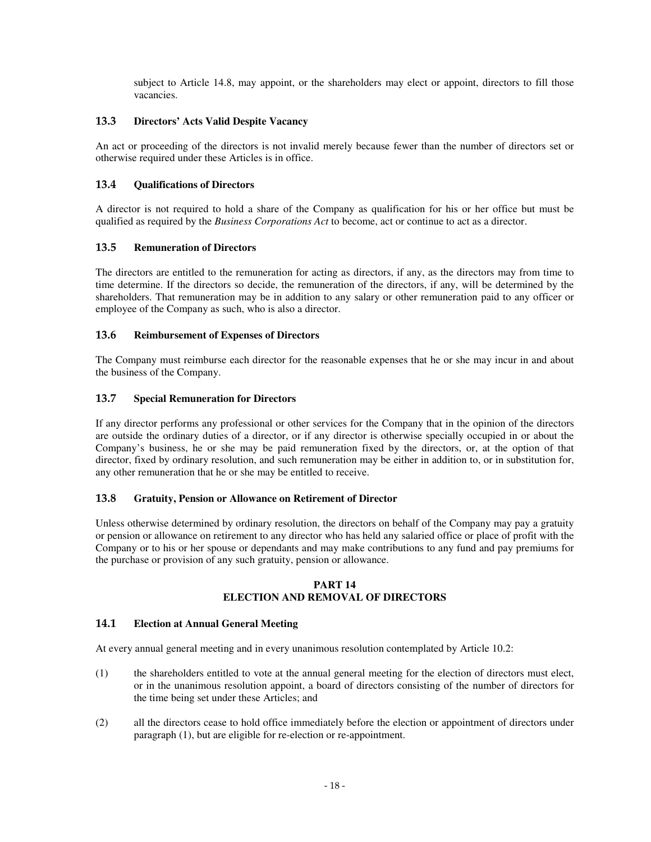subject to Article 14.8, may appoint, or the shareholders may elect or appoint, directors to fill those vacancies.

# **13.3 Directors' Acts Valid Despite Vacancy**

An act or proceeding of the directors is not invalid merely because fewer than the number of directors set or otherwise required under these Articles is in office.

# **13.4 Qualifications of Directors**

A director is not required to hold a share of the Company as qualification for his or her office but must be qualified as required by the *Business Corporations Act* to become, act or continue to act as a director.

## **13.5 Remuneration of Directors**

The directors are entitled to the remuneration for acting as directors, if any, as the directors may from time to time determine. If the directors so decide, the remuneration of the directors, if any, will be determined by the shareholders. That remuneration may be in addition to any salary or other remuneration paid to any officer or employee of the Company as such, who is also a director.

## **13.6 Reimbursement of Expenses of Directors**

The Company must reimburse each director for the reasonable expenses that he or she may incur in and about the business of the Company.

# **13.7 Special Remuneration for Directors**

If any director performs any professional or other services for the Company that in the opinion of the directors are outside the ordinary duties of a director, or if any director is otherwise specially occupied in or about the Company's business, he or she may be paid remuneration fixed by the directors, or, at the option of that director, fixed by ordinary resolution, and such remuneration may be either in addition to, or in substitution for, any other remuneration that he or she may be entitled to receive.

## **13.8 Gratuity, Pension or Allowance on Retirement of Director**

Unless otherwise determined by ordinary resolution, the directors on behalf of the Company may pay a gratuity or pension or allowance on retirement to any director who has held any salaried office or place of profit with the Company or to his or her spouse or dependants and may make contributions to any fund and pay premiums for the purchase or provision of any such gratuity, pension or allowance.

# **PART 14 ELECTION AND REMOVAL OF DIRECTORS**

## **14.1 Election at Annual General Meeting**

At every annual general meeting and in every unanimous resolution contemplated by Article 10.2:

- (1) the shareholders entitled to vote at the annual general meeting for the election of directors must elect, or in the unanimous resolution appoint, a board of directors consisting of the number of directors for the time being set under these Articles; and
- (2) all the directors cease to hold office immediately before the election or appointment of directors under paragraph (1), but are eligible for re-election or re-appointment.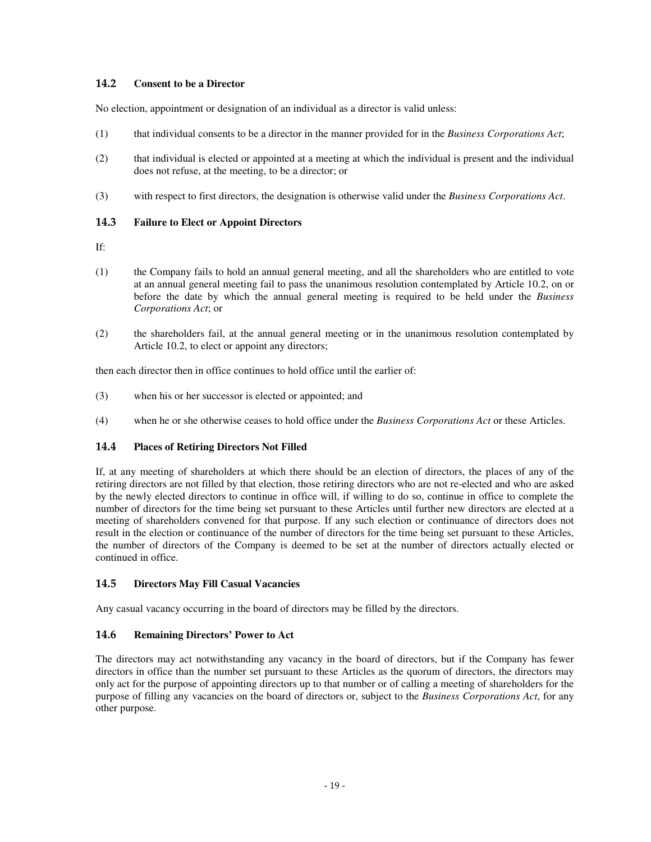# **14.2 Consent to be a Director**

No election, appointment or designation of an individual as a director is valid unless:

- (1) that individual consents to be a director in the manner provided for in the *Business Corporations Act*;
- (2) that individual is elected or appointed at a meeting at which the individual is present and the individual does not refuse, at the meeting, to be a director; or
- (3) with respect to first directors, the designation is otherwise valid under the *Business Corporations Act*.

## **14.3 Failure to Elect or Appoint Directors**

If:

- (1) the Company fails to hold an annual general meeting, and all the shareholders who are entitled to vote at an annual general meeting fail to pass the unanimous resolution contemplated by Article 10.2, on or before the date by which the annual general meeting is required to be held under the *Business Corporations Act*; or
- (2) the shareholders fail, at the annual general meeting or in the unanimous resolution contemplated by Article 10.2, to elect or appoint any directors;

then each director then in office continues to hold office until the earlier of:

- (3) when his or her successor is elected or appointed; and
- (4) when he or she otherwise ceases to hold office under the *Business Corporations Act* or these Articles.

## **14.4 Places of Retiring Directors Not Filled**

If, at any meeting of shareholders at which there should be an election of directors, the places of any of the retiring directors are not filled by that election, those retiring directors who are not re-elected and who are asked by the newly elected directors to continue in office will, if willing to do so, continue in office to complete the number of directors for the time being set pursuant to these Articles until further new directors are elected at a meeting of shareholders convened for that purpose. If any such election or continuance of directors does not result in the election or continuance of the number of directors for the time being set pursuant to these Articles, the number of directors of the Company is deemed to be set at the number of directors actually elected or continued in office.

## **14.5 Directors May Fill Casual Vacancies**

Any casual vacancy occurring in the board of directors may be filled by the directors.

## **14.6 Remaining Directors' Power to Act**

The directors may act notwithstanding any vacancy in the board of directors, but if the Company has fewer directors in office than the number set pursuant to these Articles as the quorum of directors, the directors may only act for the purpose of appointing directors up to that number or of calling a meeting of shareholders for the purpose of filling any vacancies on the board of directors or, subject to the *Business Corporations Act*, for any other purpose.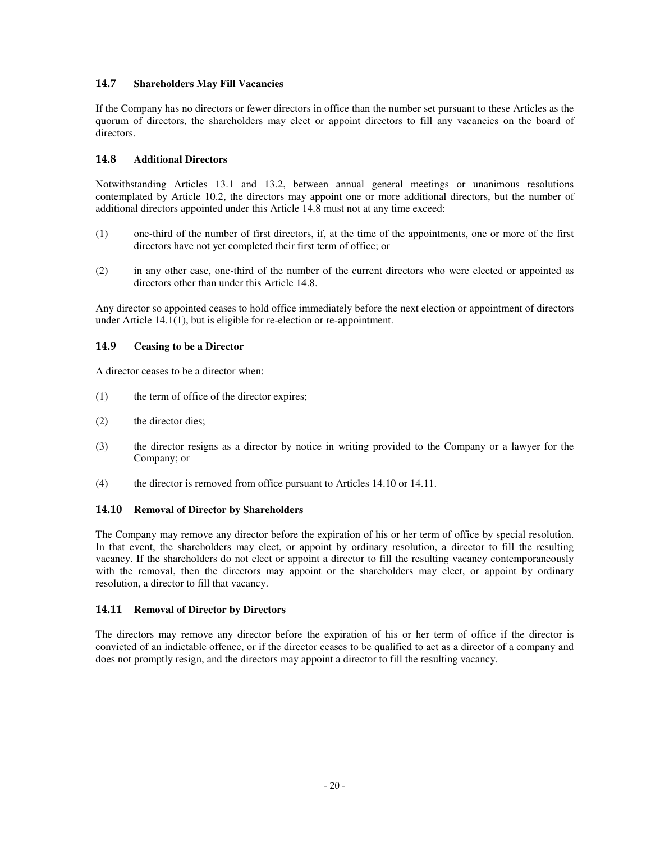## **14.7 Shareholders May Fill Vacancies**

If the Company has no directors or fewer directors in office than the number set pursuant to these Articles as the quorum of directors, the shareholders may elect or appoint directors to fill any vacancies on the board of directors.

# **14.8 Additional Directors**

Notwithstanding Articles 13.1 and 13.2, between annual general meetings or unanimous resolutions contemplated by Article 10.2, the directors may appoint one or more additional directors, but the number of additional directors appointed under this Article 14.8 must not at any time exceed:

- (1) one-third of the number of first directors, if, at the time of the appointments, one or more of the first directors have not yet completed their first term of office; or
- (2) in any other case, one-third of the number of the current directors who were elected or appointed as directors other than under this Article 14.8.

Any director so appointed ceases to hold office immediately before the next election or appointment of directors under Article 14.1(1), but is eligible for re-election or re-appointment.

# **14.9 Ceasing to be a Director**

A director ceases to be a director when:

- (1) the term of office of the director expires;
- (2) the director dies;
- (3) the director resigns as a director by notice in writing provided to the Company or a lawyer for the Company; or
- (4) the director is removed from office pursuant to Articles 14.10 or 14.11.

## **14.10 Removal of Director by Shareholders**

The Company may remove any director before the expiration of his or her term of office by special resolution. In that event, the shareholders may elect, or appoint by ordinary resolution, a director to fill the resulting vacancy. If the shareholders do not elect or appoint a director to fill the resulting vacancy contemporaneously with the removal, then the directors may appoint or the shareholders may elect, or appoint by ordinary resolution, a director to fill that vacancy.

## **14.11 Removal of Director by Directors**

The directors may remove any director before the expiration of his or her term of office if the director is convicted of an indictable offence, or if the director ceases to be qualified to act as a director of a company and does not promptly resign, and the directors may appoint a director to fill the resulting vacancy.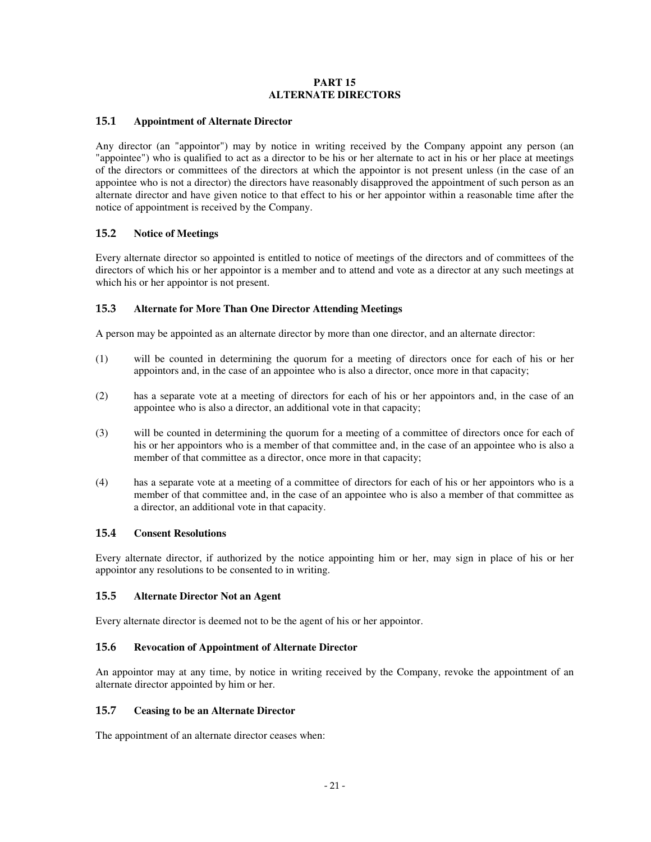### **PART 15 ALTERNATE DIRECTORS**

## **15.1 Appointment of Alternate Director**

Any director (an "appointor") may by notice in writing received by the Company appoint any person (an "appointee") who is qualified to act as a director to be his or her alternate to act in his or her place at meetings of the directors or committees of the directors at which the appointor is not present unless (in the case of an appointee who is not a director) the directors have reasonably disapproved the appointment of such person as an alternate director and have given notice to that effect to his or her appointor within a reasonable time after the notice of appointment is received by the Company.

### **15.2 Notice of Meetings**

Every alternate director so appointed is entitled to notice of meetings of the directors and of committees of the directors of which his or her appointor is a member and to attend and vote as a director at any such meetings at which his or her appointor is not present.

### **15.3 Alternate for More Than One Director Attending Meetings**

A person may be appointed as an alternate director by more than one director, and an alternate director:

- (1) will be counted in determining the quorum for a meeting of directors once for each of his or her appointors and, in the case of an appointee who is also a director, once more in that capacity;
- (2) has a separate vote at a meeting of directors for each of his or her appointors and, in the case of an appointee who is also a director, an additional vote in that capacity;
- (3) will be counted in determining the quorum for a meeting of a committee of directors once for each of his or her appointors who is a member of that committee and, in the case of an appointee who is also a member of that committee as a director, once more in that capacity;
- (4) has a separate vote at a meeting of a committee of directors for each of his or her appointors who is a member of that committee and, in the case of an appointee who is also a member of that committee as a director, an additional vote in that capacity.

## **15.4 Consent Resolutions**

Every alternate director, if authorized by the notice appointing him or her, may sign in place of his or her appointor any resolutions to be consented to in writing.

## **15.5 Alternate Director Not an Agent**

Every alternate director is deemed not to be the agent of his or her appointor.

### **15.6 Revocation of Appointment of Alternate Director**

An appointor may at any time, by notice in writing received by the Company, revoke the appointment of an alternate director appointed by him or her.

#### **15.7 Ceasing to be an Alternate Director**

The appointment of an alternate director ceases when: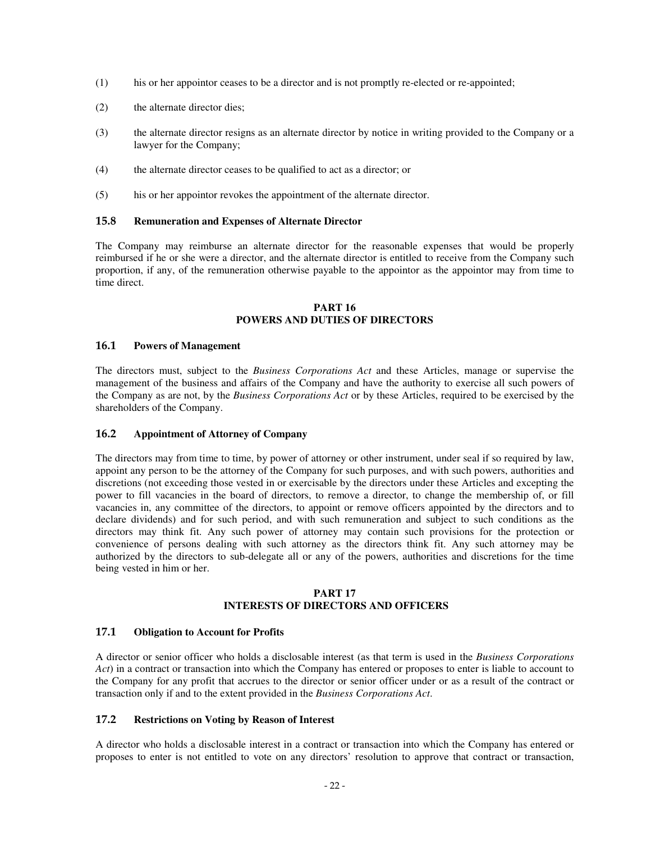- (1) his or her appointor ceases to be a director and is not promptly re-elected or re-appointed;
- (2) the alternate director dies;
- (3) the alternate director resigns as an alternate director by notice in writing provided to the Company or a lawyer for the Company;
- (4) the alternate director ceases to be qualified to act as a director; or
- (5) his or her appointor revokes the appointment of the alternate director.

### **15.8 Remuneration and Expenses of Alternate Director**

The Company may reimburse an alternate director for the reasonable expenses that would be properly reimbursed if he or she were a director, and the alternate director is entitled to receive from the Company such proportion, if any, of the remuneration otherwise payable to the appointor as the appointor may from time to time direct.

### **PART 16 POWERS AND DUTIES OF DIRECTORS**

### **16.1 Powers of Management**

The directors must, subject to the *Business Corporations Act* and these Articles, manage or supervise the management of the business and affairs of the Company and have the authority to exercise all such powers of the Company as are not, by the *Business Corporations Act* or by these Articles, required to be exercised by the shareholders of the Company.

## **16.2 Appointment of Attorney of Company**

The directors may from time to time, by power of attorney or other instrument, under seal if so required by law, appoint any person to be the attorney of the Company for such purposes, and with such powers, authorities and discretions (not exceeding those vested in or exercisable by the directors under these Articles and excepting the power to fill vacancies in the board of directors, to remove a director, to change the membership of, or fill vacancies in, any committee of the directors, to appoint or remove officers appointed by the directors and to declare dividends) and for such period, and with such remuneration and subject to such conditions as the directors may think fit. Any such power of attorney may contain such provisions for the protection or convenience of persons dealing with such attorney as the directors think fit. Any such attorney may be authorized by the directors to sub-delegate all or any of the powers, authorities and discretions for the time being vested in him or her.

### **PART 17 INTERESTS OF DIRECTORS AND OFFICERS**

## **17.1 Obligation to Account for Profits**

A director or senior officer who holds a disclosable interest (as that term is used in the *Business Corporations Act*) in a contract or transaction into which the Company has entered or proposes to enter is liable to account to the Company for any profit that accrues to the director or senior officer under or as a result of the contract or transaction only if and to the extent provided in the *Business Corporations Act*.

# **17.2 Restrictions on Voting by Reason of Interest**

A director who holds a disclosable interest in a contract or transaction into which the Company has entered or proposes to enter is not entitled to vote on any directors' resolution to approve that contract or transaction,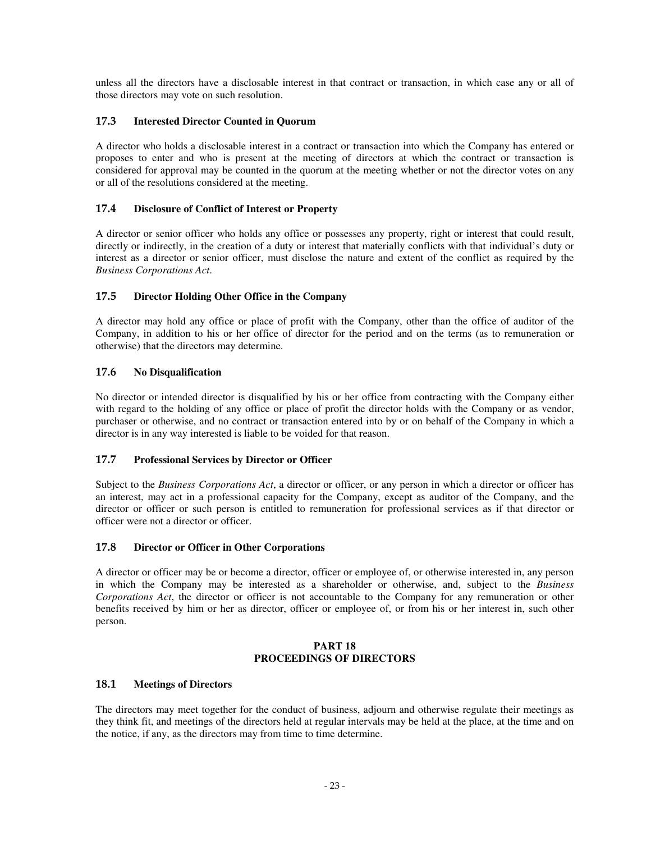unless all the directors have a disclosable interest in that contract or transaction, in which case any or all of those directors may vote on such resolution.

# **17.3 Interested Director Counted in Quorum**

A director who holds a disclosable interest in a contract or transaction into which the Company has entered or proposes to enter and who is present at the meeting of directors at which the contract or transaction is considered for approval may be counted in the quorum at the meeting whether or not the director votes on any or all of the resolutions considered at the meeting.

# **17.4 Disclosure of Conflict of Interest or Property**

A director or senior officer who holds any office or possesses any property, right or interest that could result, directly or indirectly, in the creation of a duty or interest that materially conflicts with that individual's duty or interest as a director or senior officer, must disclose the nature and extent of the conflict as required by the *Business Corporations Act*.

# **17.5 Director Holding Other Office in the Company**

A director may hold any office or place of profit with the Company, other than the office of auditor of the Company, in addition to his or her office of director for the period and on the terms (as to remuneration or otherwise) that the directors may determine.

# **17.6 No Disqualification**

No director or intended director is disqualified by his or her office from contracting with the Company either with regard to the holding of any office or place of profit the director holds with the Company or as vendor, purchaser or otherwise, and no contract or transaction entered into by or on behalf of the Company in which a director is in any way interested is liable to be voided for that reason.

## **17.7 Professional Services by Director or Officer**

Subject to the *Business Corporations Act*, a director or officer, or any person in which a director or officer has an interest, may act in a professional capacity for the Company, except as auditor of the Company, and the director or officer or such person is entitled to remuneration for professional services as if that director or officer were not a director or officer.

## **17.8 Director or Officer in Other Corporations**

A director or officer may be or become a director, officer or employee of, or otherwise interested in, any person in which the Company may be interested as a shareholder or otherwise, and, subject to the *Business Corporations Act*, the director or officer is not accountable to the Company for any remuneration or other benefits received by him or her as director, officer or employee of, or from his or her interest in, such other person.

### **PART 18 PROCEEDINGS OF DIRECTORS**

## **18.1 Meetings of Directors**

The directors may meet together for the conduct of business, adjourn and otherwise regulate their meetings as they think fit, and meetings of the directors held at regular intervals may be held at the place, at the time and on the notice, if any, as the directors may from time to time determine.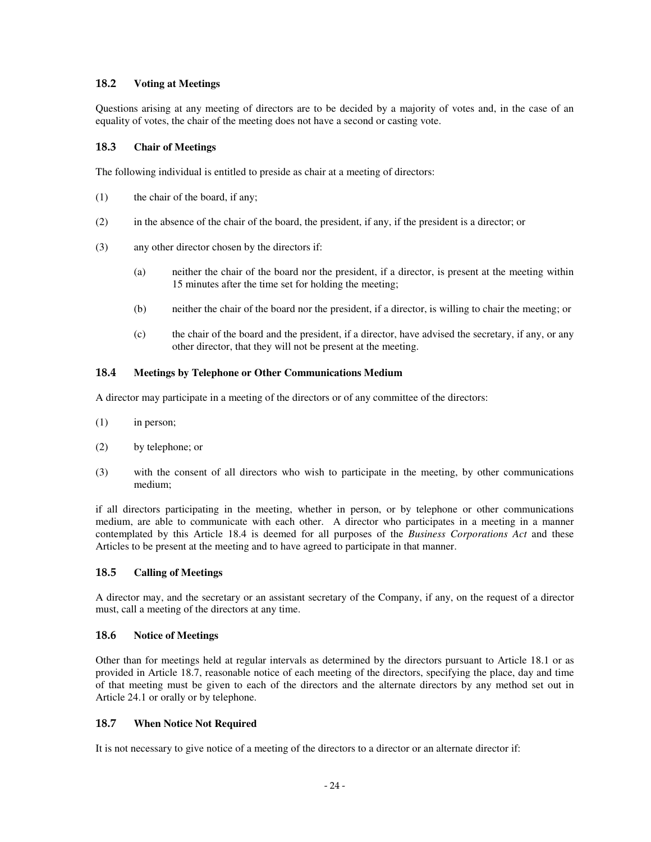# **18.2 Voting at Meetings**

Questions arising at any meeting of directors are to be decided by a majority of votes and, in the case of an equality of votes, the chair of the meeting does not have a second or casting vote.

# **18.3 Chair of Meetings**

The following individual is entitled to preside as chair at a meeting of directors:

- (1) the chair of the board, if any;
- (2) in the absence of the chair of the board, the president, if any, if the president is a director; or
- (3) any other director chosen by the directors if:
	- (a) neither the chair of the board nor the president, if a director, is present at the meeting within 15 minutes after the time set for holding the meeting;
	- (b) neither the chair of the board nor the president, if a director, is willing to chair the meeting; or
	- (c) the chair of the board and the president, if a director, have advised the secretary, if any, or any other director, that they will not be present at the meeting.

# **18.4 Meetings by Telephone or Other Communications Medium**

A director may participate in a meeting of the directors or of any committee of the directors:

- (1) in person;
- (2) by telephone; or
- (3) with the consent of all directors who wish to participate in the meeting, by other communications medium;

if all directors participating in the meeting, whether in person, or by telephone or other communications medium, are able to communicate with each other. A director who participates in a meeting in a manner contemplated by this Article 18.4 is deemed for all purposes of the *Business Corporations Act* and these Articles to be present at the meeting and to have agreed to participate in that manner.

## **18.5 Calling of Meetings**

A director may, and the secretary or an assistant secretary of the Company, if any, on the request of a director must, call a meeting of the directors at any time.

## **18.6 Notice of Meetings**

Other than for meetings held at regular intervals as determined by the directors pursuant to Article 18.1 or as provided in Article 18.7, reasonable notice of each meeting of the directors, specifying the place, day and time of that meeting must be given to each of the directors and the alternate directors by any method set out in Article 24.1 or orally or by telephone.

## **18.7 When Notice Not Required**

It is not necessary to give notice of a meeting of the directors to a director or an alternate director if: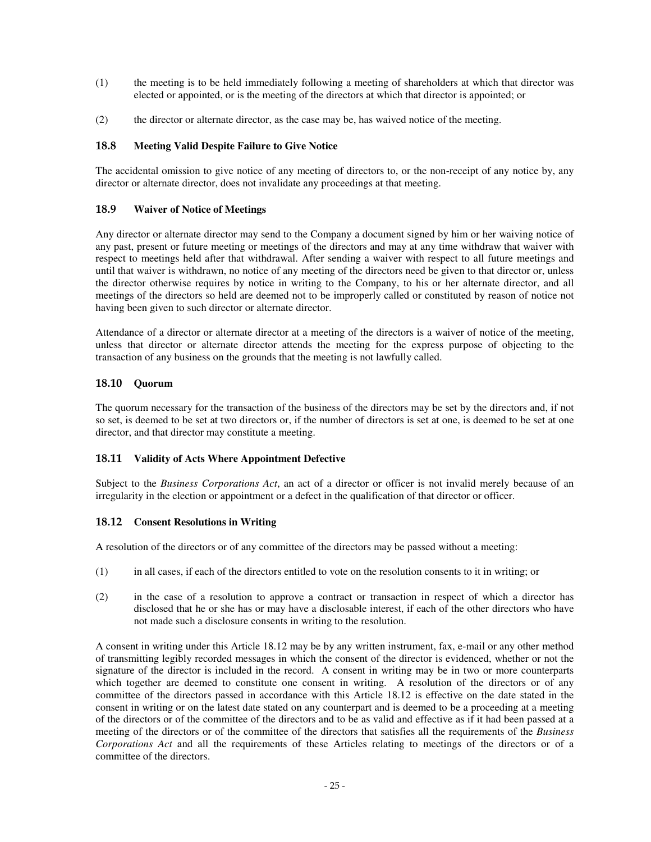- (1) the meeting is to be held immediately following a meeting of shareholders at which that director was elected or appointed, or is the meeting of the directors at which that director is appointed; or
- (2) the director or alternate director, as the case may be, has waived notice of the meeting.

## **18.8 Meeting Valid Despite Failure to Give Notice**

The accidental omission to give notice of any meeting of directors to, or the non-receipt of any notice by, any director or alternate director, does not invalidate any proceedings at that meeting.

### **18.9 Waiver of Notice of Meetings**

Any director or alternate director may send to the Company a document signed by him or her waiving notice of any past, present or future meeting or meetings of the directors and may at any time withdraw that waiver with respect to meetings held after that withdrawal. After sending a waiver with respect to all future meetings and until that waiver is withdrawn, no notice of any meeting of the directors need be given to that director or, unless the director otherwise requires by notice in writing to the Company, to his or her alternate director, and all meetings of the directors so held are deemed not to be improperly called or constituted by reason of notice not having been given to such director or alternate director.

Attendance of a director or alternate director at a meeting of the directors is a waiver of notice of the meeting, unless that director or alternate director attends the meeting for the express purpose of objecting to the transaction of any business on the grounds that the meeting is not lawfully called.

# **18.10 Quorum**

The quorum necessary for the transaction of the business of the directors may be set by the directors and, if not so set, is deemed to be set at two directors or, if the number of directors is set at one, is deemed to be set at one director, and that director may constitute a meeting.

## **18.11 Validity of Acts Where Appointment Defective**

Subject to the *Business Corporations Act*, an act of a director or officer is not invalid merely because of an irregularity in the election or appointment or a defect in the qualification of that director or officer.

#### **18.12 Consent Resolutions in Writing**

A resolution of the directors or of any committee of the directors may be passed without a meeting:

- (1) in all cases, if each of the directors entitled to vote on the resolution consents to it in writing; or
- (2) in the case of a resolution to approve a contract or transaction in respect of which a director has disclosed that he or she has or may have a disclosable interest, if each of the other directors who have not made such a disclosure consents in writing to the resolution.

A consent in writing under this Article 18.12 may be by any written instrument, fax, e-mail or any other method of transmitting legibly recorded messages in which the consent of the director is evidenced, whether or not the signature of the director is included in the record. A consent in writing may be in two or more counterparts which together are deemed to constitute one consent in writing. A resolution of the directors or of any committee of the directors passed in accordance with this Article 18.12 is effective on the date stated in the consent in writing or on the latest date stated on any counterpart and is deemed to be a proceeding at a meeting of the directors or of the committee of the directors and to be as valid and effective as if it had been passed at a meeting of the directors or of the committee of the directors that satisfies all the requirements of the *Business Corporations Act* and all the requirements of these Articles relating to meetings of the directors or of a committee of the directors.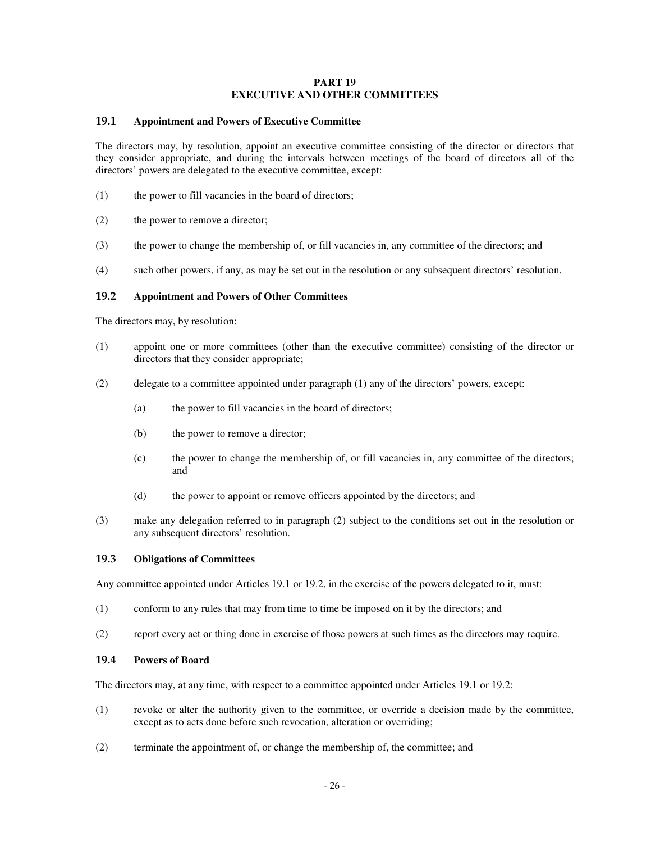## **PART 19 EXECUTIVE AND OTHER COMMITTEES**

### **19.1 Appointment and Powers of Executive Committee**

The directors may, by resolution, appoint an executive committee consisting of the director or directors that they consider appropriate, and during the intervals between meetings of the board of directors all of the directors' powers are delegated to the executive committee, except:

- (1) the power to fill vacancies in the board of directors;
- (2) the power to remove a director;
- (3) the power to change the membership of, or fill vacancies in, any committee of the directors; and
- (4) such other powers, if any, as may be set out in the resolution or any subsequent directors' resolution.

### **19.2 Appointment and Powers of Other Committees**

The directors may, by resolution:

- (1) appoint one or more committees (other than the executive committee) consisting of the director or directors that they consider appropriate;
- (2) delegate to a committee appointed under paragraph (1) any of the directors' powers, except:
	- (a) the power to fill vacancies in the board of directors;
	- (b) the power to remove a director;
	- (c) the power to change the membership of, or fill vacancies in, any committee of the directors; and
	- (d) the power to appoint or remove officers appointed by the directors; and
- (3) make any delegation referred to in paragraph (2) subject to the conditions set out in the resolution or any subsequent directors' resolution.

#### **19.3 Obligations of Committees**

Any committee appointed under Articles 19.1 or 19.2, in the exercise of the powers delegated to it, must:

- (1) conform to any rules that may from time to time be imposed on it by the directors; and
- (2) report every act or thing done in exercise of those powers at such times as the directors may require.

#### **19.4 Powers of Board**

The directors may, at any time, with respect to a committee appointed under Articles 19.1 or 19.2:

- (1) revoke or alter the authority given to the committee, or override a decision made by the committee, except as to acts done before such revocation, alteration or overriding;
- (2) terminate the appointment of, or change the membership of, the committee; and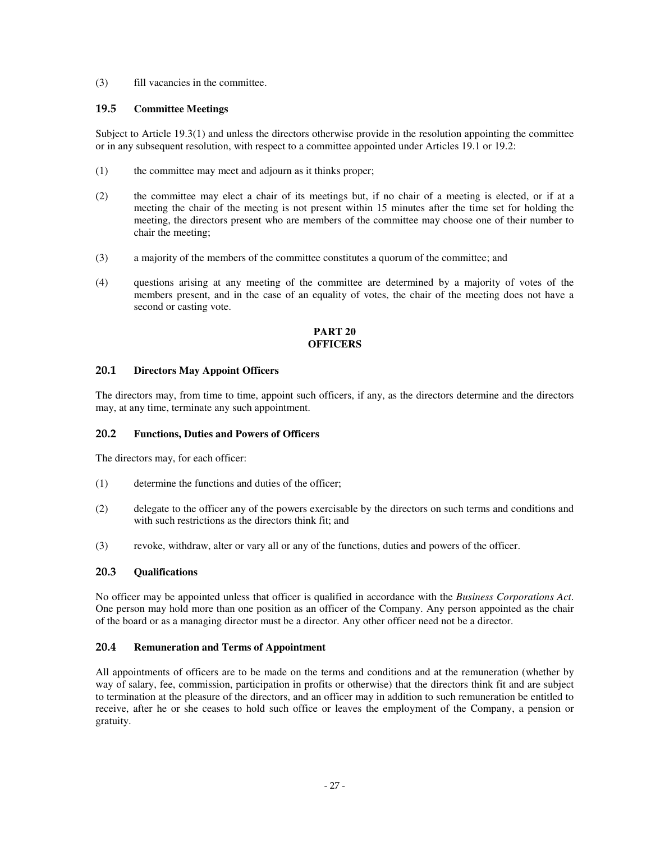(3) fill vacancies in the committee.

## **19.5 Committee Meetings**

Subject to Article 19.3(1) and unless the directors otherwise provide in the resolution appointing the committee or in any subsequent resolution, with respect to a committee appointed under Articles 19.1 or 19.2:

- (1) the committee may meet and adjourn as it thinks proper;
- (2) the committee may elect a chair of its meetings but, if no chair of a meeting is elected, or if at a meeting the chair of the meeting is not present within 15 minutes after the time set for holding the meeting, the directors present who are members of the committee may choose one of their number to chair the meeting;
- (3) a majority of the members of the committee constitutes a quorum of the committee; and
- (4) questions arising at any meeting of the committee are determined by a majority of votes of the members present, and in the case of an equality of votes, the chair of the meeting does not have a second or casting vote.

# **PART 20 OFFICERS**

## **20.1 Directors May Appoint Officers**

The directors may, from time to time, appoint such officers, if any, as the directors determine and the directors may, at any time, terminate any such appointment.

## **20.2 Functions, Duties and Powers of Officers**

The directors may, for each officer:

- (1) determine the functions and duties of the officer;
- (2) delegate to the officer any of the powers exercisable by the directors on such terms and conditions and with such restrictions as the directors think fit: and
- (3) revoke, withdraw, alter or vary all or any of the functions, duties and powers of the officer.

## **20.3 Qualifications**

No officer may be appointed unless that officer is qualified in accordance with the *Business Corporations Act*. One person may hold more than one position as an officer of the Company. Any person appointed as the chair of the board or as a managing director must be a director. Any other officer need not be a director.

## **20.4 Remuneration and Terms of Appointment**

All appointments of officers are to be made on the terms and conditions and at the remuneration (whether by way of salary, fee, commission, participation in profits or otherwise) that the directors think fit and are subject to termination at the pleasure of the directors, and an officer may in addition to such remuneration be entitled to receive, after he or she ceases to hold such office or leaves the employment of the Company, a pension or gratuity.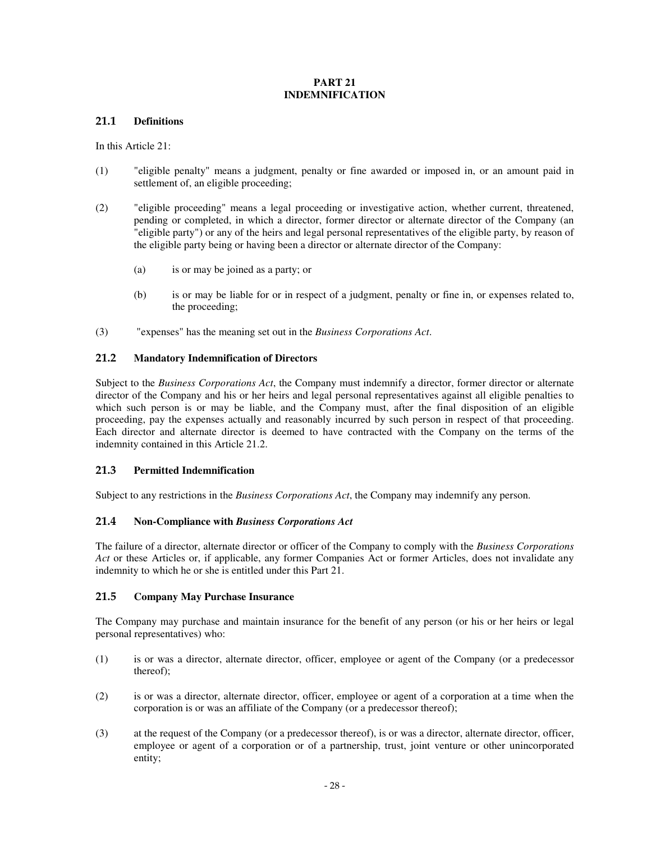## **PART 21 INDEMNIFICATION**

## **21.1 Definitions**

In this Article 21:

- (1) "eligible penalty" means a judgment, penalty or fine awarded or imposed in, or an amount paid in settlement of, an eligible proceeding;
- (2) "eligible proceeding" means a legal proceeding or investigative action, whether current, threatened, pending or completed, in which a director, former director or alternate director of the Company (an "eligible party") or any of the heirs and legal personal representatives of the eligible party, by reason of the eligible party being or having been a director or alternate director of the Company:
	- (a) is or may be joined as a party; or
	- (b) is or may be liable for or in respect of a judgment, penalty or fine in, or expenses related to, the proceeding;
- (3) "expenses" has the meaning set out in the *Business Corporations Act*.

## **21.2 Mandatory Indemnification of Directors**

Subject to the *Business Corporations Act*, the Company must indemnify a director, former director or alternate director of the Company and his or her heirs and legal personal representatives against all eligible penalties to which such person is or may be liable, and the Company must, after the final disposition of an eligible proceeding, pay the expenses actually and reasonably incurred by such person in respect of that proceeding. Each director and alternate director is deemed to have contracted with the Company on the terms of the indemnity contained in this Article 21.2.

## **21.3 Permitted Indemnification**

Subject to any restrictions in the *Business Corporations Act*, the Company may indemnify any person.

# **21.4 Non-Compliance with** *Business Corporations Act*

The failure of a director, alternate director or officer of the Company to comply with the *Business Corporations Act* or these Articles or, if applicable, any former Companies Act or former Articles, does not invalidate any indemnity to which he or she is entitled under this Part 21.

## **21.5 Company May Purchase Insurance**

The Company may purchase and maintain insurance for the benefit of any person (or his or her heirs or legal personal representatives) who:

- (1) is or was a director, alternate director, officer, employee or agent of the Company (or a predecessor thereof);
- (2) is or was a director, alternate director, officer, employee or agent of a corporation at a time when the corporation is or was an affiliate of the Company (or a predecessor thereof);
- (3) at the request of the Company (or a predecessor thereof), is or was a director, alternate director, officer, employee or agent of a corporation or of a partnership, trust, joint venture or other unincorporated entity;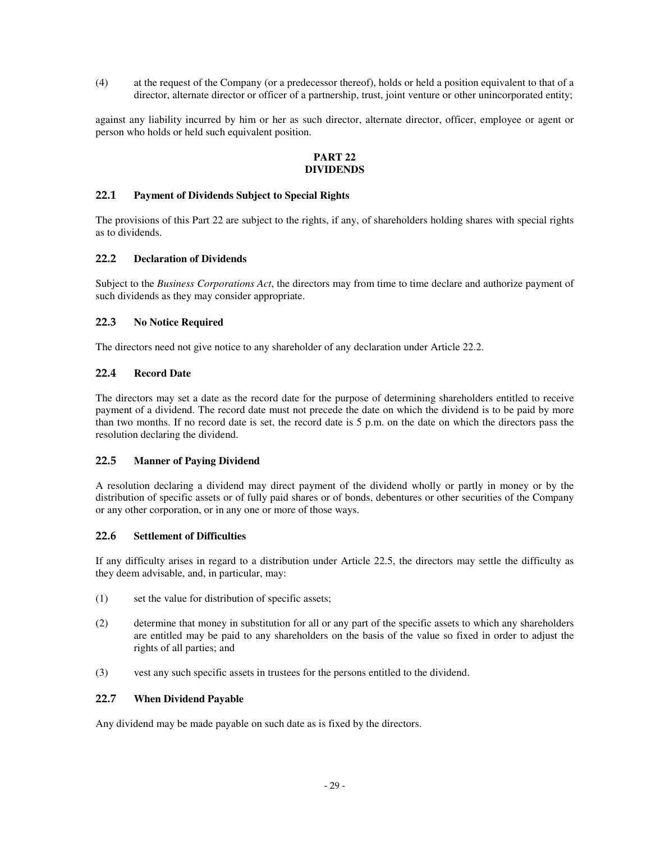(4) at the request of the Company (or a predecessor thereof), holds or held a position equivalent to that of a director, alternate director or officer of a partnership, trust, joint venture or other unincorporated entity;

against any liability incurred by him or her as such director, alternate director, officer, employee or agent or person who holds or held such equivalent position.

## **PART 22 DIVIDENDS**

# **22.1 Payment of Dividends Subject to Special Rights**

The provisions of this Part 22 are subject to the rights, if any, of shareholders holding shares with special rights as to dividends.

### **22.2 Declaration of Dividends**

Subject to the *Business Corporations Act*, the directors may from time to time declare and authorize payment of such dividends as they may consider appropriate.

# **22.3 No Notice Required**

The directors need not give notice to any shareholder of any declaration under Article 22.2.

## **22.4 Record Date**

The directors may set a date as the record date for the purpose of determining shareholders entitled to receive payment of a dividend. The record date must not precede the date on which the dividend is to be paid by more than two months. If no record date is set, the record date is 5 p.m. on the date on which the directors pass the resolution declaring the dividend.

#### **22.5 Manner of Paying Dividend**

A resolution declaring a dividend may direct payment of the dividend wholly or partly in money or by the distribution of specific assets or of fully paid shares or of bonds, debentures or other securities of the Company or any other corporation, or in any one or more of those ways.

#### **22.6 Settlement of Difficulties**

If any difficulty arises in regard to a distribution under Article 22.5, the directors may settle the difficulty as they deem advisable, and, in particular, may:

- (1) set the value for distribution of specific assets;
- (2) determine that money in substitution for all or any part of the specific assets to which any shareholders are entitled may be paid to any shareholders on the basis of the value so fixed in order to adjust the rights of all parties; and
- (3) vest any such specific assets in trustees for the persons entitled to the dividend.

### **22.7 When Dividend Payable**

Any dividend may be made payable on such date as is fixed by the directors.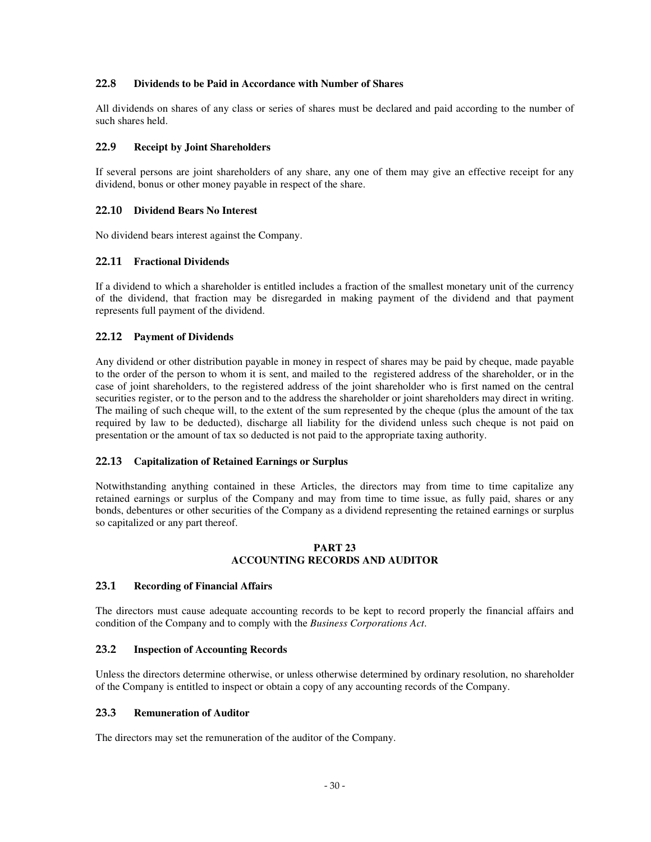# **22.8 Dividends to be Paid in Accordance with Number of Shares**

All dividends on shares of any class or series of shares must be declared and paid according to the number of such shares held.

### **22.9 Receipt by Joint Shareholders**

If several persons are joint shareholders of any share, any one of them may give an effective receipt for any dividend, bonus or other money payable in respect of the share.

### **22.10 Dividend Bears No Interest**

No dividend bears interest against the Company.

### **22.11 Fractional Dividends**

If a dividend to which a shareholder is entitled includes a fraction of the smallest monetary unit of the currency of the dividend, that fraction may be disregarded in making payment of the dividend and that payment represents full payment of the dividend.

## **22.12 Payment of Dividends**

Any dividend or other distribution payable in money in respect of shares may be paid by cheque, made payable to the order of the person to whom it is sent, and mailed to the registered address of the shareholder, or in the case of joint shareholders, to the registered address of the joint shareholder who is first named on the central securities register, or to the person and to the address the shareholder or joint shareholders may direct in writing. The mailing of such cheque will, to the extent of the sum represented by the cheque (plus the amount of the tax required by law to be deducted), discharge all liability for the dividend unless such cheque is not paid on presentation or the amount of tax so deducted is not paid to the appropriate taxing authority.

## **22.13 Capitalization of Retained Earnings or Surplus**

Notwithstanding anything contained in these Articles, the directors may from time to time capitalize any retained earnings or surplus of the Company and may from time to time issue, as fully paid, shares or any bonds, debentures or other securities of the Company as a dividend representing the retained earnings or surplus so capitalized or any part thereof.

#### **PART 23 ACCOUNTING RECORDS AND AUDITOR**

#### **23.1 Recording of Financial Affairs**

The directors must cause adequate accounting records to be kept to record properly the financial affairs and condition of the Company and to comply with the *Business Corporations Act*.

## **23.2 Inspection of Accounting Records**

Unless the directors determine otherwise, or unless otherwise determined by ordinary resolution, no shareholder of the Company is entitled to inspect or obtain a copy of any accounting records of the Company.

#### **23.3 Remuneration of Auditor**

The directors may set the remuneration of the auditor of the Company.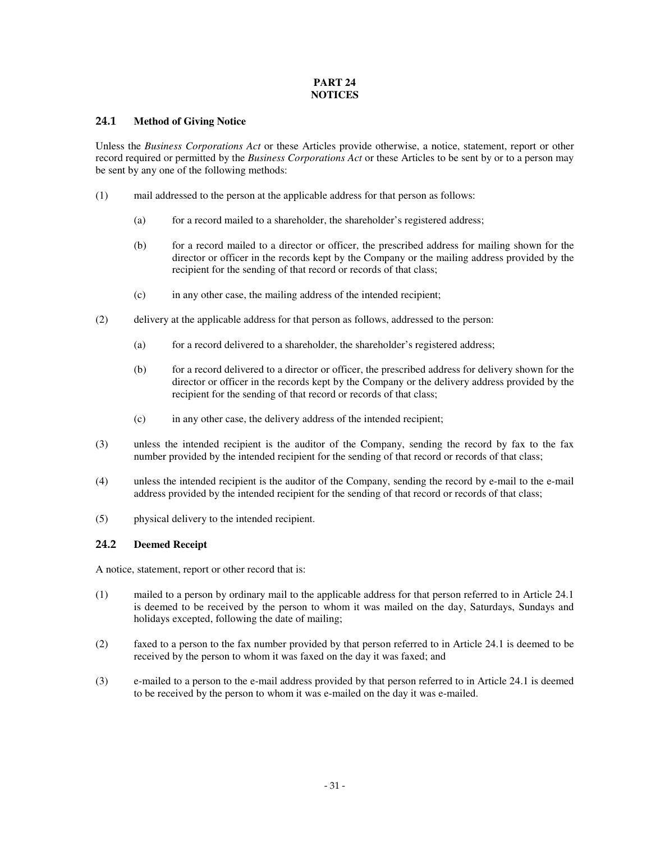# **PART 24 NOTICES**

# **24.1 Method of Giving Notice**

Unless the *Business Corporations Act* or these Articles provide otherwise, a notice, statement, report or other record required or permitted by the *Business Corporations Act* or these Articles to be sent by or to a person may be sent by any one of the following methods:

- (1) mail addressed to the person at the applicable address for that person as follows:
	- (a) for a record mailed to a shareholder, the shareholder's registered address;
	- (b) for a record mailed to a director or officer, the prescribed address for mailing shown for the director or officer in the records kept by the Company or the mailing address provided by the recipient for the sending of that record or records of that class;
	- (c) in any other case, the mailing address of the intended recipient;
- (2) delivery at the applicable address for that person as follows, addressed to the person:
	- (a) for a record delivered to a shareholder, the shareholder's registered address;
	- (b) for a record delivered to a director or officer, the prescribed address for delivery shown for the director or officer in the records kept by the Company or the delivery address provided by the recipient for the sending of that record or records of that class;
	- (c) in any other case, the delivery address of the intended recipient;
- (3) unless the intended recipient is the auditor of the Company, sending the record by fax to the fax number provided by the intended recipient for the sending of that record or records of that class;
- (4) unless the intended recipient is the auditor of the Company, sending the record by e-mail to the e-mail address provided by the intended recipient for the sending of that record or records of that class;
- (5) physical delivery to the intended recipient.

# **24.2 Deemed Receipt**

A notice, statement, report or other record that is:

- (1) mailed to a person by ordinary mail to the applicable address for that person referred to in Article 24.1 is deemed to be received by the person to whom it was mailed on the day, Saturdays, Sundays and holidays excepted, following the date of mailing;
- (2) faxed to a person to the fax number provided by that person referred to in Article 24.1 is deemed to be received by the person to whom it was faxed on the day it was faxed; and
- (3) e-mailed to a person to the e-mail address provided by that person referred to in Article 24.1 is deemed to be received by the person to whom it was e-mailed on the day it was e-mailed.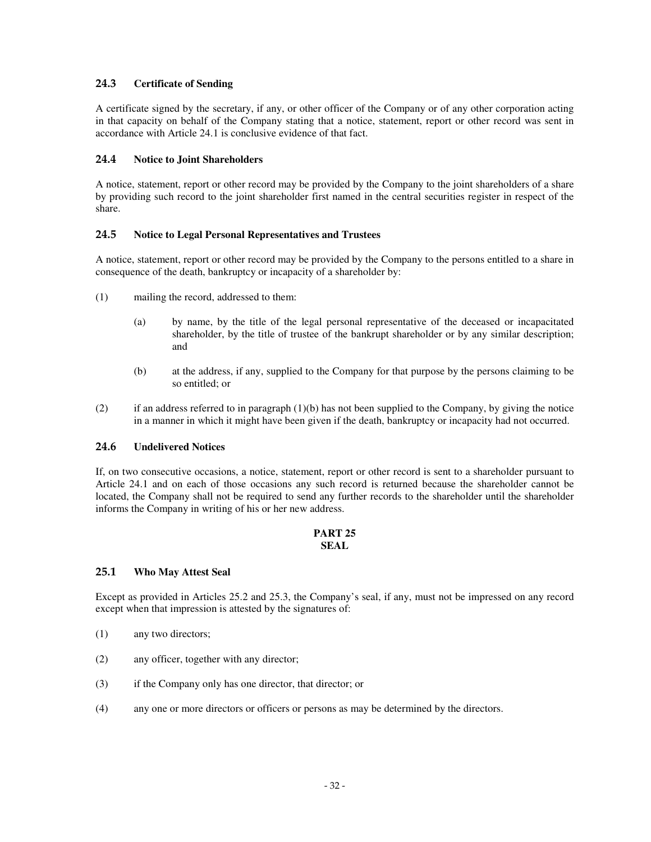# **24.3 Certificate of Sending**

A certificate signed by the secretary, if any, or other officer of the Company or of any other corporation acting in that capacity on behalf of the Company stating that a notice, statement, report or other record was sent in accordance with Article 24.1 is conclusive evidence of that fact.

# **24.4 Notice to Joint Shareholders**

A notice, statement, report or other record may be provided by the Company to the joint shareholders of a share by providing such record to the joint shareholder first named in the central securities register in respect of the share.

# **24.5 Notice to Legal Personal Representatives and Trustees**

A notice, statement, report or other record may be provided by the Company to the persons entitled to a share in consequence of the death, bankruptcy or incapacity of a shareholder by:

- (1) mailing the record, addressed to them:
	- (a) by name, by the title of the legal personal representative of the deceased or incapacitated shareholder, by the title of trustee of the bankrupt shareholder or by any similar description; and
	- (b) at the address, if any, supplied to the Company for that purpose by the persons claiming to be so entitled; or
- (2) if an address referred to in paragraph (1)(b) has not been supplied to the Company, by giving the notice in a manner in which it might have been given if the death, bankruptcy or incapacity had not occurred.

# **24.6 Undelivered Notices**

If, on two consecutive occasions, a notice, statement, report or other record is sent to a shareholder pursuant to Article 24.1 and on each of those occasions any such record is returned because the shareholder cannot be located, the Company shall not be required to send any further records to the shareholder until the shareholder informs the Company in writing of his or her new address.

### **PART 25 SEAL**

## **25.1 Who May Attest Seal**

Except as provided in Articles 25.2 and 25.3, the Company's seal, if any, must not be impressed on any record except when that impression is attested by the signatures of:

- (1) any two directors;
- (2) any officer, together with any director;
- (3) if the Company only has one director, that director; or
- (4) any one or more directors or officers or persons as may be determined by the directors.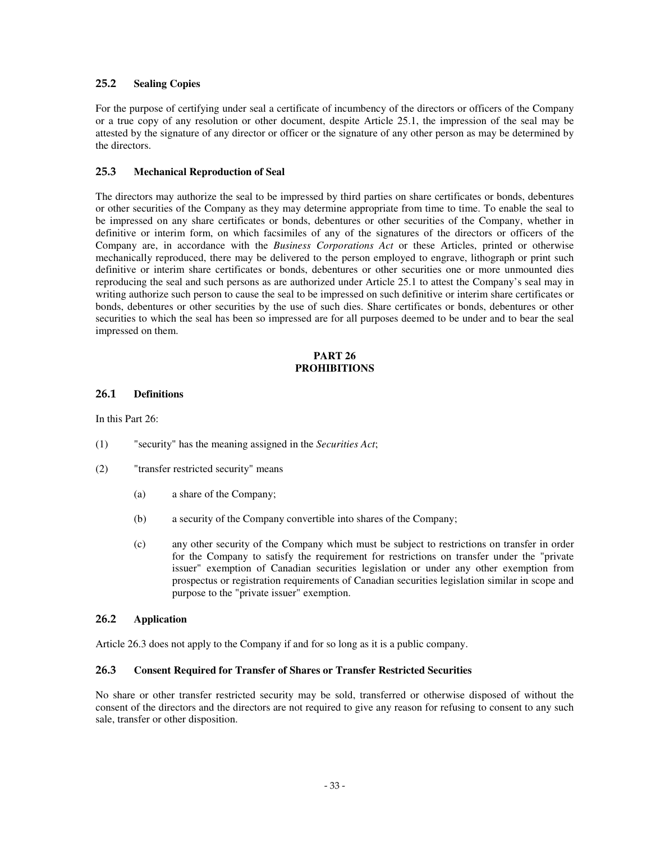# **25.2 Sealing Copies**

For the purpose of certifying under seal a certificate of incumbency of the directors or officers of the Company or a true copy of any resolution or other document, despite Article 25.1, the impression of the seal may be attested by the signature of any director or officer or the signature of any other person as may be determined by the directors.

# **25.3 Mechanical Reproduction of Seal**

The directors may authorize the seal to be impressed by third parties on share certificates or bonds, debentures or other securities of the Company as they may determine appropriate from time to time. To enable the seal to be impressed on any share certificates or bonds, debentures or other securities of the Company, whether in definitive or interim form, on which facsimiles of any of the signatures of the directors or officers of the Company are, in accordance with the *Business Corporations Act* or these Articles, printed or otherwise mechanically reproduced, there may be delivered to the person employed to engrave, lithograph or print such definitive or interim share certificates or bonds, debentures or other securities one or more unmounted dies reproducing the seal and such persons as are authorized under Article 25.1 to attest the Company's seal may in writing authorize such person to cause the seal to be impressed on such definitive or interim share certificates or bonds, debentures or other securities by the use of such dies. Share certificates or bonds, debentures or other securities to which the seal has been so impressed are for all purposes deemed to be under and to bear the seal impressed on them.

#### **PART 26 PROHIBITIONS**

## **26.1 Definitions**

In this Part 26:

- (1) "security" has the meaning assigned in the *Securities Act*;
- (2) "transfer restricted security" means
	- (a) a share of the Company;
	- (b) a security of the Company convertible into shares of the Company;
	- (c) any other security of the Company which must be subject to restrictions on transfer in order for the Company to satisfy the requirement for restrictions on transfer under the "private issuer" exemption of Canadian securities legislation or under any other exemption from prospectus or registration requirements of Canadian securities legislation similar in scope and purpose to the "private issuer" exemption.

## **26.2 Application**

Article 26.3 does not apply to the Company if and for so long as it is a public company.

## **26.3 Consent Required for Transfer of Shares or Transfer Restricted Securities**

No share or other transfer restricted security may be sold, transferred or otherwise disposed of without the consent of the directors and the directors are not required to give any reason for refusing to consent to any such sale, transfer or other disposition.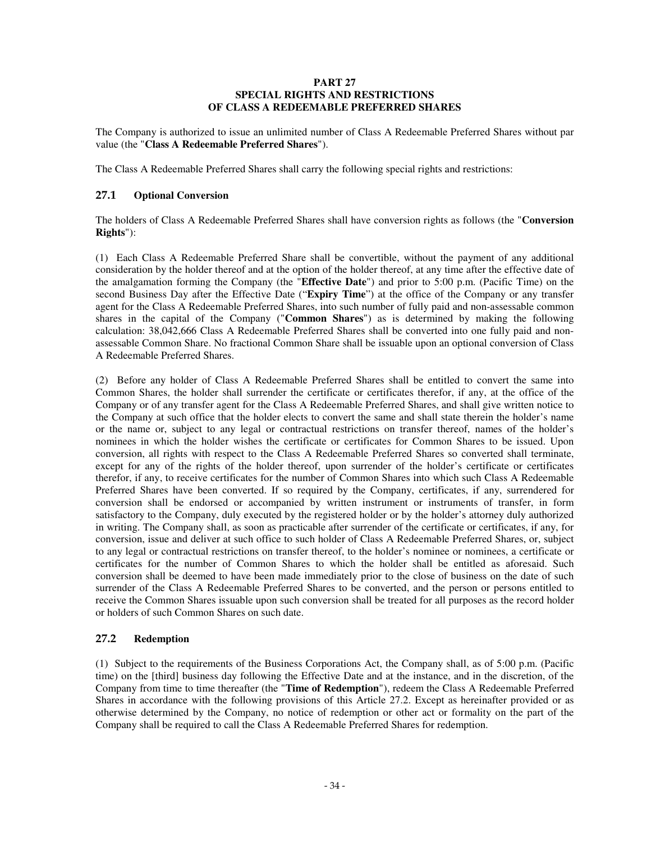### **PART 27 SPECIAL RIGHTS AND RESTRICTIONS OF CLASS A REDEEMABLE PREFERRED SHARES**

The Company is authorized to issue an unlimited number of Class A Redeemable Preferred Shares without par value (the "**Class A Redeemable Preferred Shares**").

The Class A Redeemable Preferred Shares shall carry the following special rights and restrictions:

## **27.1 Optional Conversion**

The holders of Class A Redeemable Preferred Shares shall have conversion rights as follows (the "**Conversion Rights**"):

(1) Each Class A Redeemable Preferred Share shall be convertible, without the payment of any additional consideration by the holder thereof and at the option of the holder thereof, at any time after the effective date of the amalgamation forming the Company (the "**Effective Date**") and prior to 5:00 p.m. (Pacific Time) on the second Business Day after the Effective Date ("**Expiry Time**") at the office of the Company or any transfer agent for the Class A Redeemable Preferred Shares, into such number of fully paid and non-assessable common shares in the capital of the Company ("**Common Shares**") as is determined by making the following calculation: 38,042,666 Class A Redeemable Preferred Shares shall be converted into one fully paid and nonassessable Common Share. No fractional Common Share shall be issuable upon an optional conversion of Class A Redeemable Preferred Shares.

(2) Before any holder of Class A Redeemable Preferred Shares shall be entitled to convert the same into Common Shares, the holder shall surrender the certificate or certificates therefor, if any, at the office of the Company or of any transfer agent for the Class A Redeemable Preferred Shares, and shall give written notice to the Company at such office that the holder elects to convert the same and shall state therein the holder's name or the name or, subject to any legal or contractual restrictions on transfer thereof, names of the holder's nominees in which the holder wishes the certificate or certificates for Common Shares to be issued. Upon conversion, all rights with respect to the Class A Redeemable Preferred Shares so converted shall terminate, except for any of the rights of the holder thereof, upon surrender of the holder's certificate or certificates therefor, if any, to receive certificates for the number of Common Shares into which such Class A Redeemable Preferred Shares have been converted. If so required by the Company, certificates, if any, surrendered for conversion shall be endorsed or accompanied by written instrument or instruments of transfer, in form satisfactory to the Company, duly executed by the registered holder or by the holder's attorney duly authorized in writing. The Company shall, as soon as practicable after surrender of the certificate or certificates, if any, for conversion, issue and deliver at such office to such holder of Class A Redeemable Preferred Shares, or, subject to any legal or contractual restrictions on transfer thereof, to the holder's nominee or nominees, a certificate or certificates for the number of Common Shares to which the holder shall be entitled as aforesaid. Such conversion shall be deemed to have been made immediately prior to the close of business on the date of such surrender of the Class A Redeemable Preferred Shares to be converted, and the person or persons entitled to receive the Common Shares issuable upon such conversion shall be treated for all purposes as the record holder or holders of such Common Shares on such date.

# **27.2 Redemption**

(1) Subject to the requirements of the Business Corporations Act, the Company shall, as of 5:00 p.m. (Pacific time) on the [third] business day following the Effective Date and at the instance, and in the discretion, of the Company from time to time thereafter (the "**Time of Redemption**"), redeem the Class A Redeemable Preferred Shares in accordance with the following provisions of this Article 27.2. Except as hereinafter provided or as otherwise determined by the Company, no notice of redemption or other act or formality on the part of the Company shall be required to call the Class A Redeemable Preferred Shares for redemption.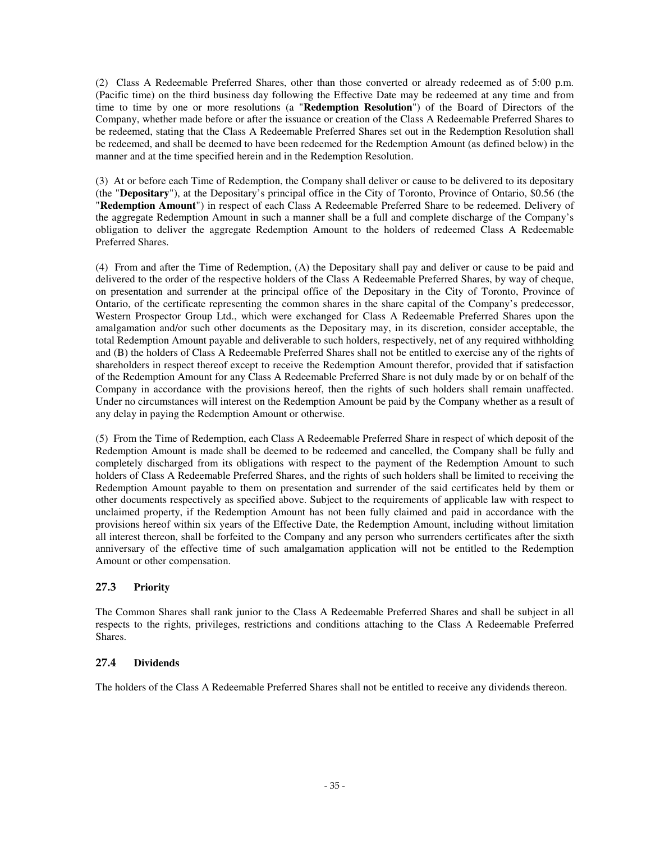(2) Class A Redeemable Preferred Shares, other than those converted or already redeemed as of 5:00 p.m. (Pacific time) on the third business day following the Effective Date may be redeemed at any time and from time to time by one or more resolutions (a "**Redemption Resolution**") of the Board of Directors of the Company, whether made before or after the issuance or creation of the Class A Redeemable Preferred Shares to be redeemed, stating that the Class A Redeemable Preferred Shares set out in the Redemption Resolution shall be redeemed, and shall be deemed to have been redeemed for the Redemption Amount (as defined below) in the manner and at the time specified herein and in the Redemption Resolution.

(3) At or before each Time of Redemption, the Company shall deliver or cause to be delivered to its depositary (the "**Depositary**"), at the Depositary's principal office in the City of Toronto, Province of Ontario, \$0.56 (the "**Redemption Amount**") in respect of each Class A Redeemable Preferred Share to be redeemed. Delivery of the aggregate Redemption Amount in such a manner shall be a full and complete discharge of the Company's obligation to deliver the aggregate Redemption Amount to the holders of redeemed Class A Redeemable Preferred Shares.

(4) From and after the Time of Redemption, (A) the Depositary shall pay and deliver or cause to be paid and delivered to the order of the respective holders of the Class A Redeemable Preferred Shares, by way of cheque, on presentation and surrender at the principal office of the Depositary in the City of Toronto, Province of Ontario, of the certificate representing the common shares in the share capital of the Company's predecessor, Western Prospector Group Ltd., which were exchanged for Class A Redeemable Preferred Shares upon the amalgamation and/or such other documents as the Depositary may, in its discretion, consider acceptable, the total Redemption Amount payable and deliverable to such holders, respectively, net of any required withholding and (B) the holders of Class A Redeemable Preferred Shares shall not be entitled to exercise any of the rights of shareholders in respect thereof except to receive the Redemption Amount therefor, provided that if satisfaction of the Redemption Amount for any Class A Redeemable Preferred Share is not duly made by or on behalf of the Company in accordance with the provisions hereof, then the rights of such holders shall remain unaffected. Under no circumstances will interest on the Redemption Amount be paid by the Company whether as a result of any delay in paying the Redemption Amount or otherwise.

(5) From the Time of Redemption, each Class A Redeemable Preferred Share in respect of which deposit of the Redemption Amount is made shall be deemed to be redeemed and cancelled, the Company shall be fully and completely discharged from its obligations with respect to the payment of the Redemption Amount to such holders of Class A Redeemable Preferred Shares, and the rights of such holders shall be limited to receiving the Redemption Amount payable to them on presentation and surrender of the said certificates held by them or other documents respectively as specified above. Subject to the requirements of applicable law with respect to unclaimed property, if the Redemption Amount has not been fully claimed and paid in accordance with the provisions hereof within six years of the Effective Date, the Redemption Amount, including without limitation all interest thereon, shall be forfeited to the Company and any person who surrenders certificates after the sixth anniversary of the effective time of such amalgamation application will not be entitled to the Redemption Amount or other compensation.

# **27.3 Priority**

The Common Shares shall rank junior to the Class A Redeemable Preferred Shares and shall be subject in all respects to the rights, privileges, restrictions and conditions attaching to the Class A Redeemable Preferred Shares.

## **27.4 Dividends**

The holders of the Class A Redeemable Preferred Shares shall not be entitled to receive any dividends thereon.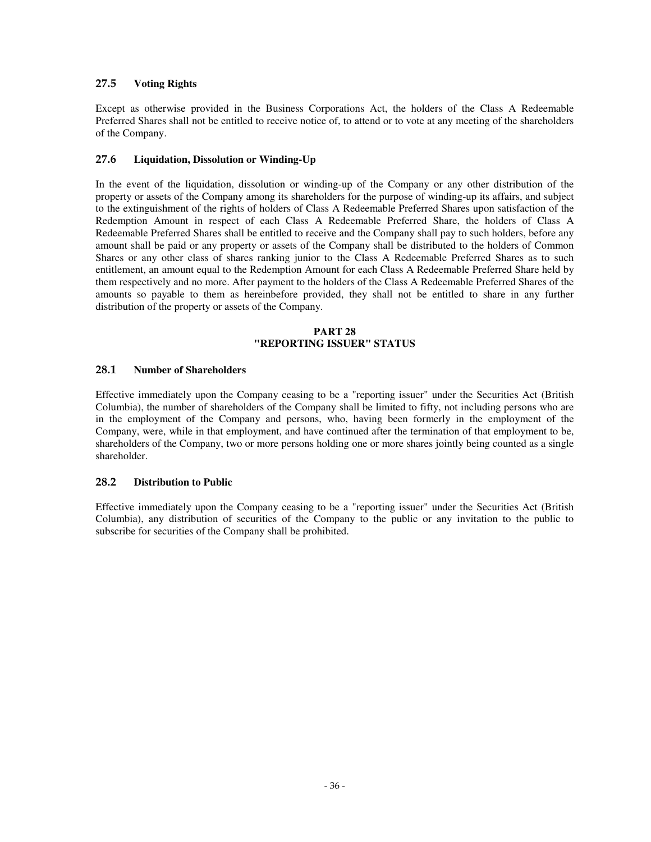# **27.5 Voting Rights**

Except as otherwise provided in the Business Corporations Act, the holders of the Class A Redeemable Preferred Shares shall not be entitled to receive notice of, to attend or to vote at any meeting of the shareholders of the Company.

# **27.6 Liquidation, Dissolution or Winding-Up**

In the event of the liquidation, dissolution or winding-up of the Company or any other distribution of the property or assets of the Company among its shareholders for the purpose of winding-up its affairs, and subject to the extinguishment of the rights of holders of Class A Redeemable Preferred Shares upon satisfaction of the Redemption Amount in respect of each Class A Redeemable Preferred Share, the holders of Class A Redeemable Preferred Shares shall be entitled to receive and the Company shall pay to such holders, before any amount shall be paid or any property or assets of the Company shall be distributed to the holders of Common Shares or any other class of shares ranking junior to the Class A Redeemable Preferred Shares as to such entitlement, an amount equal to the Redemption Amount for each Class A Redeemable Preferred Share held by them respectively and no more. After payment to the holders of the Class A Redeemable Preferred Shares of the amounts so payable to them as hereinbefore provided, they shall not be entitled to share in any further distribution of the property or assets of the Company.

### **PART 28 "REPORTING ISSUER" STATUS**

## **28.1 Number of Shareholders**

Effective immediately upon the Company ceasing to be a "reporting issuer" under the Securities Act (British Columbia), the number of shareholders of the Company shall be limited to fifty, not including persons who are in the employment of the Company and persons, who, having been formerly in the employment of the Company, were, while in that employment, and have continued after the termination of that employment to be, shareholders of the Company, two or more persons holding one or more shares jointly being counted as a single shareholder.

## **28.2 Distribution to Public**

Effective immediately upon the Company ceasing to be a "reporting issuer" under the Securities Act (British Columbia), any distribution of securities of the Company to the public or any invitation to the public to subscribe for securities of the Company shall be prohibited.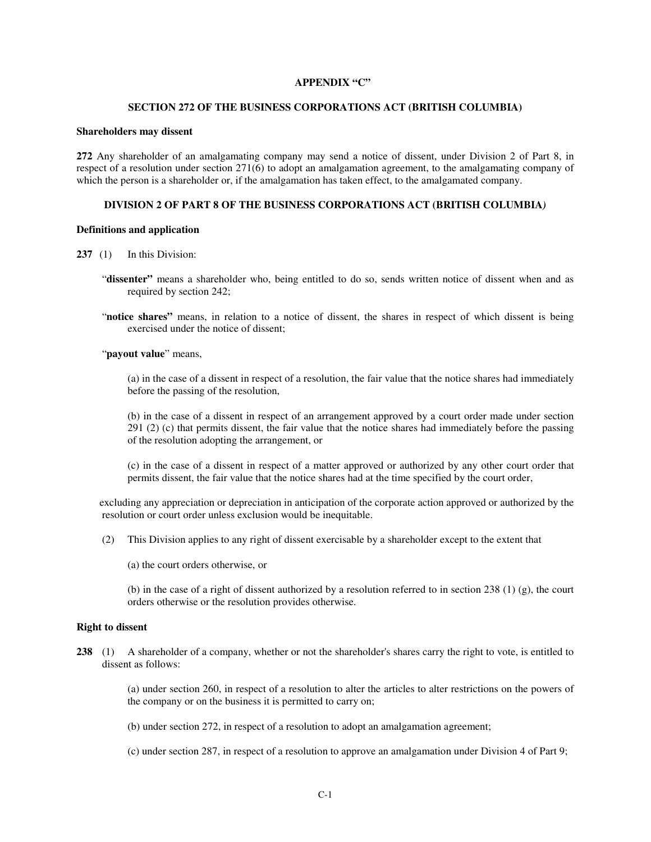### **APPENDIX "C"**

#### **SECTION 272 OF THE BUSINESS CORPORATIONS ACT (BRITISH COLUMBIA)**

#### **Shareholders may dissent**

**272** Any shareholder of an amalgamating company may send a notice of dissent, under Division 2 of Part 8, in respect of a resolution under section 271(6) to adopt an amalgamation agreement, to the amalgamating company of which the person is a shareholder or, if the amalgamation has taken effect, to the amalgamated company.

#### **DIVISION 2 OF PART 8 OF THE BUSINESS CORPORATIONS ACT (BRITISH COLUMBIA***)*

#### **Definitions and application**

- **237** (1) In this Division:
	- "**dissenter"** means a shareholder who, being entitled to do so, sends written notice of dissent when and as required by section 242;
	- "**notice shares"** means, in relation to a notice of dissent, the shares in respect of which dissent is being exercised under the notice of dissent;

"**payout value**" means,

(a) in the case of a dissent in respect of a resolution, the fair value that the notice shares had immediately before the passing of the resolution,

(b) in the case of a dissent in respect of an arrangement approved by a court order made under section 291 (2) (c) that permits dissent, the fair value that the notice shares had immediately before the passing of the resolution adopting the arrangement, or

(c) in the case of a dissent in respect of a matter approved or authorized by any other court order that permits dissent, the fair value that the notice shares had at the time specified by the court order,

 excluding any appreciation or depreciation in anticipation of the corporate action approved or authorized by the resolution or court order unless exclusion would be inequitable.

- (2) This Division applies to any right of dissent exercisable by a shareholder except to the extent that
	- (a) the court orders otherwise, or

(b) in the case of a right of dissent authorized by a resolution referred to in section 238 (1) (g), the court orders otherwise or the resolution provides otherwise.

#### **Right to dissent**

**238** (1) A shareholder of a company, whether or not the shareholder's shares carry the right to vote, is entitled to dissent as follows:

> (a) under section 260, in respect of a resolution to alter the articles to alter restrictions on the powers of the company or on the business it is permitted to carry on;

(b) under section 272, in respect of a resolution to adopt an amalgamation agreement;

(c) under section 287, in respect of a resolution to approve an amalgamation under Division 4 of Part 9;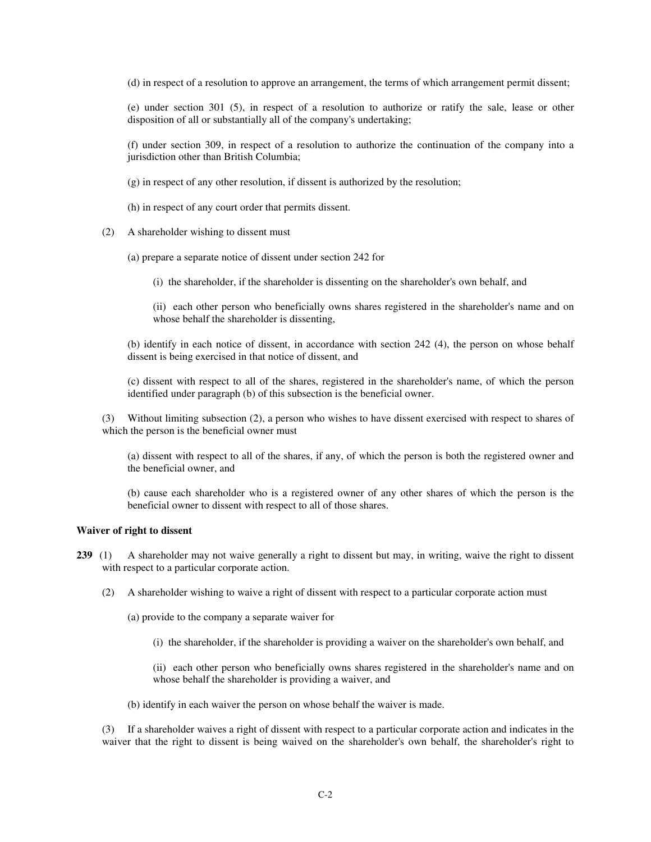(d) in respect of a resolution to approve an arrangement, the terms of which arrangement permit dissent;

(e) under section 301 (5), in respect of a resolution to authorize or ratify the sale, lease or other disposition of all or substantially all of the company's undertaking;

(f) under section 309, in respect of a resolution to authorize the continuation of the company into a jurisdiction other than British Columbia;

- (g) in respect of any other resolution, if dissent is authorized by the resolution;
- (h) in respect of any court order that permits dissent.
- (2) A shareholder wishing to dissent must
	- (a) prepare a separate notice of dissent under section 242 for
		- (i) the shareholder, if the shareholder is dissenting on the shareholder's own behalf, and
		- (ii) each other person who beneficially owns shares registered in the shareholder's name and on whose behalf the shareholder is dissenting,

(b) identify in each notice of dissent, in accordance with section 242 (4), the person on whose behalf dissent is being exercised in that notice of dissent, and

(c) dissent with respect to all of the shares, registered in the shareholder's name, of which the person identified under paragraph (b) of this subsection is the beneficial owner.

(3) Without limiting subsection (2), a person who wishes to have dissent exercised with respect to shares of which the person is the beneficial owner must

(a) dissent with respect to all of the shares, if any, of which the person is both the registered owner and the beneficial owner, and

(b) cause each shareholder who is a registered owner of any other shares of which the person is the beneficial owner to dissent with respect to all of those shares.

#### **Waiver of right to dissent**

- **239** (1) A shareholder may not waive generally a right to dissent but may, in writing, waive the right to dissent with respect to a particular corporate action.
	- (2) A shareholder wishing to waive a right of dissent with respect to a particular corporate action must
		- (a) provide to the company a separate waiver for
			- (i) the shareholder, if the shareholder is providing a waiver on the shareholder's own behalf, and

(ii) each other person who beneficially owns shares registered in the shareholder's name and on whose behalf the shareholder is providing a waiver, and

(b) identify in each waiver the person on whose behalf the waiver is made.

(3) If a shareholder waives a right of dissent with respect to a particular corporate action and indicates in the waiver that the right to dissent is being waived on the shareholder's own behalf, the shareholder's right to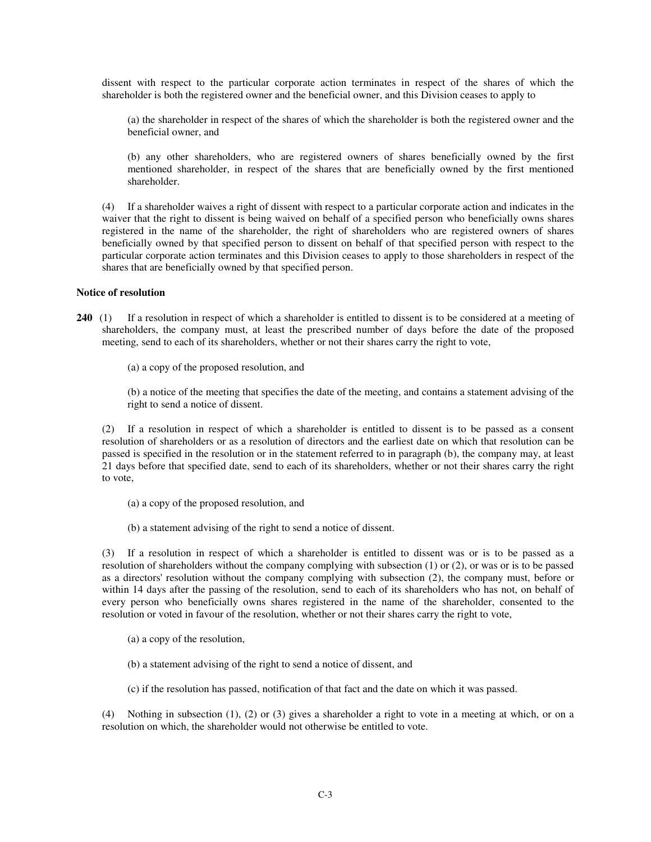dissent with respect to the particular corporate action terminates in respect of the shares of which the shareholder is both the registered owner and the beneficial owner, and this Division ceases to apply to

(a) the shareholder in respect of the shares of which the shareholder is both the registered owner and the beneficial owner, and

(b) any other shareholders, who are registered owners of shares beneficially owned by the first mentioned shareholder, in respect of the shares that are beneficially owned by the first mentioned shareholder.

(4) If a shareholder waives a right of dissent with respect to a particular corporate action and indicates in the waiver that the right to dissent is being waived on behalf of a specified person who beneficially owns shares registered in the name of the shareholder, the right of shareholders who are registered owners of shares beneficially owned by that specified person to dissent on behalf of that specified person with respect to the particular corporate action terminates and this Division ceases to apply to those shareholders in respect of the shares that are beneficially owned by that specified person.

### **Notice of resolution**

- **240** (1) If a resolution in respect of which a shareholder is entitled to dissent is to be considered at a meeting of shareholders, the company must, at least the prescribed number of days before the date of the proposed meeting, send to each of its shareholders, whether or not their shares carry the right to vote,
	- (a) a copy of the proposed resolution, and

(b) a notice of the meeting that specifies the date of the meeting, and contains a statement advising of the right to send a notice of dissent.

(2) If a resolution in respect of which a shareholder is entitled to dissent is to be passed as a consent resolution of shareholders or as a resolution of directors and the earliest date on which that resolution can be passed is specified in the resolution or in the statement referred to in paragraph (b), the company may, at least 21 days before that specified date, send to each of its shareholders, whether or not their shares carry the right to vote,

- (a) a copy of the proposed resolution, and
- (b) a statement advising of the right to send a notice of dissent.

(3) If a resolution in respect of which a shareholder is entitled to dissent was or is to be passed as a resolution of shareholders without the company complying with subsection (1) or (2), or was or is to be passed as a directors' resolution without the company complying with subsection (2), the company must, before or within 14 days after the passing of the resolution, send to each of its shareholders who has not, on behalf of every person who beneficially owns shares registered in the name of the shareholder, consented to the resolution or voted in favour of the resolution, whether or not their shares carry the right to vote,

- (a) a copy of the resolution,
- (b) a statement advising of the right to send a notice of dissent, and
- (c) if the resolution has passed, notification of that fact and the date on which it was passed.

(4) Nothing in subsection (1), (2) or (3) gives a shareholder a right to vote in a meeting at which, or on a resolution on which, the shareholder would not otherwise be entitled to vote.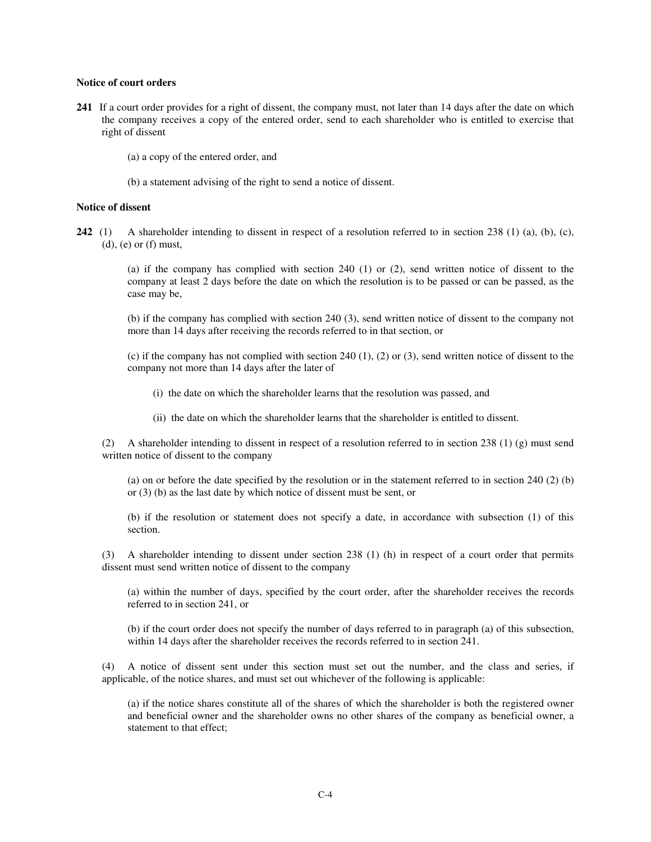#### **Notice of court orders**

- **241** If a court order provides for a right of dissent, the company must, not later than 14 days after the date on which the company receives a copy of the entered order, send to each shareholder who is entitled to exercise that right of dissent
	- (a) a copy of the entered order, and
	- (b) a statement advising of the right to send a notice of dissent.

#### **Notice of dissent**

**242** (1) A shareholder intending to dissent in respect of a resolution referred to in section 238 (1) (a), (b), (c),  $(d)$ ,  $(e)$  or  $(f)$  must,

> (a) if the company has complied with section 240 (1) or (2), send written notice of dissent to the company at least 2 days before the date on which the resolution is to be passed or can be passed, as the case may be,

> (b) if the company has complied with section 240 (3), send written notice of dissent to the company not more than 14 days after receiving the records referred to in that section, or

> (c) if the company has not complied with section 240 (1), (2) or (3), send written notice of dissent to the company not more than 14 days after the later of

- (i) the date on which the shareholder learns that the resolution was passed, and
- (ii) the date on which the shareholder learns that the shareholder is entitled to dissent.

(2) A shareholder intending to dissent in respect of a resolution referred to in section 238 (1) (g) must send written notice of dissent to the company

(a) on or before the date specified by the resolution or in the statement referred to in section 240 (2) (b) or (3) (b) as the last date by which notice of dissent must be sent, or

(b) if the resolution or statement does not specify a date, in accordance with subsection (1) of this section.

(3) A shareholder intending to dissent under section 238 (1) (h) in respect of a court order that permits dissent must send written notice of dissent to the company

(a) within the number of days, specified by the court order, after the shareholder receives the records referred to in section 241, or

(b) if the court order does not specify the number of days referred to in paragraph (a) of this subsection, within 14 days after the shareholder receives the records referred to in section 241.

(4) A notice of dissent sent under this section must set out the number, and the class and series, if applicable, of the notice shares, and must set out whichever of the following is applicable:

(a) if the notice shares constitute all of the shares of which the shareholder is both the registered owner and beneficial owner and the shareholder owns no other shares of the company as beneficial owner, a statement to that effect: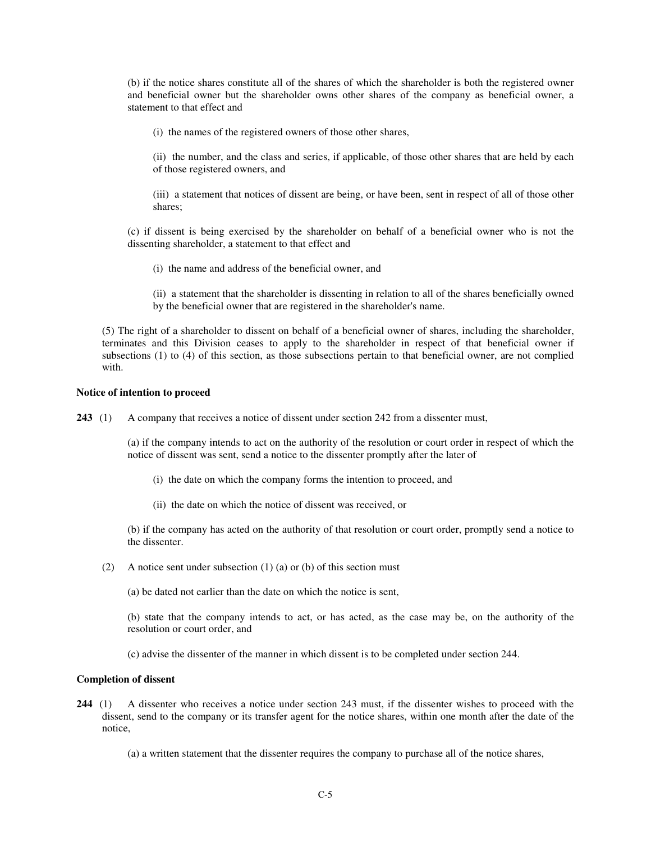(b) if the notice shares constitute all of the shares of which the shareholder is both the registered owner and beneficial owner but the shareholder owns other shares of the company as beneficial owner, a statement to that effect and

(i) the names of the registered owners of those other shares,

(ii) the number, and the class and series, if applicable, of those other shares that are held by each of those registered owners, and

(iii) a statement that notices of dissent are being, or have been, sent in respect of all of those other shares;

(c) if dissent is being exercised by the shareholder on behalf of a beneficial owner who is not the dissenting shareholder, a statement to that effect and

(i) the name and address of the beneficial owner, and

(ii) a statement that the shareholder is dissenting in relation to all of the shares beneficially owned by the beneficial owner that are registered in the shareholder's name.

(5) The right of a shareholder to dissent on behalf of a beneficial owner of shares, including the shareholder, terminates and this Division ceases to apply to the shareholder in respect of that beneficial owner if subsections (1) to (4) of this section, as those subsections pertain to that beneficial owner, are not complied with.

#### **Notice of intention to proceed**

**243** (1) A company that receives a notice of dissent under section 242 from a dissenter must,

(a) if the company intends to act on the authority of the resolution or court order in respect of which the notice of dissent was sent, send a notice to the dissenter promptly after the later of

- (i) the date on which the company forms the intention to proceed, and
- (ii) the date on which the notice of dissent was received, or

(b) if the company has acted on the authority of that resolution or court order, promptly send a notice to the dissenter.

(2) A notice sent under subsection (1) (a) or (b) of this section must

(a) be dated not earlier than the date on which the notice is sent,

(b) state that the company intends to act, or has acted, as the case may be, on the authority of the resolution or court order, and

(c) advise the dissenter of the manner in which dissent is to be completed under section 244.

### **Completion of dissent**

- **244** (1) A dissenter who receives a notice under section 243 must, if the dissenter wishes to proceed with the dissent, send to the company or its transfer agent for the notice shares, within one month after the date of the notice,
	- (a) a written statement that the dissenter requires the company to purchase all of the notice shares,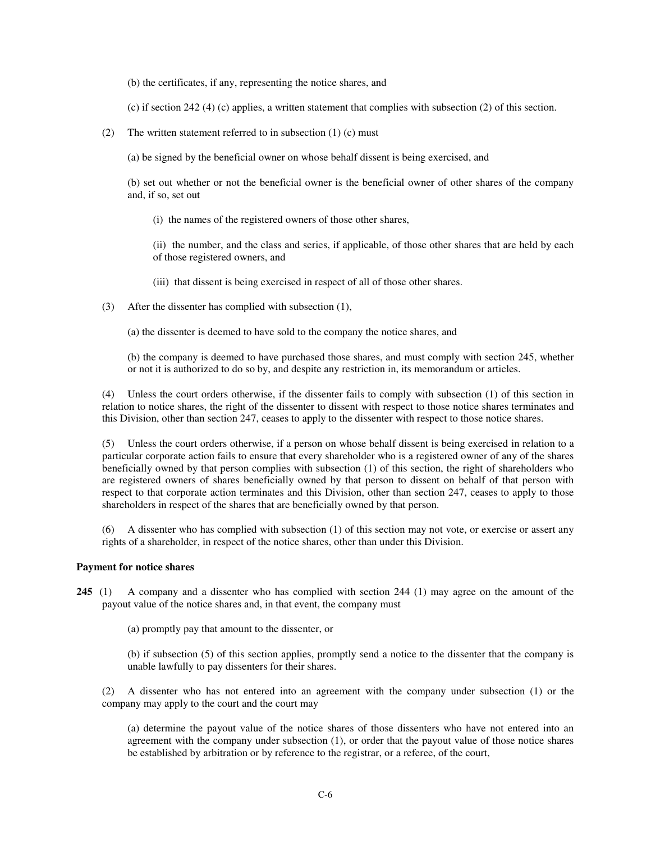(b) the certificates, if any, representing the notice shares, and

(c) if section 242 (4) (c) applies, a written statement that complies with subsection (2) of this section.

(2) The written statement referred to in subsection  $(1)$  (c) must

(a) be signed by the beneficial owner on whose behalf dissent is being exercised, and

(b) set out whether or not the beneficial owner is the beneficial owner of other shares of the company and, if so, set out

(i) the names of the registered owners of those other shares,

(ii) the number, and the class and series, if applicable, of those other shares that are held by each of those registered owners, and

- (iii) that dissent is being exercised in respect of all of those other shares.
- (3) After the dissenter has complied with subsection (1),
	- (a) the dissenter is deemed to have sold to the company the notice shares, and

(b) the company is deemed to have purchased those shares, and must comply with section 245, whether or not it is authorized to do so by, and despite any restriction in, its memorandum or articles.

(4) Unless the court orders otherwise, if the dissenter fails to comply with subsection (1) of this section in relation to notice shares, the right of the dissenter to dissent with respect to those notice shares terminates and this Division, other than section 247, ceases to apply to the dissenter with respect to those notice shares.

(5) Unless the court orders otherwise, if a person on whose behalf dissent is being exercised in relation to a particular corporate action fails to ensure that every shareholder who is a registered owner of any of the shares beneficially owned by that person complies with subsection (1) of this section, the right of shareholders who are registered owners of shares beneficially owned by that person to dissent on behalf of that person with respect to that corporate action terminates and this Division, other than section 247, ceases to apply to those shareholders in respect of the shares that are beneficially owned by that person.

(6) A dissenter who has complied with subsection (1) of this section may not vote, or exercise or assert any rights of a shareholder, in respect of the notice shares, other than under this Division.

# **Payment for notice shares**

**245** (1) A company and a dissenter who has complied with section 244 (1) may agree on the amount of the payout value of the notice shares and, in that event, the company must

(a) promptly pay that amount to the dissenter, or

(b) if subsection (5) of this section applies, promptly send a notice to the dissenter that the company is unable lawfully to pay dissenters for their shares.

(2) A dissenter who has not entered into an agreement with the company under subsection (1) or the company may apply to the court and the court may

(a) determine the payout value of the notice shares of those dissenters who have not entered into an agreement with the company under subsection (1), or order that the payout value of those notice shares be established by arbitration or by reference to the registrar, or a referee, of the court,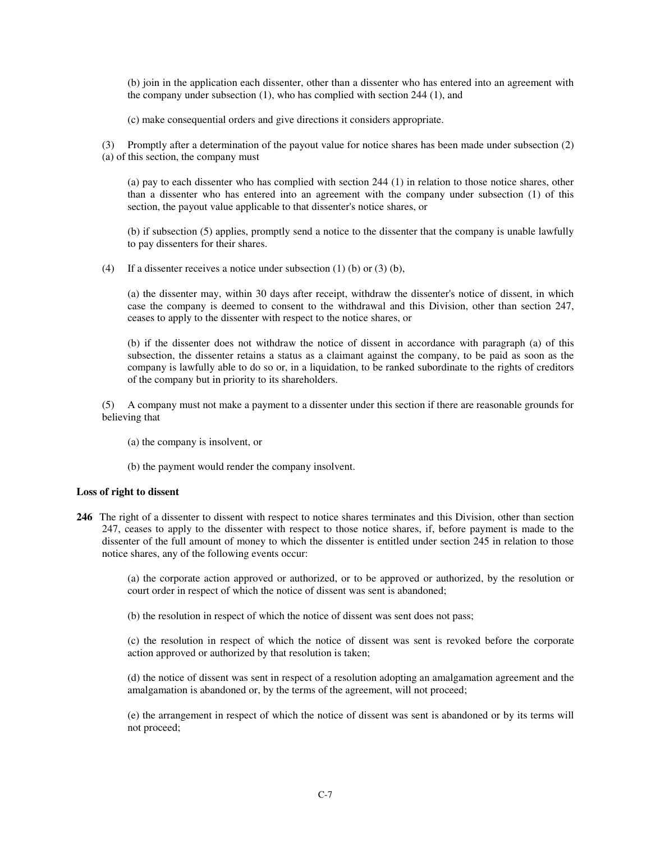(b) join in the application each dissenter, other than a dissenter who has entered into an agreement with the company under subsection (1), who has complied with section 244 (1), and

(c) make consequential orders and give directions it considers appropriate.

(3) Promptly after a determination of the payout value for notice shares has been made under subsection (2) (a) of this section, the company must

(a) pay to each dissenter who has complied with section 244 (1) in relation to those notice shares, other than a dissenter who has entered into an agreement with the company under subsection (1) of this section, the payout value applicable to that dissenter's notice shares, or

(b) if subsection (5) applies, promptly send a notice to the dissenter that the company is unable lawfully to pay dissenters for their shares.

(4) If a dissenter receives a notice under subsection (1) (b) or (3) (b),

(a) the dissenter may, within 30 days after receipt, withdraw the dissenter's notice of dissent, in which case the company is deemed to consent to the withdrawal and this Division, other than section 247, ceases to apply to the dissenter with respect to the notice shares, or

(b) if the dissenter does not withdraw the notice of dissent in accordance with paragraph (a) of this subsection, the dissenter retains a status as a claimant against the company, to be paid as soon as the company is lawfully able to do so or, in a liquidation, to be ranked subordinate to the rights of creditors of the company but in priority to its shareholders.

(5) A company must not make a payment to a dissenter under this section if there are reasonable grounds for believing that

- (a) the company is insolvent, or
- (b) the payment would render the company insolvent.

## **Loss of right to dissent**

**246** The right of a dissenter to dissent with respect to notice shares terminates and this Division, other than section 247, ceases to apply to the dissenter with respect to those notice shares, if, before payment is made to the dissenter of the full amount of money to which the dissenter is entitled under section 245 in relation to those notice shares, any of the following events occur:

> (a) the corporate action approved or authorized, or to be approved or authorized, by the resolution or court order in respect of which the notice of dissent was sent is abandoned;

(b) the resolution in respect of which the notice of dissent was sent does not pass;

(c) the resolution in respect of which the notice of dissent was sent is revoked before the corporate action approved or authorized by that resolution is taken;

(d) the notice of dissent was sent in respect of a resolution adopting an amalgamation agreement and the amalgamation is abandoned or, by the terms of the agreement, will not proceed;

(e) the arrangement in respect of which the notice of dissent was sent is abandoned or by its terms will not proceed;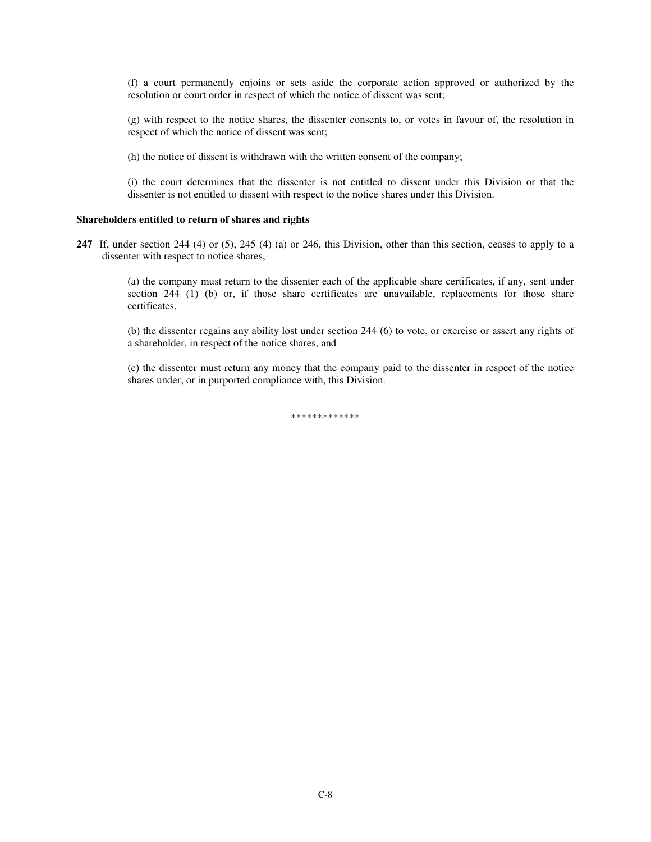(f) a court permanently enjoins or sets aside the corporate action approved or authorized by the resolution or court order in respect of which the notice of dissent was sent;

(g) with respect to the notice shares, the dissenter consents to, or votes in favour of, the resolution in respect of which the notice of dissent was sent;

(h) the notice of dissent is withdrawn with the written consent of the company;

(i) the court determines that the dissenter is not entitled to dissent under this Division or that the dissenter is not entitled to dissent with respect to the notice shares under this Division.

### **Shareholders entitled to return of shares and rights**

**247** If, under section 244 (4) or (5), 245 (4) (a) or 246, this Division, other than this section, ceases to apply to a dissenter with respect to notice shares,

(a) the company must return to the dissenter each of the applicable share certificates, if any, sent under section  $244$  (1) (b) or, if those share certificates are unavailable, replacements for those share certificates,

(b) the dissenter regains any ability lost under section 244 (6) to vote, or exercise or assert any rights of a shareholder, in respect of the notice shares, and

(c) the dissenter must return any money that the company paid to the dissenter in respect of the notice shares under, or in purported compliance with, this Division.

\*\*\*\*\*\*\*\*\*\*\*\*\*